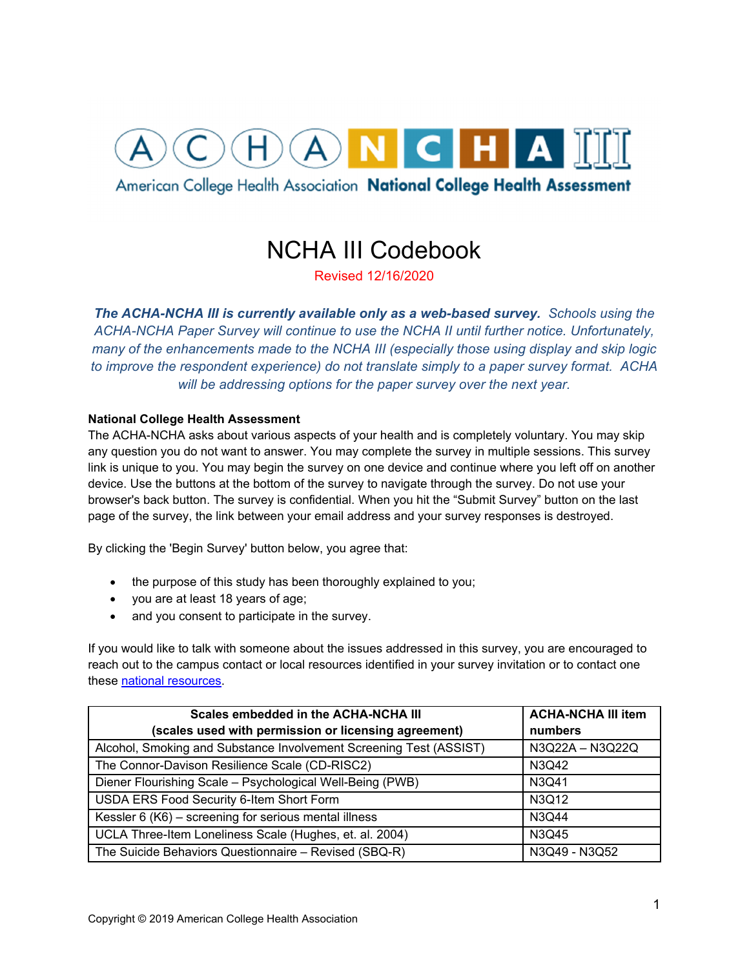# HANCHAM

American College Health Association National College Health Assessment

## NCHA III Codebook

Revised 12/16/2020

*The ACHA-NCHA III is currently available only as a web-based survey. Schools using the ACHA-NCHA Paper Survey will continue to use the NCHA II until further notice. Unfortunately, many of the enhancements made to the NCHA III (especially those using display and skip logic to improve the respondent experience) do not translate simply to a paper survey format. ACHA will be addressing options for the paper survey over the next year.*

## **National College Health Assessment**

The ACHA-NCHA asks about various aspects of your health and is completely voluntary. You may skip any question you do not want to answer. You may complete the survey in multiple sessions. This survey link is unique to you. You may begin the survey on one device and continue where you left off on another device. Use the buttons at the bottom of the survey to navigate through the survey. Do not use your browser's back button. The survey is confidential. When you hit the "Submit Survey" button on the last page of the survey, the link between your email address and your survey responses is destroyed.

By clicking the 'Begin Survey' button below, you agree that:

- the purpose of this study has been thoroughly explained to you;
- you are at least 18 years of age;
- and you consent to participate in the survey.

If you would like to talk with someone about the issues addressed in this survey, you are encouraged to reach out to the campus contact or local resources identified in your survey invitation or to contact one these national resources.

| Scales embedded in the ACHA-NCHA III                               | <b>ACHA-NCHA III item</b> |
|--------------------------------------------------------------------|---------------------------|
| (scales used with permission or licensing agreement)               | numbers                   |
| Alcohol, Smoking and Substance Involvement Screening Test (ASSIST) | N3Q22A - N3Q22Q           |
| The Connor-Davison Resilience Scale (CD-RISC2)                     | N3Q42                     |
| Diener Flourishing Scale - Psychological Well-Being (PWB)          | N3Q41                     |
| USDA ERS Food Security 6-Item Short Form                           | N3Q12                     |
| Kessler 6 (K6) - screening for serious mental illness              | N3Q44                     |
| UCLA Three-Item Loneliness Scale (Hughes, et. al. 2004)            | N3Q45                     |
| The Suicide Behaviors Questionnaire - Revised (SBQ-R)              | N3Q49 - N3Q52             |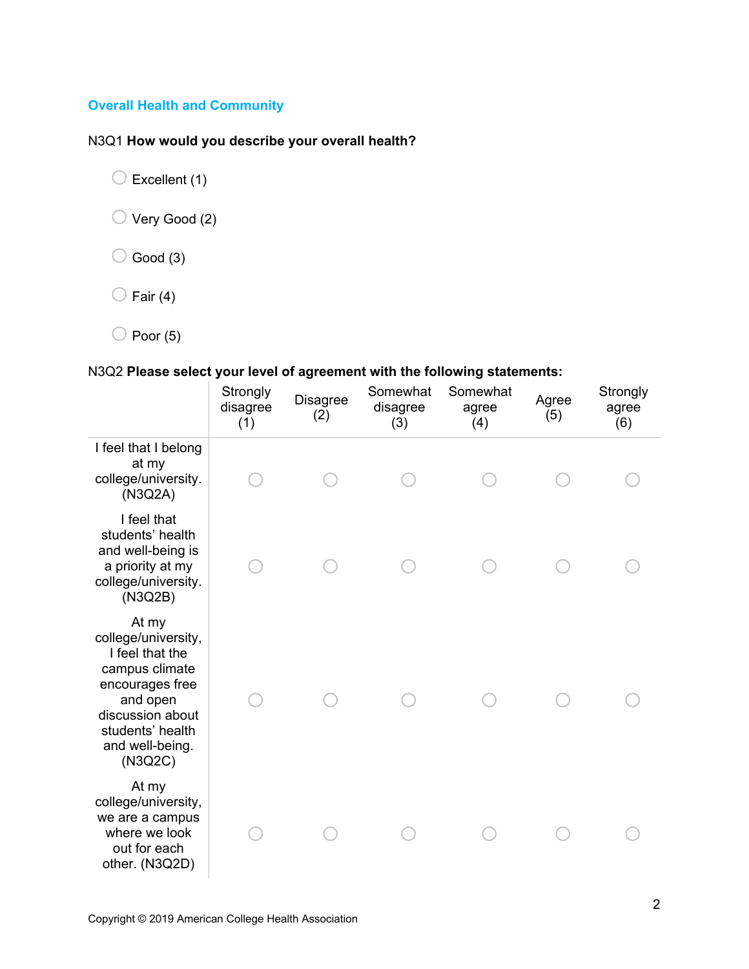## **Overall Health and Community**

## N3Q1 **How would you describe your overall health?**

 $\bigcirc$  Excellent (1)

 $\bigcirc$  Very Good (2)

 $\bigcirc$  Good (3)

 $\bigcirc$  Fair (4)

 $\bigcirc$  Poor (5)

## N3Q2 **Please select your level of agreement with the following statements:**

|                                                                                                                                                                        | Strongly<br>disagree<br>(1) | Disagree<br>(2) | Somewhat<br>disagree<br>(3) | Somewhat<br>agree<br>(4) | Agree<br>(5) | Strongly<br>agree<br>(6) |
|------------------------------------------------------------------------------------------------------------------------------------------------------------------------|-----------------------------|-----------------|-----------------------------|--------------------------|--------------|--------------------------|
| I feel that I belong<br>at my<br>college/university.<br>(N3Q2A)                                                                                                        |                             |                 |                             |                          |              |                          |
| I feel that<br>students' health<br>and well-being is<br>a priority at my<br>college/university.<br>(N3Q2B)                                                             |                             |                 |                             |                          |              |                          |
| At my<br>college/university,<br>I feel that the<br>campus climate<br>encourages free<br>and open<br>discussion about<br>students' health<br>and well-being.<br>(N3Q2C) |                             |                 |                             |                          |              |                          |
| At my<br>college/university,<br>we are a campus<br>where we look<br>out for each<br>other. (N3Q2D)                                                                     |                             |                 |                             |                          |              |                          |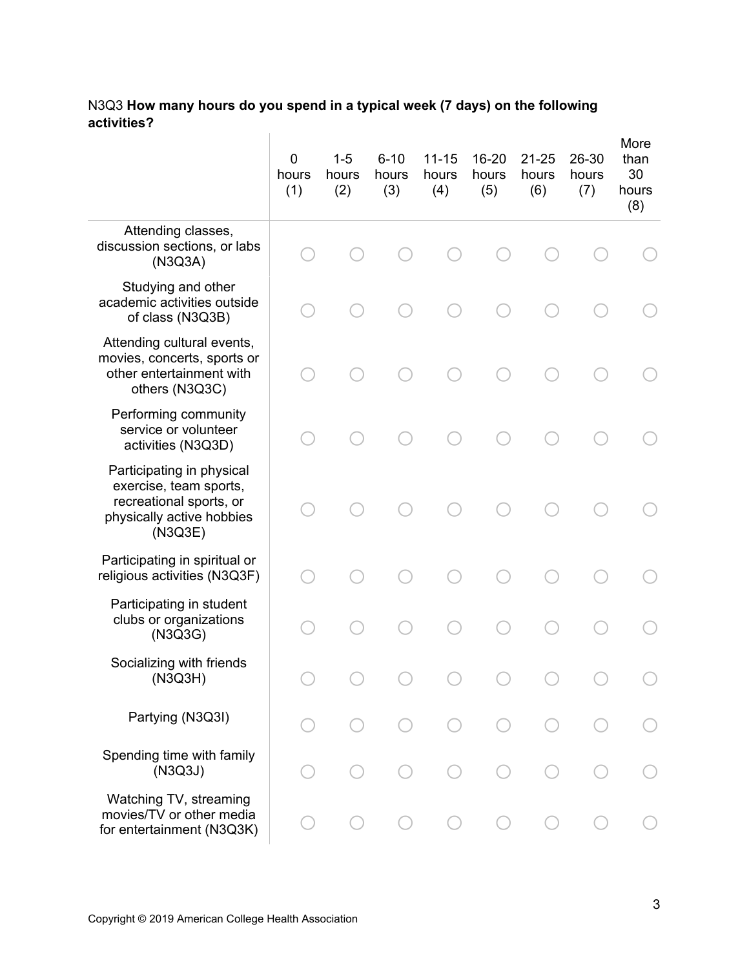#### N3Q3 **How many hours do you spend in a typical week (7 days) on the following activities?**  $\sim 10^5$

|                                                                                                                        | 0<br>hours<br>(1) | $1 - 5$<br>hours<br>(2) | $6 - 10$<br>hours<br>(3) | $11 - 15$<br>hours<br>(4) | 16-20<br>hours<br>(5) | $21 - 25$<br>hours<br>(6) | 26-30<br>hours<br>(7) | More<br>than<br>30<br>hours<br>(8) |
|------------------------------------------------------------------------------------------------------------------------|-------------------|-------------------------|--------------------------|---------------------------|-----------------------|---------------------------|-----------------------|------------------------------------|
| Attending classes,<br>discussion sections, or labs<br>(N3Q3A)                                                          |                   |                         |                          |                           |                       |                           |                       |                                    |
| Studying and other<br>academic activities outside<br>of class (N3Q3B)                                                  |                   |                         |                          |                           |                       |                           |                       |                                    |
| Attending cultural events,<br>movies, concerts, sports or<br>other entertainment with<br>others (N3Q3C)                |                   |                         |                          |                           |                       |                           |                       |                                    |
| Performing community<br>service or volunteer<br>activities (N3Q3D)                                                     |                   |                         |                          |                           |                       |                           |                       |                                    |
| Participating in physical<br>exercise, team sports,<br>recreational sports, or<br>physically active hobbies<br>(N3Q3E) |                   |                         |                          |                           |                       |                           |                       |                                    |
| Participating in spiritual or<br>religious activities (N3Q3F)                                                          |                   |                         |                          |                           |                       |                           |                       |                                    |
| Participating in student<br>clubs or organizations<br>(N3Q3G)                                                          |                   |                         |                          |                           |                       |                           |                       |                                    |
| Socializing with friends<br>(N3Q3H)                                                                                    |                   |                         |                          |                           |                       |                           |                       |                                    |
| Partying (N3Q3I)                                                                                                       |                   |                         |                          |                           |                       |                           |                       |                                    |
| Spending time with family<br>(N3Q3J)                                                                                   |                   |                         |                          |                           |                       |                           |                       |                                    |
| Watching TV, streaming<br>movies/TV or other media<br>for entertainment (N3Q3K)                                        |                   |                         |                          |                           |                       |                           |                       |                                    |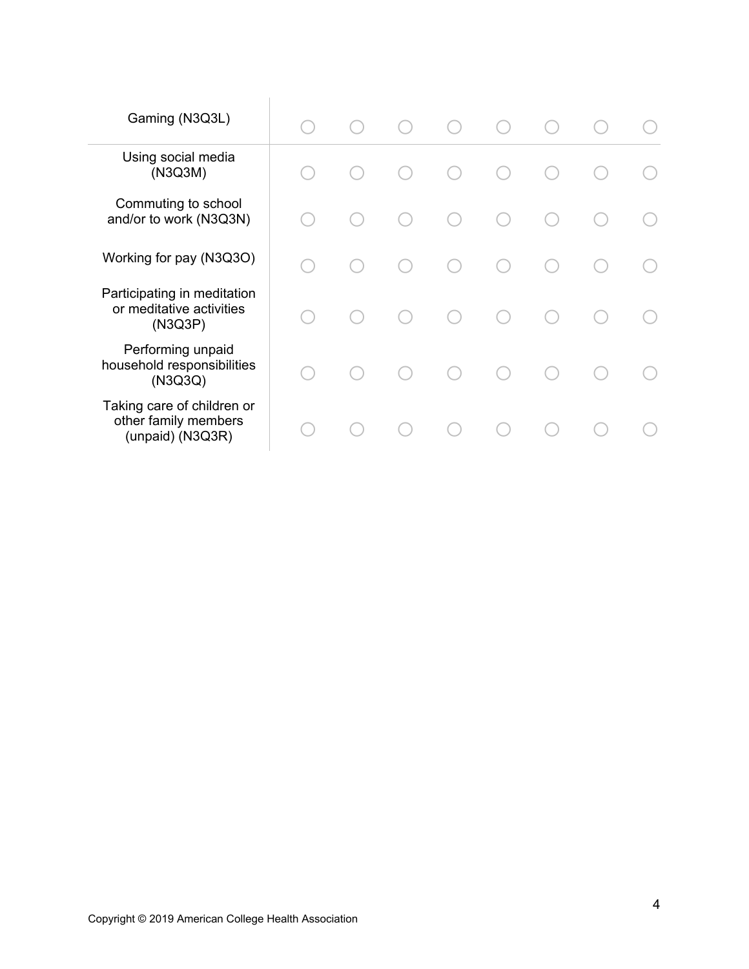| Gaming (N3Q3L)                                                         |     | $(\ )$  | (                                           |  |  |
|------------------------------------------------------------------------|-----|---------|---------------------------------------------|--|--|
| Using social media<br>(N3Q3M)                                          |     |         |                                             |  |  |
| Commuting to school<br>and/or to work (N3Q3N)                          |     |         | œ                                           |  |  |
| Working for pay (N3Q3O)                                                |     |         | $\left(\begin{array}{c} \end{array}\right)$ |  |  |
| Participating in meditation<br>or meditative activities<br>(N3Q3P)     | - 1 | $( \ )$ | $\left(\begin{array}{c} \end{array}\right)$ |  |  |
| Performing unpaid<br>household responsibilities<br>(N3Q3Q)             |     |         | ◯                                           |  |  |
| Taking care of children or<br>other family members<br>(unpaid) (N3Q3R) |     |         | $\bigcap$                                   |  |  |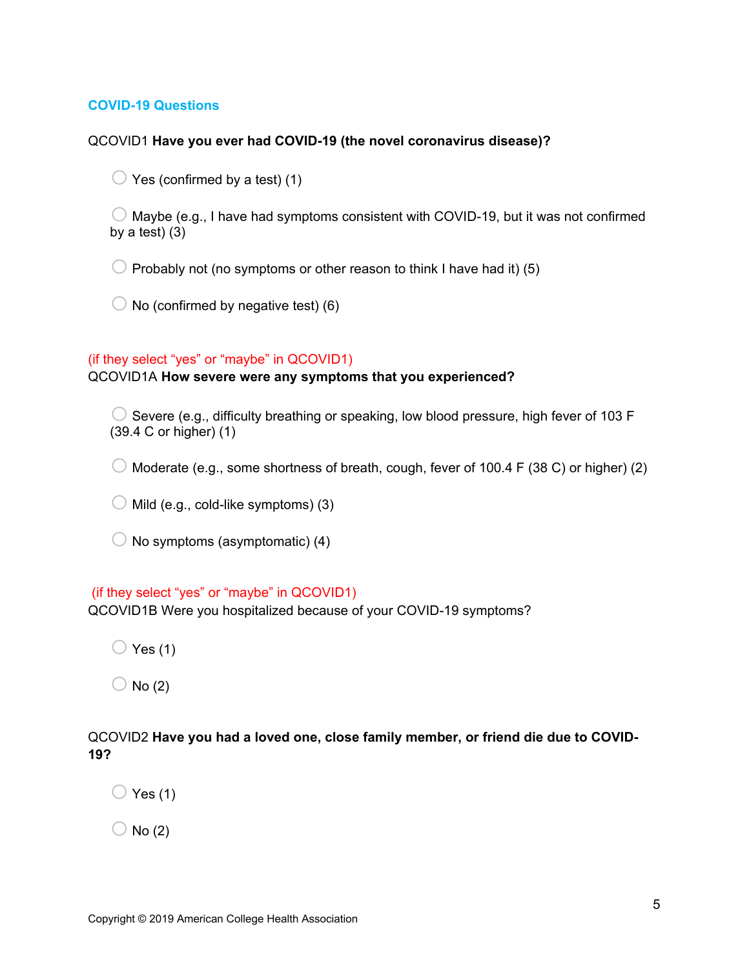## **COVID-19 Questions**

### QCOVID1 **Have you ever had COVID-19 (the novel coronavirus disease)?**

 $\bigcirc$  Yes (confirmed by a test) (1)

 $\bigcirc$  Maybe (e.g., I have had symptoms consistent with COVID-19, but it was not confirmed by a test) (3)

 $\bigcirc$  Probably not (no symptoms or other reason to think I have had it) (5)

 $\bigcirc$  No (confirmed by negative test) (6)

#### (if they select "yes" or "maybe" in QCOVID1)

## QCOVID1A **How severe were any symptoms that you experienced?**

 $\bigcirc$  Severe (e.g., difficulty breathing or speaking, low blood pressure, high fever of 103 F (39.4 C or higher) (1)

 $\bigcirc$  Moderate (e.g., some shortness of breath, cough, fever of 100.4 F (38 C) or higher) (2)

 $\bigcirc$  Mild (e.g., cold-like symptoms) (3)

 $\bigcirc$  No symptoms (asymptomatic) (4)

## (if they select "yes" or "maybe" in QCOVID1)

QCOVID1B Were you hospitalized because of your COVID-19 symptoms?

 $\bigcirc$  Yes (1)

 $\bigcirc$  No (2)

## QCOVID2 **Have you had a loved one, close family member, or friend die due to COVID-19?**

 $\bigcirc$  Yes (1)

 $\bigcirc$  No (2)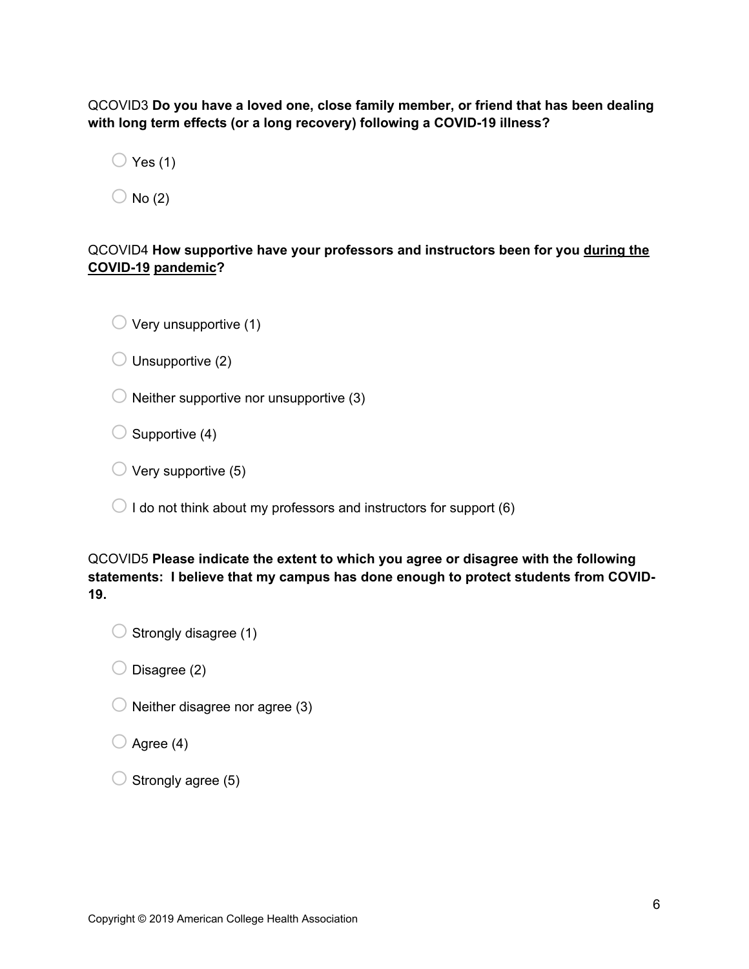QCOVID3 **Do you have a loved one, close family member, or friend that has been dealing with long term effects (or a long recovery) following a COVID-19 illness?** 

 $\bigcirc$  Yes (1)

 $\bigcirc$  No (2)

## QCOVID4 **How supportive have your professors and instructors been for you during the COVID-19 pandemic?**

 $\bigcirc$  Very unsupportive (1)

 $\bigcirc$  Unsupportive (2)

 $\bigcirc$  Neither supportive nor unsupportive (3)

 $\bigcirc$  Supportive (4)

 $\bigcirc$  Very supportive (5)

 $\bigcirc$  I do not think about my professors and instructors for support (6)

QCOVID5 **Please indicate the extent to which you agree or disagree with the following statements: I believe that my campus has done enough to protect students from COVID-19.**

 $\bigcirc$  Strongly disagree (1)

 $\bigcirc$  Disagree (2)

 $\bigcirc$  Neither disagree nor agree (3)

 $\bigcirc$  Agree (4)

 $\bigcirc$  Strongly agree (5)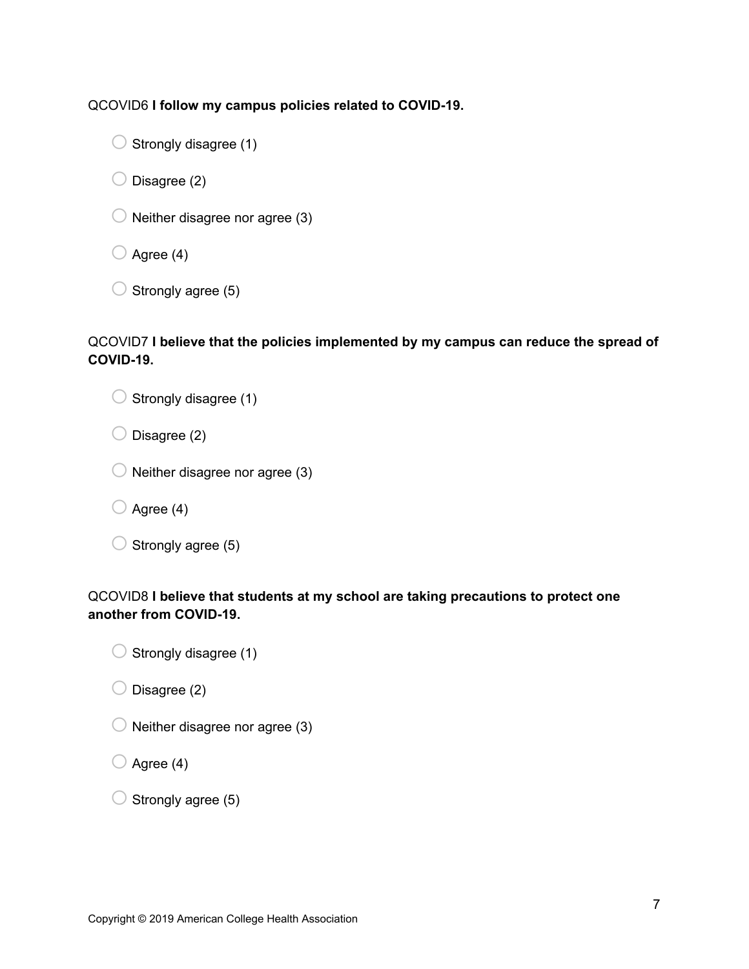QCOVID6 **I follow my campus policies related to COVID-19.**

 $\bigcirc$  Strongly disagree (1)

 $\bigcirc$  Disagree (2)

 $\bigcirc$  Neither disagree nor agree (3)

 $\bigcirc$  Agree (4)

 $\bigcirc$  Strongly agree (5)

## QCOVID7 **I believe that the policies implemented by my campus can reduce the spread of COVID-19.**

 $\bigcirc$  Strongly disagree (1)

 $\bigcirc$  Disagree (2)

|  | $\bigcirc$ Neither disagree nor agree (3) |  |  |
|--|-------------------------------------------|--|--|
|  |                                           |  |  |

 $\bigcirc$  Agree (4)

## QCOVID8 **I believe that students at my school are taking precautions to protect one another from COVID-19.**

|  | $\bigcirc$ Strongly disagree (1) |
|--|----------------------------------|
|  |                                  |

 $\bigcirc$  Disagree (2)

 $\bigcirc$  Neither disagree nor agree (3)

 $\bigcirc$  Agree (4)

| $\bigcirc$ Strongly agree (5) |
|-------------------------------|
|                               |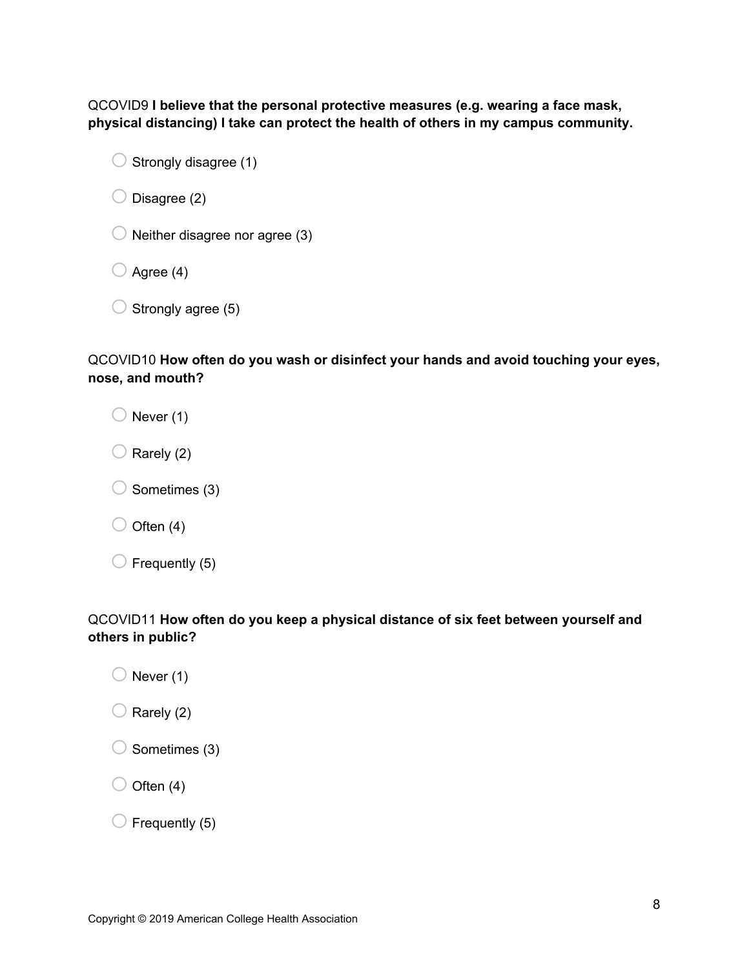QCOVID9 **I believe that the personal protective measures (e.g. wearing a face mask, physical distancing) I take can protect the health of others in my campus community.**

 $\bigcirc$  Strongly disagree (1)

 $\bigcirc$  Disagree (2)

 $\bigcirc$  Neither disagree nor agree (3)

 $\bigcirc$  Agree (4)

 $\bigcirc$  Strongly agree (5)

QCOVID10 **How often do you wash or disinfect your hands and avoid touching your eyes, nose, and mouth?**

 $\bigcirc$  Never (1)

 $\bigcirc$  Rarely (2)

 $\bigcirc$  Sometimes (3)

 $\bigcirc$  Often (4)

 $\bigcirc$  Frequently (5)

QCOVID11 **How often do you keep a physical distance of six feet between yourself and others in public?**

 $\bigcirc$  Never (1)

 $\bigcirc$  Rarely (2)

 $\bigcirc$  Sometimes (3)

 $\bigcirc$  Often (4)

 $\bigcirc$  Frequently (5)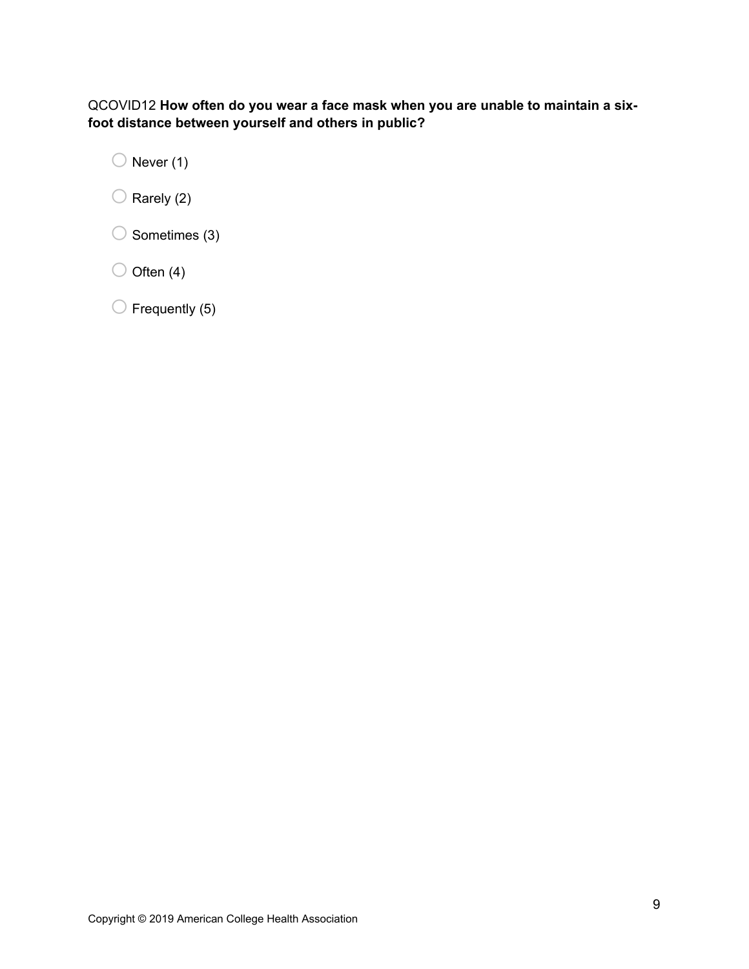## QCOVID12 **How often do you wear a face mask when you are unable to maintain a sixfoot distance between yourself and others in public?**

 $\bigcirc$  Never (1)

 $\bigcirc$  Rarely (2)

 $\bigcirc$  Sometimes (3)

 $\bigcirc$  Often (4)

 $\bigcirc$  Frequently (5)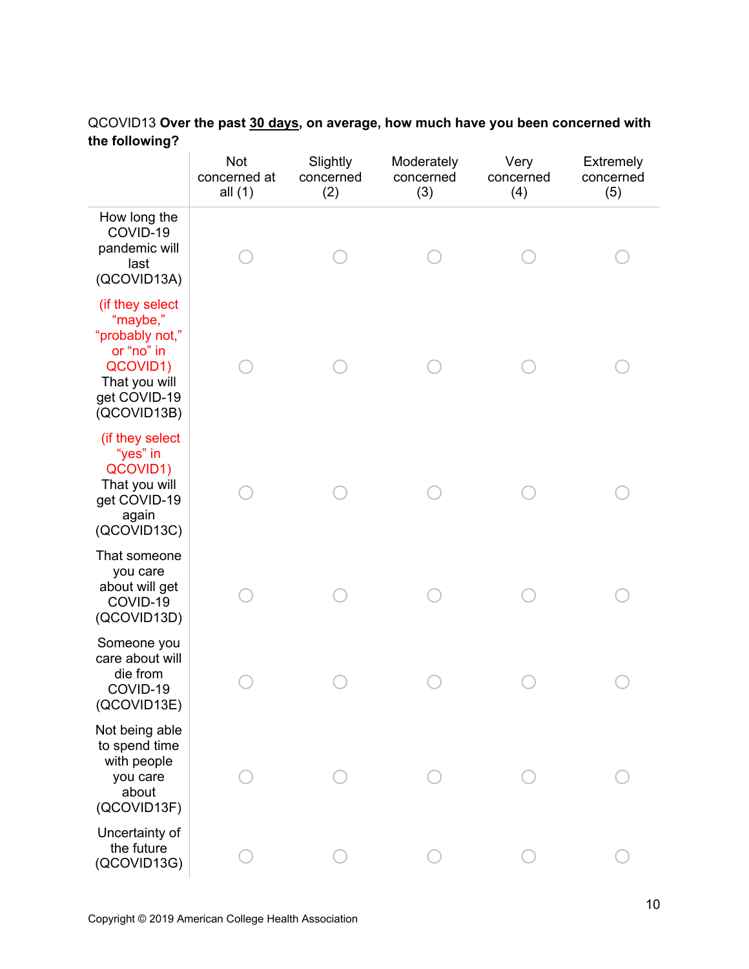|                                                                                                                          | <b>Not</b><br>concerned at<br>all $(1)$ | Slightly<br>concerned<br>(2) | Moderately<br>concerned<br>(3) | Very<br>concerned<br>(4) | <b>Extremely</b><br>concerned<br>(5) |
|--------------------------------------------------------------------------------------------------------------------------|-----------------------------------------|------------------------------|--------------------------------|--------------------------|--------------------------------------|
| How long the<br>COVID-19<br>pandemic will<br>last<br>(QCOVID13A)                                                         |                                         |                              |                                |                          |                                      |
| (if they select<br>"maybe,"<br>"probably not,"<br>or "no" in<br>QCOVID1)<br>That you will<br>get COVID-19<br>(QCOVID13B) |                                         |                              |                                |                          |                                      |
| (if they select<br>"yes" in<br>QCOVID1)<br>That you will<br>get COVID-19<br>again<br>(QCOVID13C)                         |                                         |                              |                                |                          |                                      |
| That someone<br>you care<br>about will get<br>COVID-19<br>(QCOVID13D)                                                    |                                         |                              |                                |                          |                                      |
| Someone you<br>care about will<br>die from<br>COVID-19<br>(QCOVID13E)                                                    |                                         |                              |                                |                          |                                      |
| Not being able<br>to spend time<br>with people<br>you care<br>about<br>(QCOVID13F)                                       |                                         |                              |                                |                          |                                      |
| Uncertainty of<br>the future<br>(QCOVID13G)                                                                              |                                         |                              |                                |                          |                                      |

## QCOVID13 **Over the past 30 days, on average, how much have you been concerned with the following?**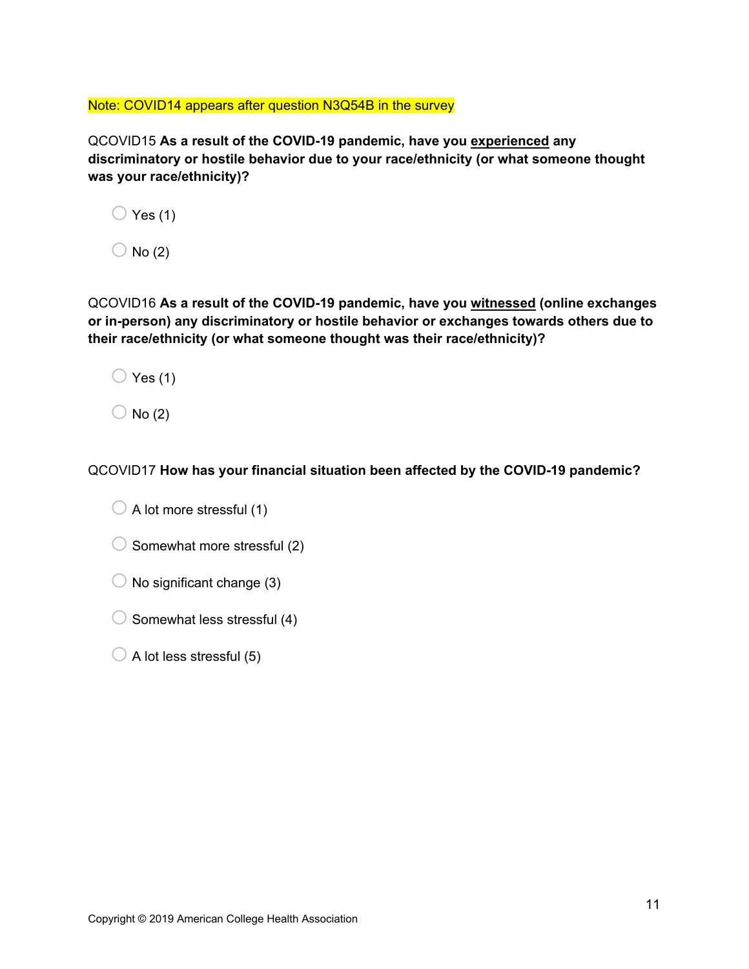Note: COVID14 appears after question N3Q54B in the survey

QCOVID15 **As a result of the COVID-19 pandemic, have you experienced any discriminatory or hostile behavior due to your race/ethnicity (or what someone thought was your race/ethnicity)?**

| Yes $(1)$ |
|-----------|
|           |

 $\bigcirc$  No (2)

QCOVID16 **As a result of the COVID-19 pandemic, have you witnessed (online exchanges or in-person) any discriminatory or hostile behavior or exchanges towards others due to their race/ethnicity (or what someone thought was their race/ethnicity)?**

 $\bigcirc$  Yes (1)

 $\bigcirc$  No (2)

QCOVID17 **How has your financial situation been affected by the COVID-19 pandemic?**

| $\bigcirc$ A lot more stressful (1) |
|-------------------------------------|
|                                     |

- $\bigcirc$  Somewhat more stressful (2)
- $\bigcirc$  No significant change (3)
- $\bigcirc$  Somewhat less stressful (4)
- $\bigcirc$  A lot less stressful (5)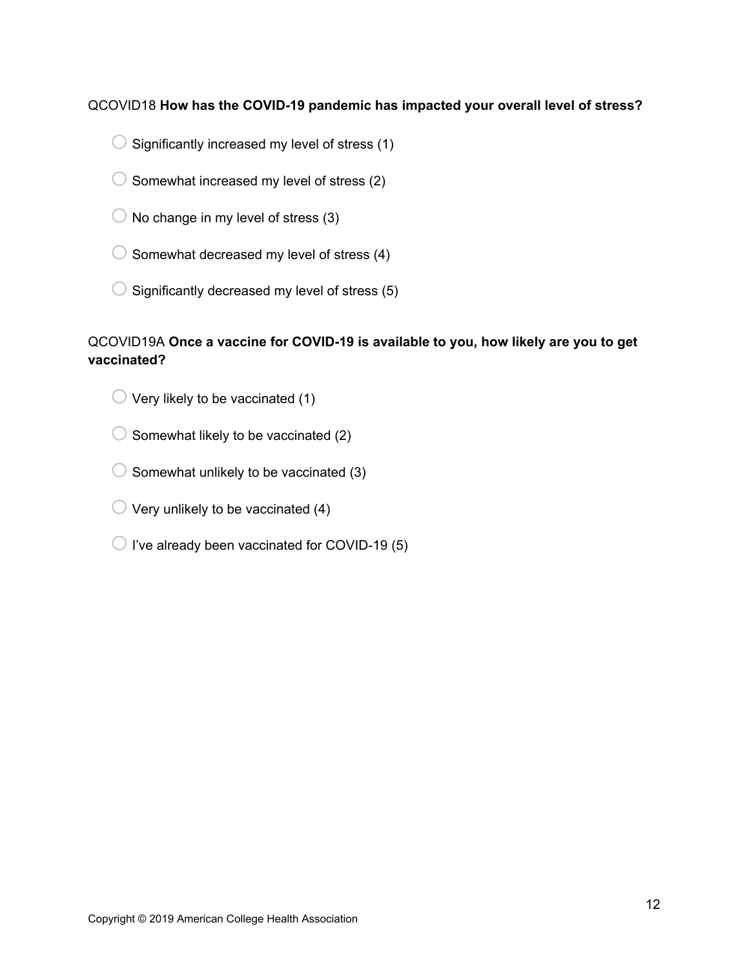## QCOVID18 **How has the COVID-19 pandemic has impacted your overall level of stress?**

- $\bigcirc$  Significantly increased my level of stress (1)
- $\bigcirc$  Somewhat increased my level of stress (2)
- $\bigcirc$  No change in my level of stress (3)
- $\bigcirc$  Somewhat decreased my level of stress (4)
- $\bigcirc$  Significantly decreased my level of stress (5)

## QCOVID19A **Once a vaccine for COVID-19 is available to you, how likely are you to get vaccinated?**

- $\bigcirc$  Very likely to be vaccinated (1)
- $\bigcirc$  Somewhat likely to be vaccinated (2)
- $\bigcirc$  Somewhat unlikely to be vaccinated (3)
- $\bigcirc$  Very unlikely to be vaccinated (4)
- $\bigcirc$  I've already been vaccinated for COVID-19 (5)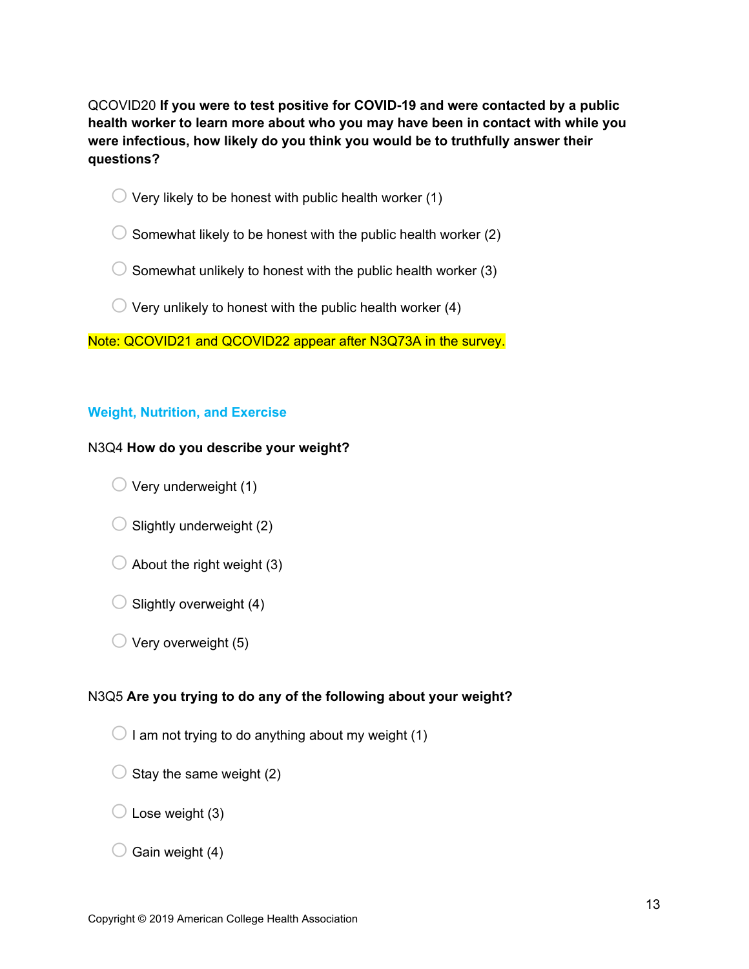QCOVID20 **If you were to test positive for COVID-19 and were contacted by a public health worker to learn more about who you may have been in contact with while you were infectious, how likely do you think you would be to truthfully answer their questions?**

- $\bigcirc$  Very likely to be honest with public health worker (1)
- $\bigcirc$  Somewhat likely to be honest with the public health worker (2)
- $\bigcirc$  Somewhat unlikely to honest with the public health worker (3)
- $\bigcirc$  Very unlikely to honest with the public health worker (4)

Note: QCOVID21 and QCOVID22 appear after N3Q73A in the survey.

## **Weight, Nutrition, and Exercise**

## N3Q4 **How do you describe your weight?**

- $\bigcirc$  Very underweight (1)
- $\bigcirc$  Slightly underweight (2)
- $\bigcirc$  About the right weight (3)
- $\bigcirc$  Slightly overweight (4)
- $\bigcirc$  Very overweight (5)

## N3Q5 **Are you trying to do any of the following about your weight?**

- $\bigcirc$  I am not trying to do anything about my weight (1)
- $\bigcirc$  Stay the same weight (2)
- $\bigcirc$  Lose weight (3)
- $\bigcirc$  Gain weight (4)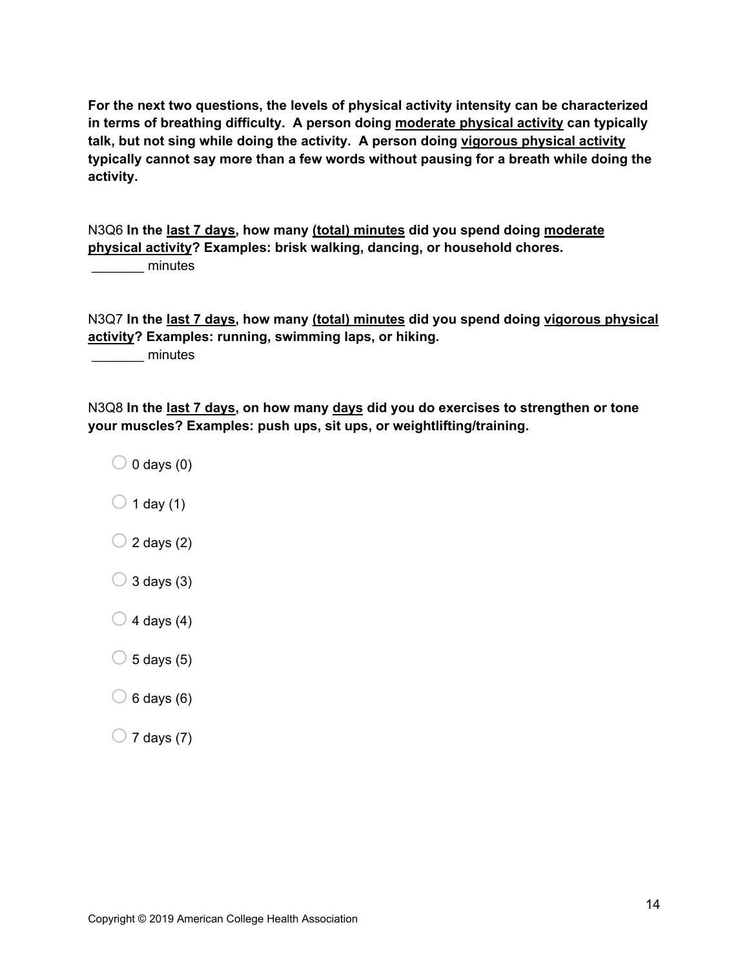**For the next two questions, the levels of physical activity intensity can be characterized in terms of breathing difficulty. A person doing moderate physical activity can typically talk, but not sing while doing the activity. A person doing vigorous physical activity typically cannot say more than a few words without pausing for a breath while doing the activity.**

N3Q6 **In the last 7 days, how many (total) minutes did you spend doing moderate physical activity? Examples: brisk walking, dancing, or household chores.** decreased minutes

N3Q7 **In the last 7 days, how many (total) minutes did you spend doing vigorous physical activity? Examples: running, swimming laps, or hiking.**

minutes

N3Q8 **In the last 7 days, on how many days did you do exercises to strengthen or tone your muscles? Examples: push ups, sit ups, or weightlifting/training.**

- $\bigcirc$  0 days (0)
- $\bigcirc$  1 day (1)
- $\bigcirc$  2 days (2)
- $\bigcirc$  3 days (3)
- $\bigcirc$  4 days (4)
- $\bigcirc$  5 days (5)
- $\bigcirc$  6 days (6)
- $\bigcirc$  7 days (7)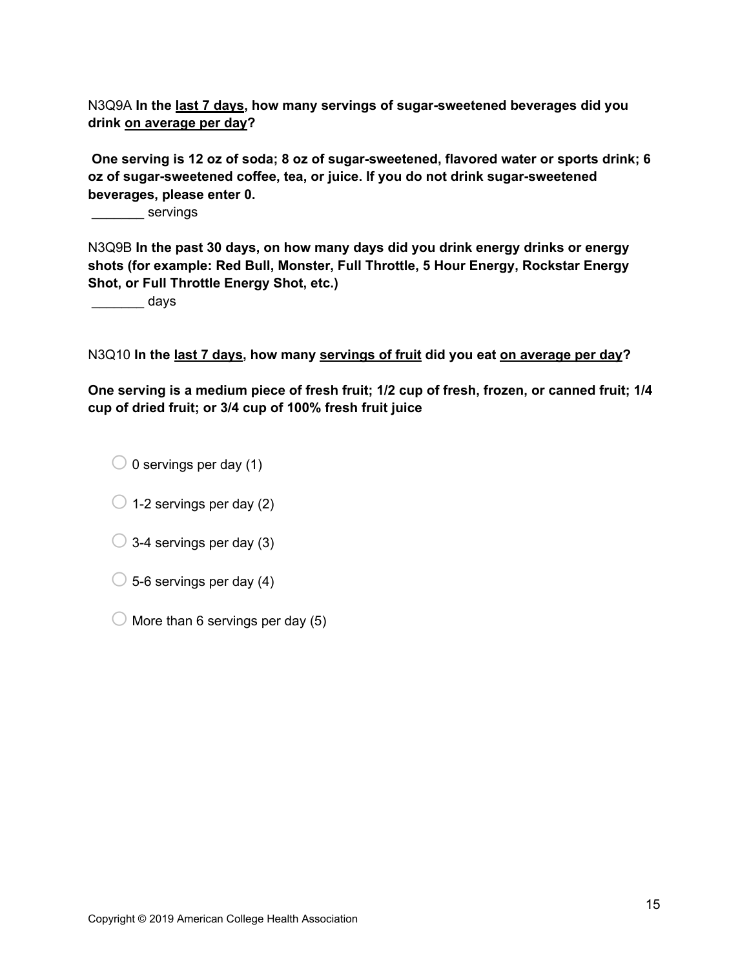N3Q9A **In the last 7 days, how many servings of sugar-sweetened beverages did you drink on average per day?**

 **One serving is 12 oz of soda; 8 oz of sugar-sweetened, flavored water or sports drink; 6 oz of sugar-sweetened coffee, tea, or juice. If you do not drink sugar-sweetened beverages, please enter 0.**

\_\_\_\_\_\_\_ servings

N3Q9B **In the past 30 days, on how many days did you drink energy drinks or energy shots (for example: Red Bull, Monster, Full Throttle, 5 Hour Energy, Rockstar Energy Shot, or Full Throttle Energy Shot, etc.)** 

days

N3Q10 **In the last 7 days, how many servings of fruit did you eat on average per day?** 

**One serving is a medium piece of fresh fruit; 1/2 cup of fresh, frozen, or canned fruit; 1/4 cup of dried fruit; or 3/4 cup of 100% fresh fruit juice** 

 $\bigcirc$  0 servings per day (1)

- $\bigcirc$  1-2 servings per day (2)
- $\bigcirc$  3-4 servings per day (3)
- $\bigcirc$  5-6 servings per day (4)
- $\bigcirc$  More than 6 servings per day (5)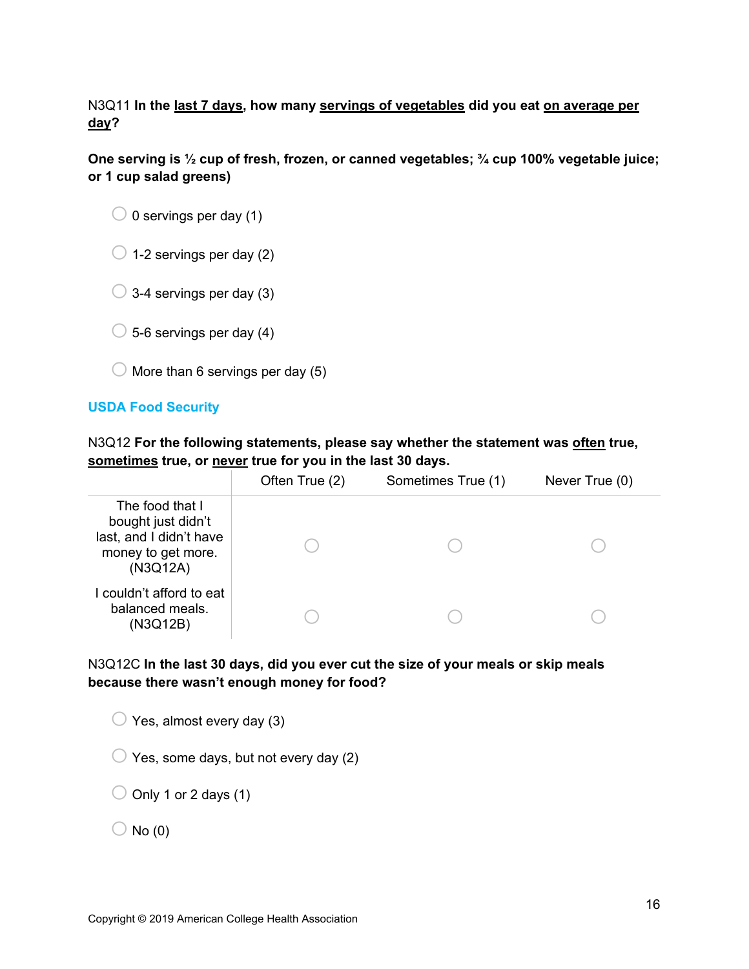N3Q11 **In the last 7 days, how many servings of vegetables did you eat on average per day?** 

**One serving is ½ cup of fresh, frozen, or canned vegetables; ¾ cup 100% vegetable juice; or 1 cup salad greens)**

 $\bigcirc$  1-2 servings per day (2)

 $\bigcirc$  3-4 servings per day (3)

 $\bigcirc$  5-6 servings per day (4)

 $\bigcirc$  More than 6 servings per day (5)

## **USDA Food Security**

N3Q12 **For the following statements, please say whether the statement was often true, sometimes true, or never true for you in the last 30 days.**

|                                                                                                    | Often True (2) | Sometimes True (1) | Never True (0) |
|----------------------------------------------------------------------------------------------------|----------------|--------------------|----------------|
| The food that I<br>bought just didn't<br>last, and I didn't have<br>money to get more.<br>(N3Q12A) |                |                    |                |
| I couldn't afford to eat<br>balanced meals.<br>(N3Q12B)                                            |                |                    |                |

N3Q12C **In the last 30 days, did you ever cut the size of your meals or skip meals because there wasn't enough money for food?** 

 $\bigcirc$  Yes, almost every day (3)

 $\bigcirc$  Yes, some days, but not every day (2)

 $\bigcirc$  Only 1 or 2 days (1)

 $\bigcirc$  No (0)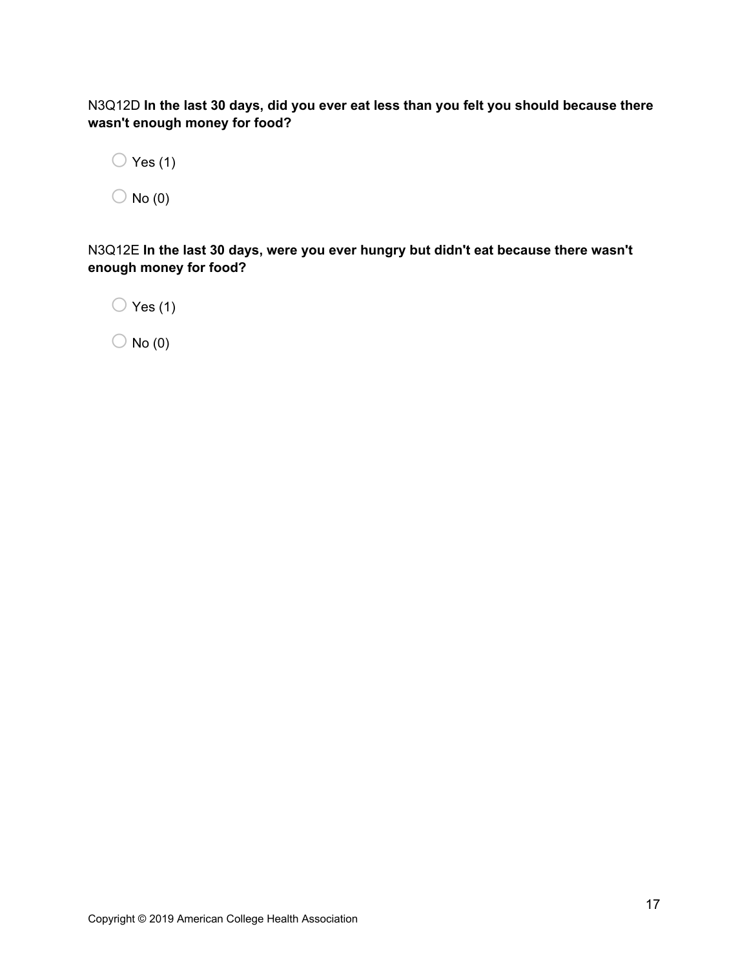N3Q12D **In the last 30 days, did you ever eat less than you felt you should because there wasn't enough money for food?**

 $\bigcirc$  Yes (1)

 $\bigcirc$  No (0)

N3Q12E **In the last 30 days, were you ever hungry but didn't eat because there wasn't enough money for food?**

 $\bigcirc$  Yes (1)

 $\bigcirc$  No (0)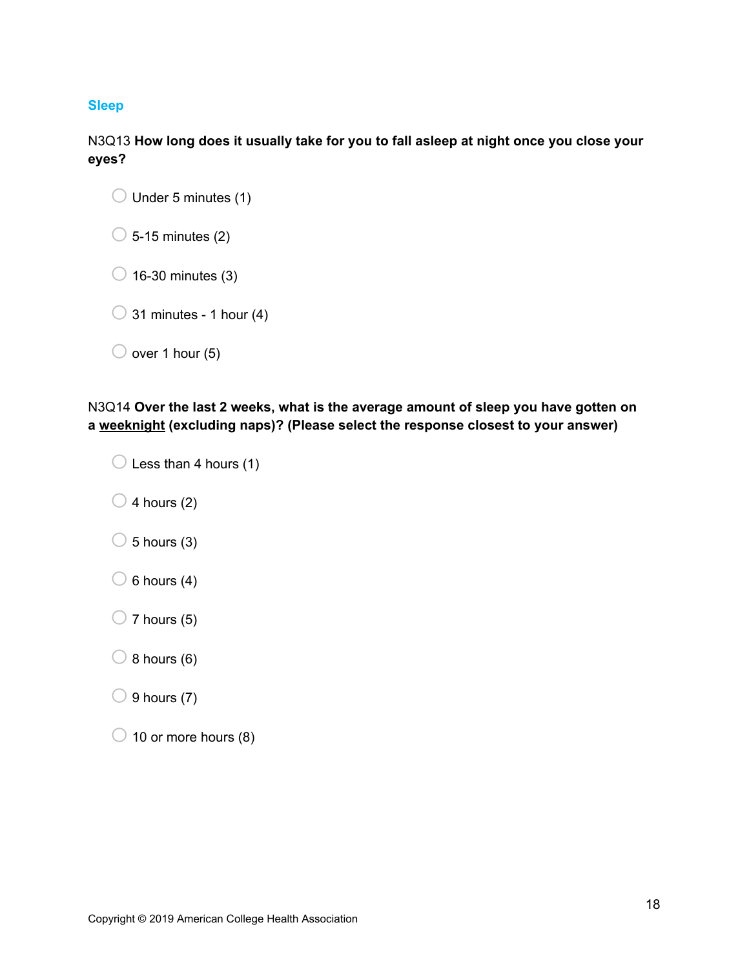## **Sleep**

N3Q13 **How long does it usually take for you to fall asleep at night once you close your eyes?**

| $\bigcirc$ 5-15 minutes (2) |
|-----------------------------|
|                             |

 $\bigcirc$  16-30 minutes (3)

 $\bigcirc$  31 minutes - 1 hour (4)

|  | $\bigcirc$ over 1 hour (5) |
|--|----------------------------|
|  |                            |

N3Q14 **Over the last 2 weeks, what is the average amount of sleep you have gotten on a weeknight (excluding naps)? (Please select the response closest to your answer)**

|  | $\bigcirc$ Less than 4 hours (1) |  |
|--|----------------------------------|--|
|  |                                  |  |

 $\bigcirc$  4 hours (2)

- $\bigcirc$  5 hours (3)
- $\bigcirc$  6 hours (4)
- $\bigcirc$  7 hours (5)
- $\bigcirc$  8 hours (6)
- $\bigcirc$  9 hours (7)
- $\bigcirc$  10 or more hours (8)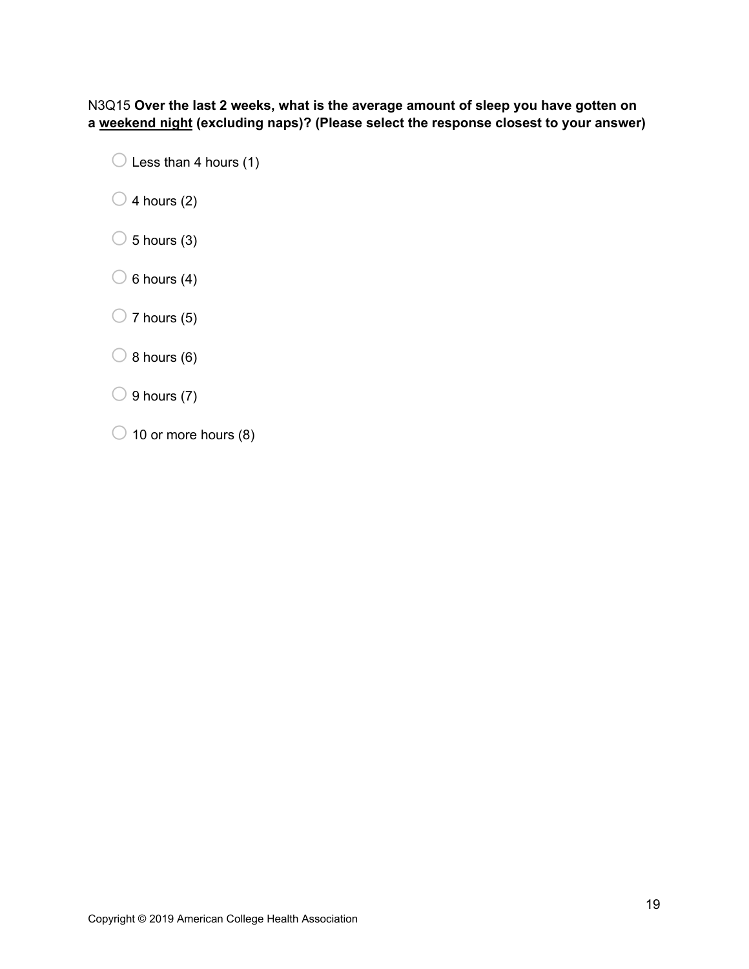N3Q15 **Over the last 2 weeks, what is the average amount of sleep you have gotten on a weekend night (excluding naps)? (Please select the response closest to your answer)**

- $\bigcirc$  Less than 4 hours (1)
- $\bigcirc$  4 hours (2)
- $\bigcirc$  5 hours (3)
- $\bigcirc$  6 hours (4)
- $\bigcirc$  7 hours (5)
- $\bigcirc$  8 hours (6)
- $\bigcirc$  9 hours (7)
- $\bigcirc$  10 or more hours (8)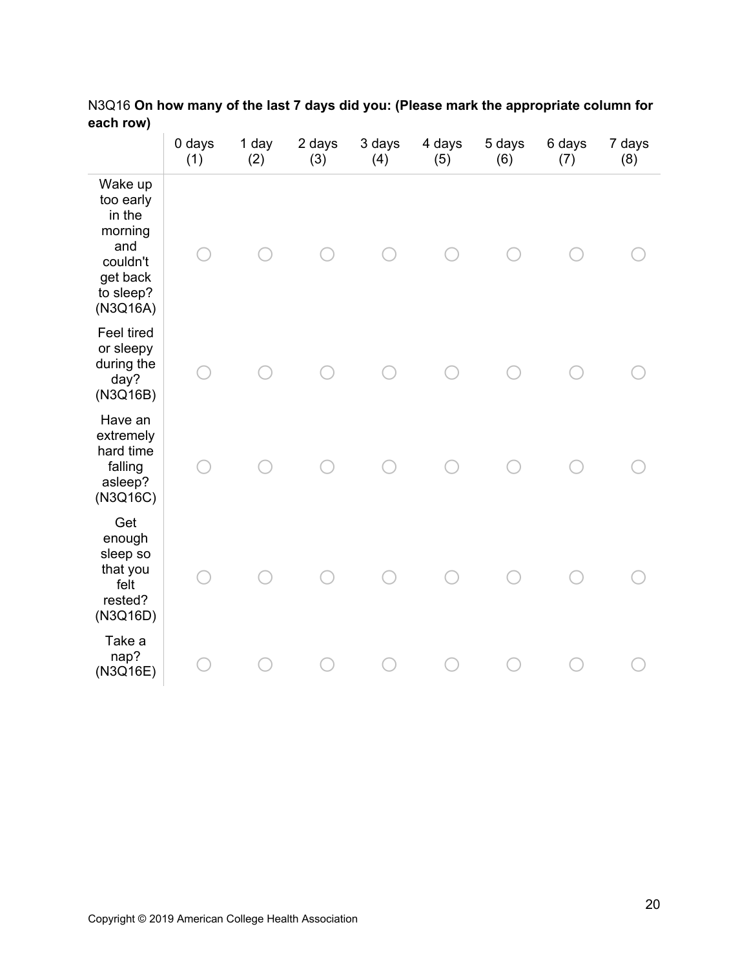|                                                                                                   | 0 days<br>(1) | 1 day<br>(2) | 2 days<br>(3) | 3 days<br>(4) | 4 days<br>(5) | 5 days<br>(6) | 6 days<br>(7) | 7 days<br>(8) |
|---------------------------------------------------------------------------------------------------|---------------|--------------|---------------|---------------|---------------|---------------|---------------|---------------|
| Wake up<br>too early<br>in the<br>morning<br>and<br>couldn't<br>get back<br>to sleep?<br>(N3Q16A) |               |              |               |               |               |               |               |               |
| Feel tired<br>or sleepy<br>during the<br>day?<br>(N3Q16B)                                         |               |              |               |               |               |               |               |               |
| Have an<br>extremely<br>hard time<br>falling<br>asleep?<br>(N3Q16C)                               |               |              |               |               |               |               |               |               |
| Get<br>enough<br>sleep so<br>that you<br>felt<br>rested?<br>(N3Q16D)                              |               |              |               |               |               |               |               |               |
| Take a<br>nap?<br>(N3Q16E)                                                                        |               |              |               |               |               |               |               |               |

N3Q16 **On how many of the last 7 days did you: (Please mark the appropriate column for each row)**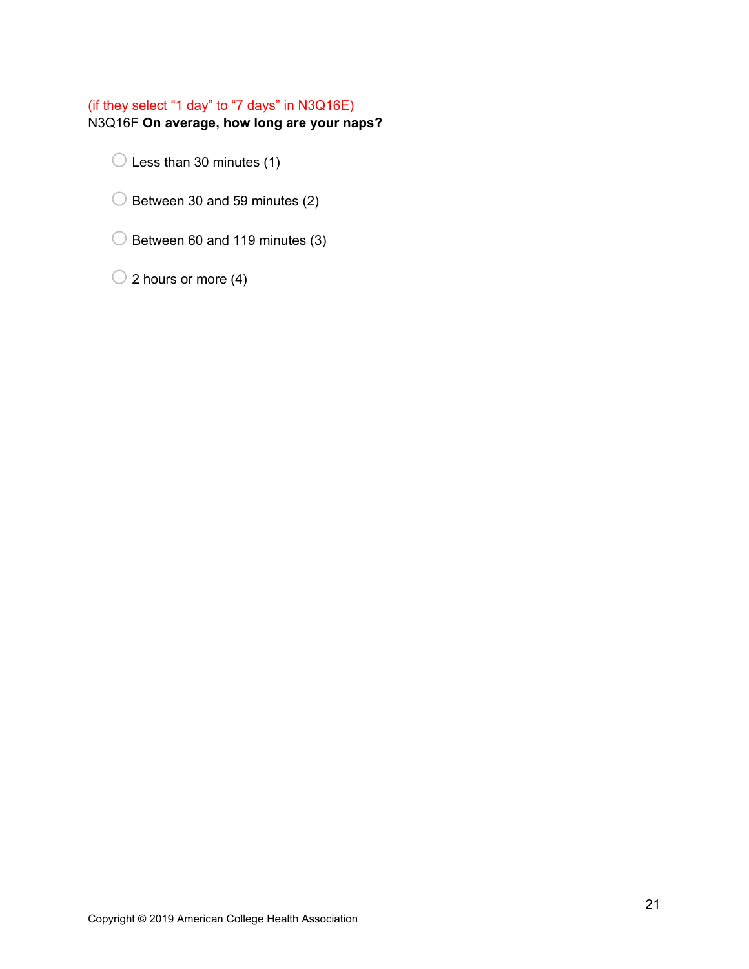## (if they select "1 day" to "7 days" in N3Q16E)

N3Q16F **On average, how long are your naps?**

 $\bigcirc$  Less than 30 minutes (1)

- $\bigcirc$  Between 30 and 59 minutes (2)
- $\bigcirc$  Between 60 and 119 minutes (3)

 $\bigcirc$  2 hours or more (4)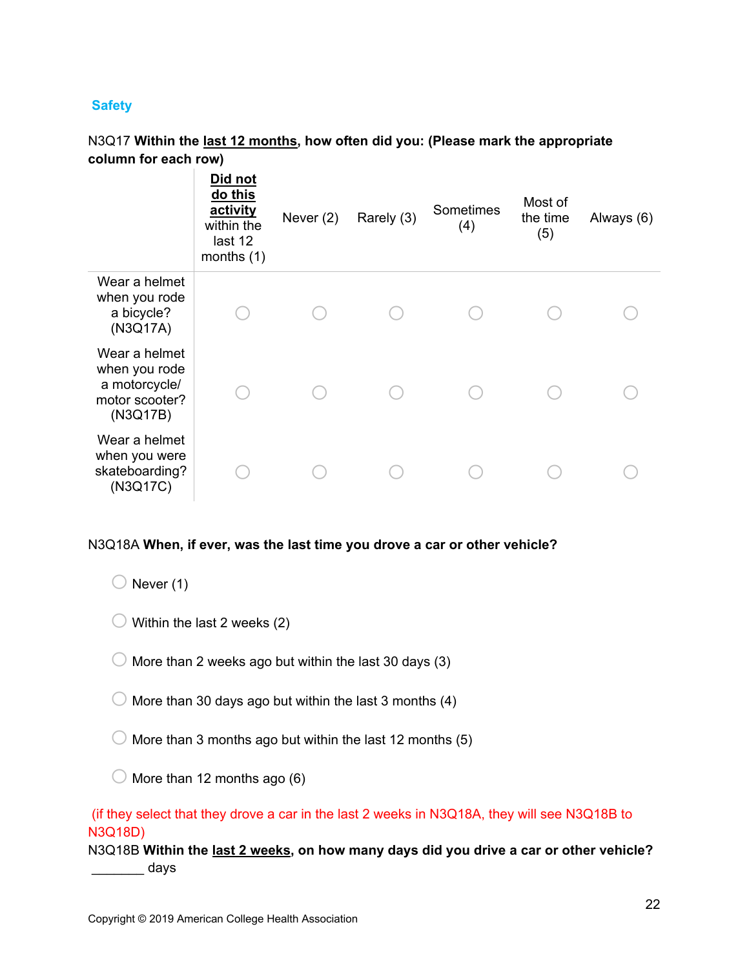## **Safety**

## N3Q17 **Within the last 12 months, how often did you: (Please mark the appropriate column for each row)**

|                                                                               | Did not<br>do this<br>activity<br>within the<br>last 12<br>months $(1)$ | Never $(2)$ | Rarely (3) | Sometimes<br>(4) | Most of<br>the time<br>(5) | Always (6) |
|-------------------------------------------------------------------------------|-------------------------------------------------------------------------|-------------|------------|------------------|----------------------------|------------|
| Wear a helmet<br>when you rode<br>a bicycle?<br>(N3Q17A)                      |                                                                         |             |            |                  |                            |            |
| Wear a helmet<br>when you rode<br>a motorcycle/<br>motor scooter?<br>(N3Q17B) |                                                                         |             |            |                  |                            |            |
| Wear a helmet<br>when you were<br>skateboarding?<br>(N3Q17C)                  |                                                                         |             |            |                  |                            |            |

## N3Q18A **When, if ever, was the last time you drove a car or other vehicle?**

 $\bigcirc$  Never (1)

- $\bigcirc$  Within the last 2 weeks (2)
- $\bigcirc$  More than 2 weeks ago but within the last 30 days (3)
- $\bigcirc$  More than 30 days ago but within the last 3 months (4)
- $\bigcirc$  More than 3 months ago but within the last 12 months (5)
- $\bigcirc$  More than 12 months ago (6)

## (if they select that they drove a car in the last 2 weeks in N3Q18A, they will see N3Q18B to N3Q18D)

N3Q18B **Within the last 2 weeks, on how many days did you drive a car or other vehicle?**  $\frac{1}{\sqrt{2}}$  days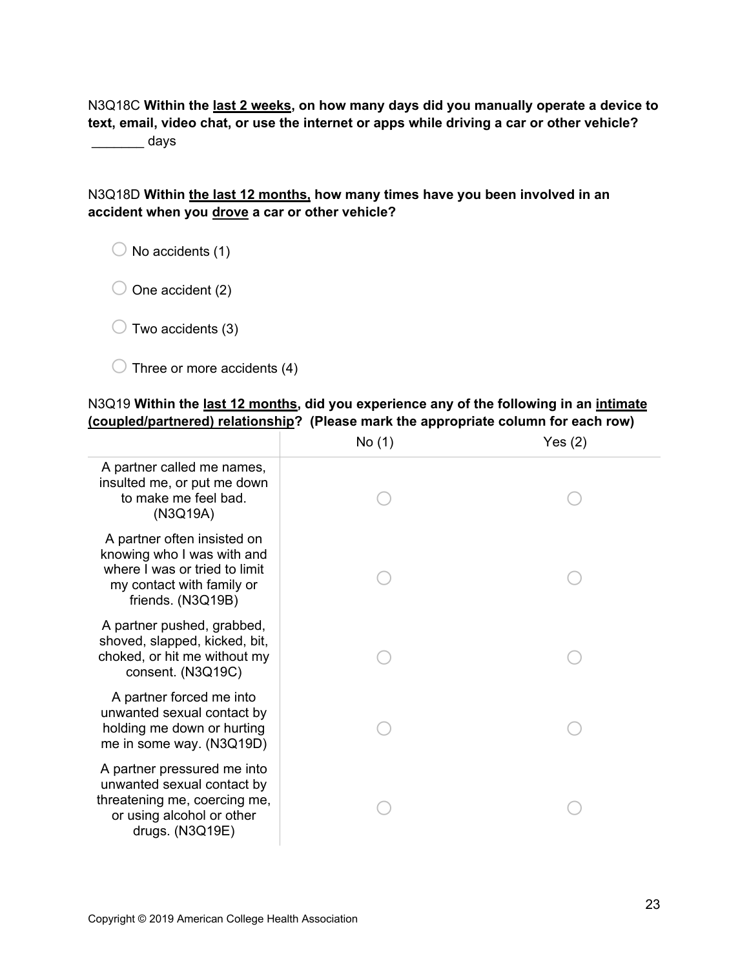N3Q18C **Within the last 2 weeks, on how many days did you manually operate a device to text, email, video chat, or use the internet or apps while driving a car or other vehicle?**

\_\_\_\_\_\_\_ days

## N3Q18D **Within the last 12 months, how many times have you been involved in an accident when you drove a car or other vehicle?**

 $\bigcirc$  No accidents (1)

 $\bigcirc$  One accident (2)

 $\bigcirc$  Two accidents (3)

 $\bigcirc$  Three or more accidents (4)

## N3Q19 **Within the last 12 months, did you experience any of the following in an intimate (coupled/partnered) relationship? (Please mark the appropriate column for each row)**

|                                                                                                                                              | No (1) | Yes(2) |
|----------------------------------------------------------------------------------------------------------------------------------------------|--------|--------|
| A partner called me names,<br>insulted me, or put me down<br>to make me feel bad.<br>(N3Q19A)                                                |        |        |
| A partner often insisted on<br>knowing who I was with and<br>where I was or tried to limit<br>my contact with family or<br>friends. (N3Q19B) |        |        |
| A partner pushed, grabbed,<br>shoved, slapped, kicked, bit,<br>choked, or hit me without my<br>consent. (N3Q19C)                             |        |        |
| A partner forced me into<br>unwanted sexual contact by<br>holding me down or hurting<br>me in some way. (N3Q19D)                             |        |        |
| A partner pressured me into<br>unwanted sexual contact by<br>threatening me, coercing me,<br>or using alcohol or other<br>drugs. (N3Q19E)    |        |        |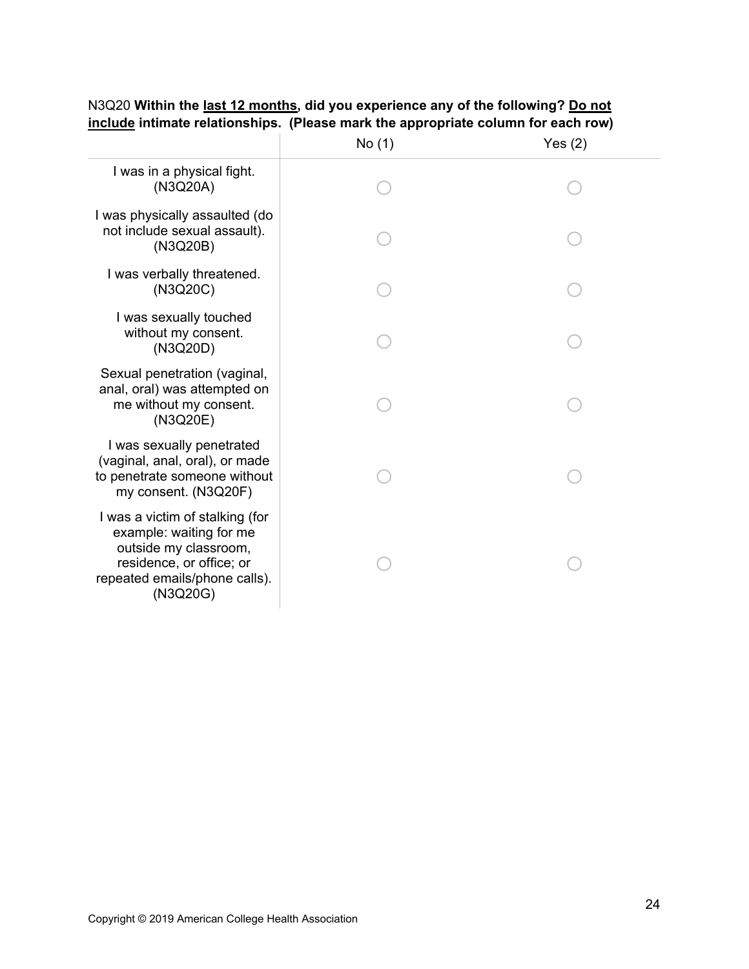|                                                                                                                                                              | No (1) | Yes $(2)$ |
|--------------------------------------------------------------------------------------------------------------------------------------------------------------|--------|-----------|
| I was in a physical fight.<br>(N3Q20A)                                                                                                                       |        |           |
| I was physically assaulted (do<br>not include sexual assault).<br>(N3Q20B)                                                                                   |        |           |
| I was verbally threatened.<br>(N3Q20C)                                                                                                                       |        |           |
| I was sexually touched<br>without my consent.<br>(N3Q20D)                                                                                                    |        |           |
| Sexual penetration (vaginal,<br>anal, oral) was attempted on<br>me without my consent.<br>(N3Q20E)                                                           |        |           |
| I was sexually penetrated<br>(vaginal, anal, oral), or made<br>to penetrate someone without<br>my consent. (N3Q20F)                                          |        |           |
| I was a victim of stalking (for<br>example: waiting for me<br>outside my classroom,<br>residence, or office; or<br>repeated emails/phone calls).<br>(N3Q20G) |        |           |

## N3Q20 **Within the last 12 months, did you experience any of the following? Do not include intimate relationships. (Please mark the appropriate column for each row)**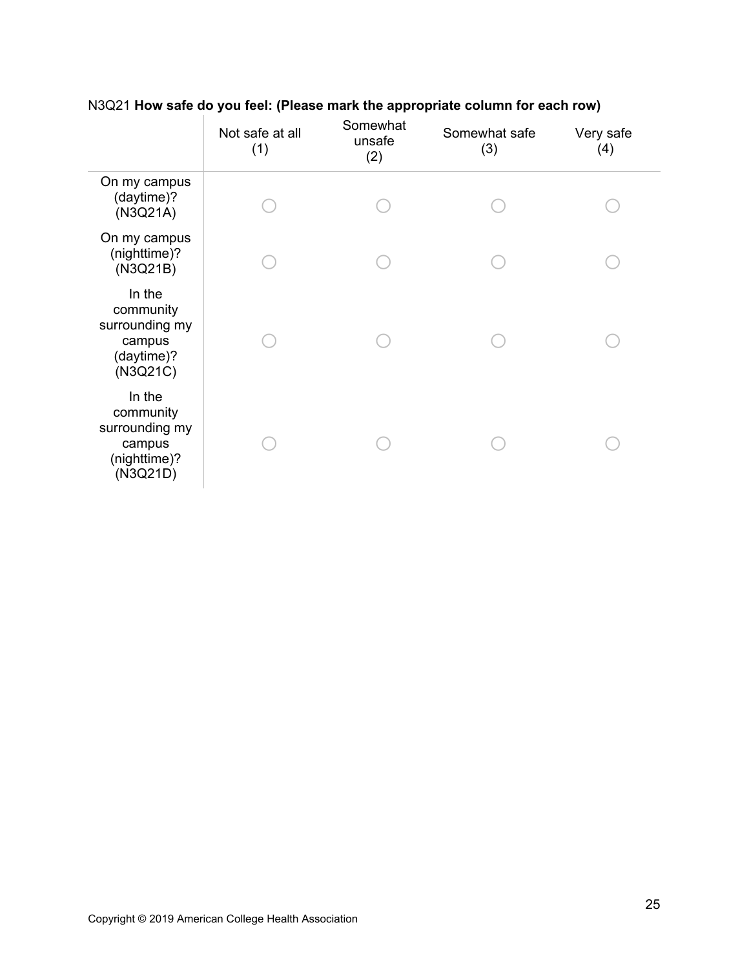|                                                                             | Not safe at all<br>(1) | Somewhat<br>unsafe<br>(2) | Somewhat safe<br>(3) | Very safe<br>(4) |
|-----------------------------------------------------------------------------|------------------------|---------------------------|----------------------|------------------|
| On my campus<br>(daytime)?<br>(N3Q21A)                                      |                        |                           |                      |                  |
| On my campus<br>(nighttime)?<br>(N3Q21B)                                    |                        |                           |                      |                  |
| In the<br>community<br>surrounding my<br>campus<br>(daytime)?<br>(N3Q21C)   |                        |                           |                      |                  |
| In the<br>community<br>surrounding my<br>campus<br>(nighttime)?<br>(N3Q21D) |                        |                           |                      |                  |

## N3Q21 **How safe do you feel: (Please mark the appropriate column for each row)**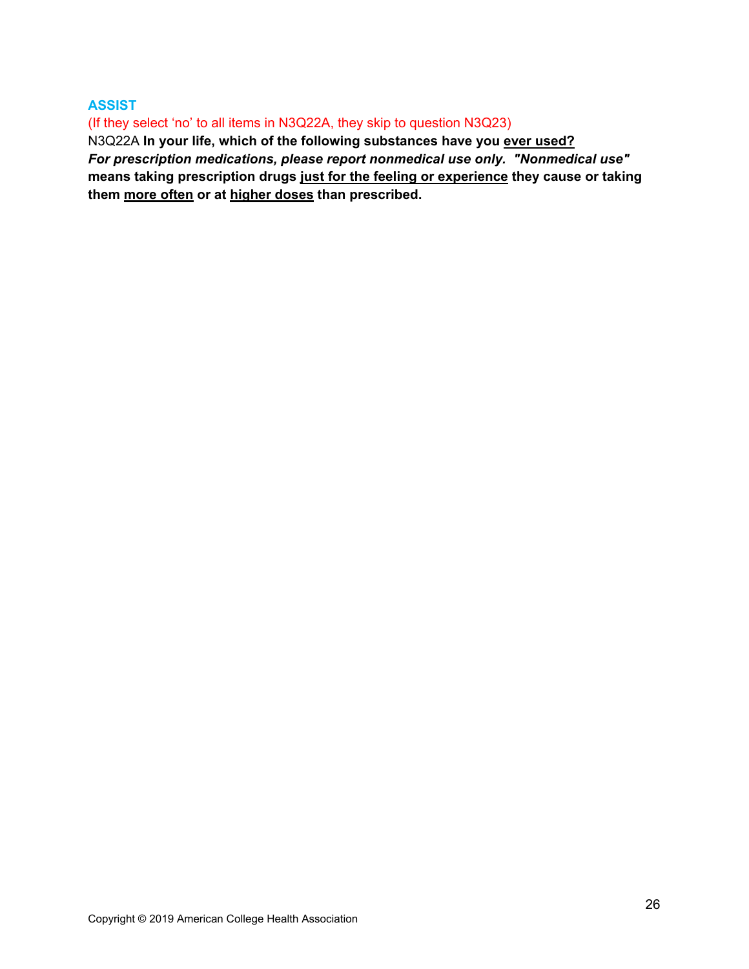## **ASSIST**

(If they select 'no' to all items in N3Q22A, they skip to question N3Q23)

N3Q22A **In your life, which of the following substances have you ever used?**  *For prescription medications, please report nonmedical use only. "Nonmedical use"* **means taking prescription drugs just for the feeling or experience they cause or taking them more often or at higher doses than prescribed.**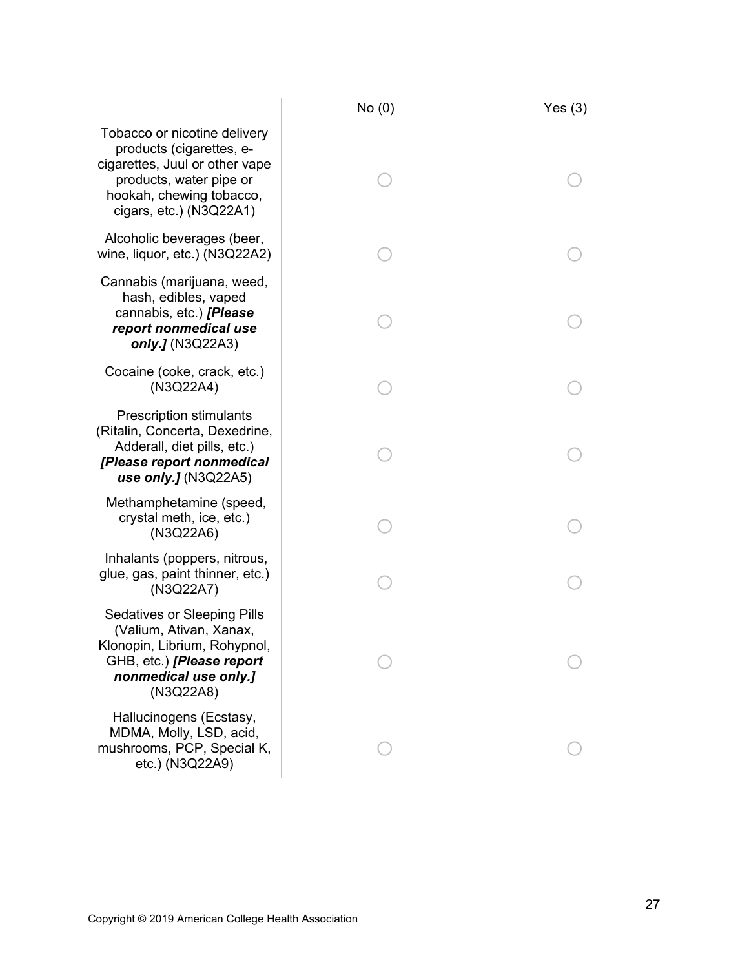|                                                                                                                                                                                 | No(0) | Yes(3) |
|---------------------------------------------------------------------------------------------------------------------------------------------------------------------------------|-------|--------|
| Tobacco or nicotine delivery<br>products (cigarettes, e-<br>cigarettes, Juul or other vape<br>products, water pipe or<br>hookah, chewing tobacco,<br>cigars, $etc.$ ) (N3Q22A1) |       |        |
| Alcoholic beverages (beer,<br>wine, liquor, etc.) (N3Q22A2)                                                                                                                     |       |        |
| Cannabis (marijuana, weed,<br>hash, edibles, vaped<br>cannabis, etc.) [Please<br>report nonmedical use<br>only.J (N3Q22A3)                                                      |       |        |
| Cocaine (coke, crack, etc.)<br>(N3Q22A4)                                                                                                                                        |       |        |
| <b>Prescription stimulants</b><br>(Ritalin, Concerta, Dexedrine,<br>Adderall, diet pills, etc.)<br>[Please report nonmedical<br>use only.] $(N3Q22A5)$                          |       |        |
| Methamphetamine (speed,<br>crystal meth, ice, etc.)<br>(N3Q22A6)                                                                                                                |       |        |
| Inhalants (poppers, nitrous,<br>glue, gas, paint thinner, etc.)<br>(N3Q22A7)                                                                                                    |       |        |
| <b>Sedatives or Sleeping Pills</b><br>(Valium, Ativan, Xanax,<br>Klonopin, Librium, Rohypnol,<br>GHB, etc.) [Please report<br>nonmedical use only.]<br>(N3Q22A8)                |       |        |
| Hallucinogens (Ecstasy,<br>MDMA, Molly, LSD, acid,<br>mushrooms, PCP, Special K,<br>etc.) (N3Q22A9)                                                                             |       |        |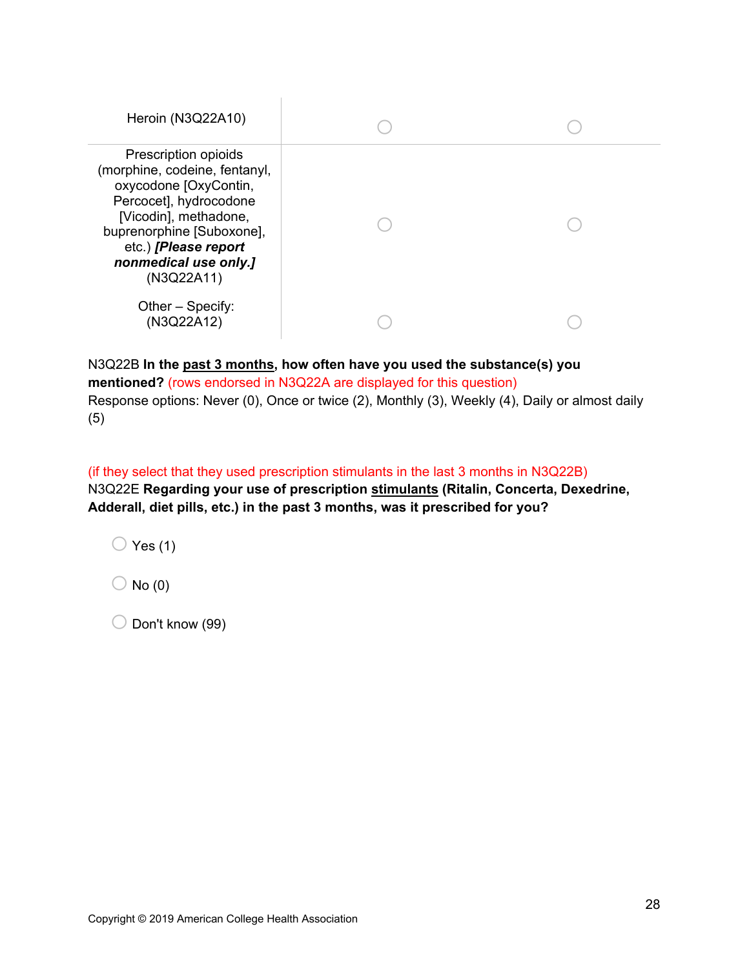| Heroin (N3Q22A10)                                                                                                                                                                                                             |  |
|-------------------------------------------------------------------------------------------------------------------------------------------------------------------------------------------------------------------------------|--|
| Prescription opioids<br>(morphine, codeine, fentanyl,<br>oxycodone [OxyContin,<br>Percocet], hydrocodone<br>[Vicodin], methadone,<br>buprenorphine [Suboxone],<br>etc.) [Please report<br>nonmedical use only.]<br>(N3Q22A11) |  |
| Other – Specify:<br>(N3Q22A12)                                                                                                                                                                                                |  |

N3Q22B **In the past 3 months, how often have you used the substance(s) you mentioned?** (rows endorsed in N3Q22A are displayed for this question) Response options: Never (0), Once or twice (2), Monthly (3), Weekly (4), Daily or almost daily (5)

(if they select that they used prescription stimulants in the last 3 months in N3Q22B) N3Q22E **Regarding your use of prescription stimulants (Ritalin, Concerta, Dexedrine, Adderall, diet pills, etc.) in the past 3 months, was it prescribed for you?** 

 $\bigcirc$  Yes (1)

 $\bigcirc$  No (0)

 $\bigcirc$  Don't know (99)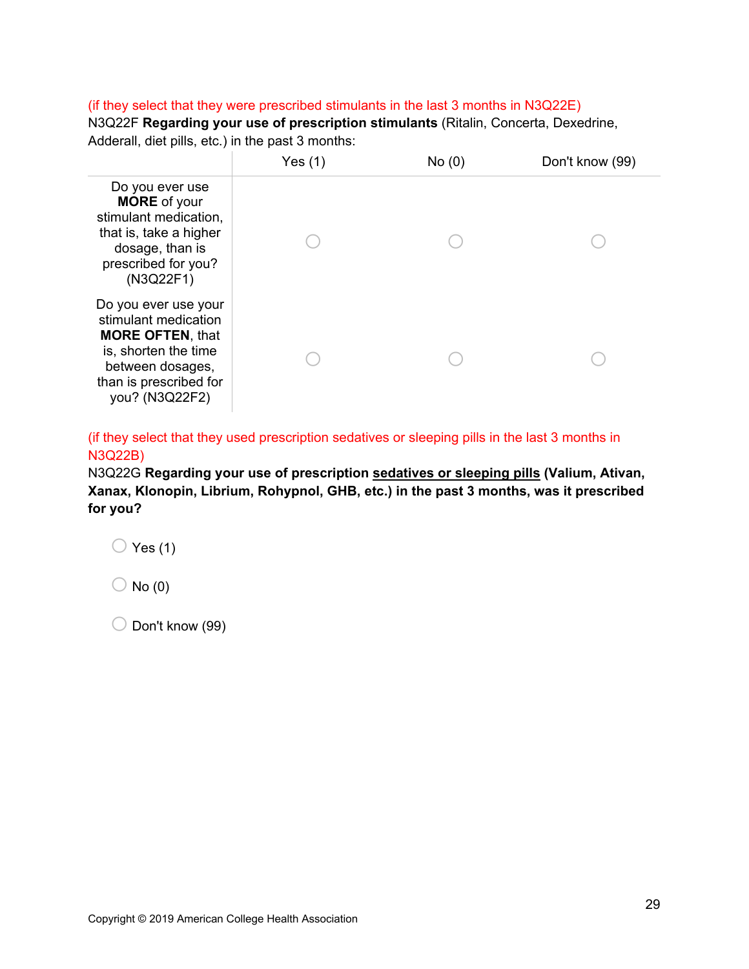## (if they select that they were prescribed stimulants in the last 3 months in N3Q22E)

N3Q22F **Regarding your use of prescription stimulants** (Ritalin, Concerta, Dexedrine, Adderall, diet pills, etc.) in the past 3 months:

|                                                                                                                                                                 | Yes $(1)$ | No(0) | Don't know (99) |
|-----------------------------------------------------------------------------------------------------------------------------------------------------------------|-----------|-------|-----------------|
| Do you ever use<br><b>MORE</b> of your<br>stimulant medication,<br>that is, take a higher<br>dosage, than is<br>prescribed for you?<br>(N3Q22F1)                |           |       |                 |
| Do you ever use your<br>stimulant medication<br><b>MORE OFTEN, that</b><br>is, shorten the time<br>between dosages,<br>than is prescribed for<br>you? (N3Q22F2) |           |       |                 |

(if they select that they used prescription sedatives or sleeping pills in the last 3 months in N3Q22B)

N3Q22G **Regarding your use of prescription sedatives or sleeping pills (Valium, Ativan, Xanax, Klonopin, Librium, Rohypnol, GHB, etc.) in the past 3 months, was it prescribed for you?**

 $\bigcirc$  Yes (1)

 $\bigcirc$  No (0)

 $\bigcirc$  Don't know (99)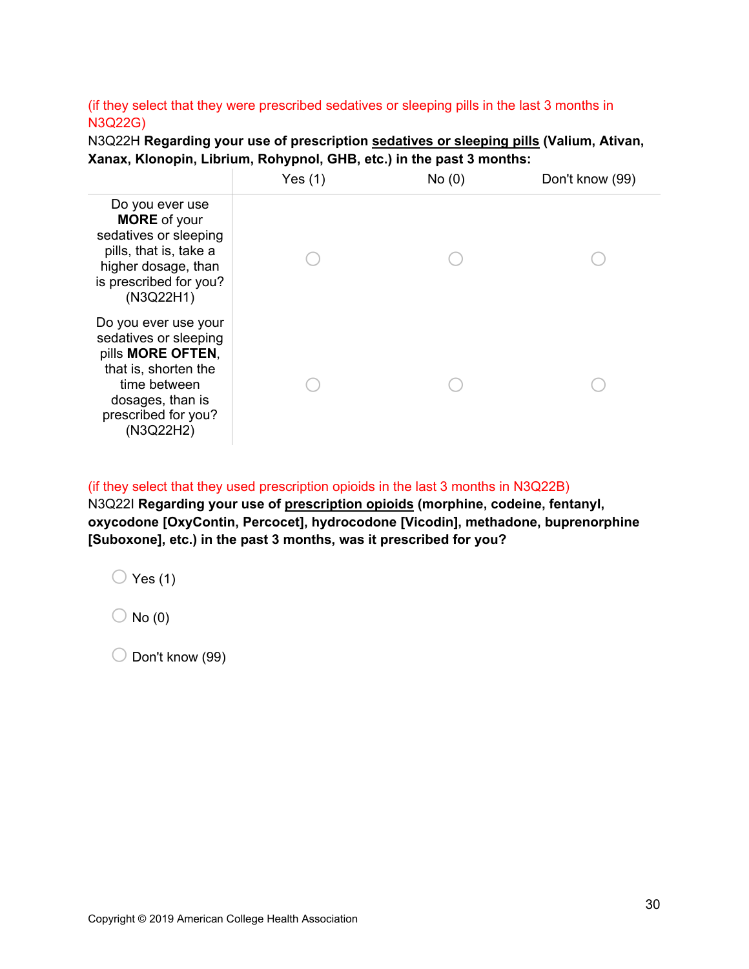## (if they select that they were prescribed sedatives or sleeping pills in the last 3 months in N3Q22G)

N3Q22H **Regarding your use of prescription sedatives or sleeping pills (Valium, Ativan, Xanax, Klonopin, Librium, Rohypnol, GHB, etc.) in the past 3 months:**

|                                                                                                                                                                    | Yes $(1)$ | No(0) | Don't know (99) |
|--------------------------------------------------------------------------------------------------------------------------------------------------------------------|-----------|-------|-----------------|
| Do you ever use<br><b>MORE</b> of your<br>sedatives or sleeping<br>pills, that is, take a<br>higher dosage, than<br>is prescribed for you?<br>(N3Q22H1)            |           |       |                 |
| Do you ever use your<br>sedatives or sleeping<br>pills MORE OFTEN,<br>that is, shorten the<br>time between<br>dosages, than is<br>prescribed for you?<br>(N3Q22H2) |           |       |                 |

## (if they select that they used prescription opioids in the last 3 months in N3Q22B)

N3Q22I **Regarding your use of prescription opioids (morphine, codeine, fentanyl, oxycodone [OxyContin, Percocet], hydrocodone [Vicodin], methadone, buprenorphine [Suboxone], etc.) in the past 3 months, was it prescribed for you?**

 $\bigcirc$  Yes (1)

 $\bigcirc$  No (0)

 $\bigcirc$  Don't know (99)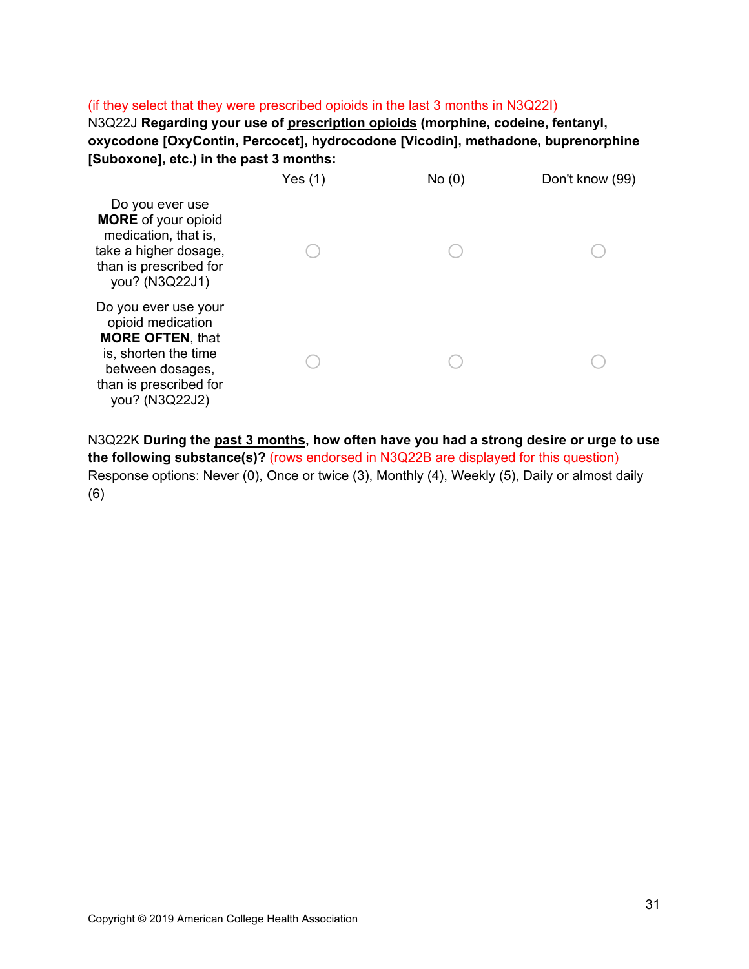## (if they select that they were prescribed opioids in the last 3 months in N3Q22I)

N3Q22J **Regarding your use of prescription opioids (morphine, codeine, fentanyl, oxycodone [OxyContin, Percocet], hydrocodone [Vicodin], methadone, buprenorphine [Suboxone], etc.) in the past 3 months:**



N3Q22K **During the past 3 months, how often have you had a strong desire or urge to use the following substance(s)?** (rows endorsed in N3Q22B are displayed for this question) Response options: Never (0), Once or twice (3), Monthly (4), Weekly (5), Daily or almost daily (6)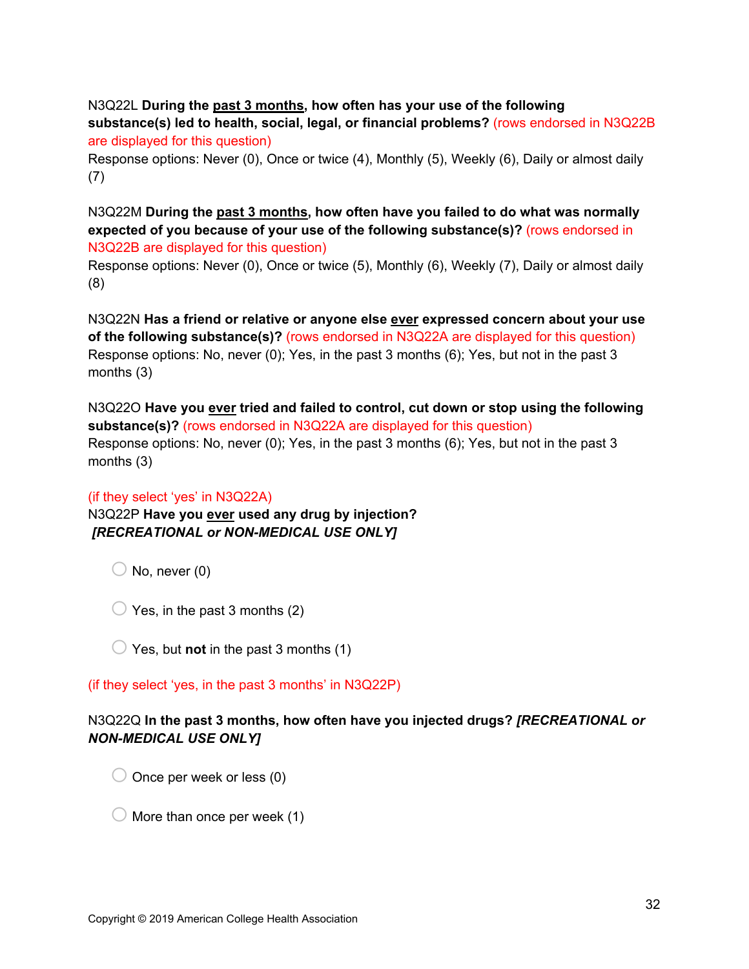N3Q22L **During the past 3 months, how often has your use of the following substance(s) led to health, social, legal, or financial problems?** (rows endorsed in N3Q22B are displayed for this question)

Response options: Never (0), Once or twice (4), Monthly (5), Weekly (6), Daily or almost daily (7)

N3Q22M **During the past 3 months, how often have you failed to do what was normally expected of you because of your use of the following substance(s)?** (rows endorsed in N3Q22B are displayed for this question)

Response options: Never (0), Once or twice (5), Monthly (6), Weekly (7), Daily or almost daily (8)

N3Q22N **Has a friend or relative or anyone else ever expressed concern about your use of the following substance(s)?** (rows endorsed in N3Q22A are displayed for this question) Response options: No, never (0); Yes, in the past 3 months (6); Yes, but not in the past 3 months (3)

N3Q22O **Have you ever tried and failed to control, cut down or stop using the following substance(s)?** (rows endorsed in N3Q22A are displayed for this question) Response options: No, never (0); Yes, in the past 3 months (6); Yes, but not in the past 3 months (3)

## (if they select 'yes' in N3Q22A)

N3Q22P **Have you ever used any drug by injection?**  *[RECREATIONAL or NON-MEDICAL USE ONLY]*

 $\bigcirc$  No, never (0)

 $\bigcirc$  Yes, in the past 3 months (2)

 $\bigcirc$  Yes, but **not** in the past 3 months (1)

(if they select 'yes, in the past 3 months' in N3Q22P)

## N3Q22Q **In the past 3 months, how often have you injected drugs?** *[RECREATIONAL or NON-MEDICAL USE ONLY]*

 $\bigcirc$  Once per week or less (0)

 $\bigcirc$  More than once per week (1)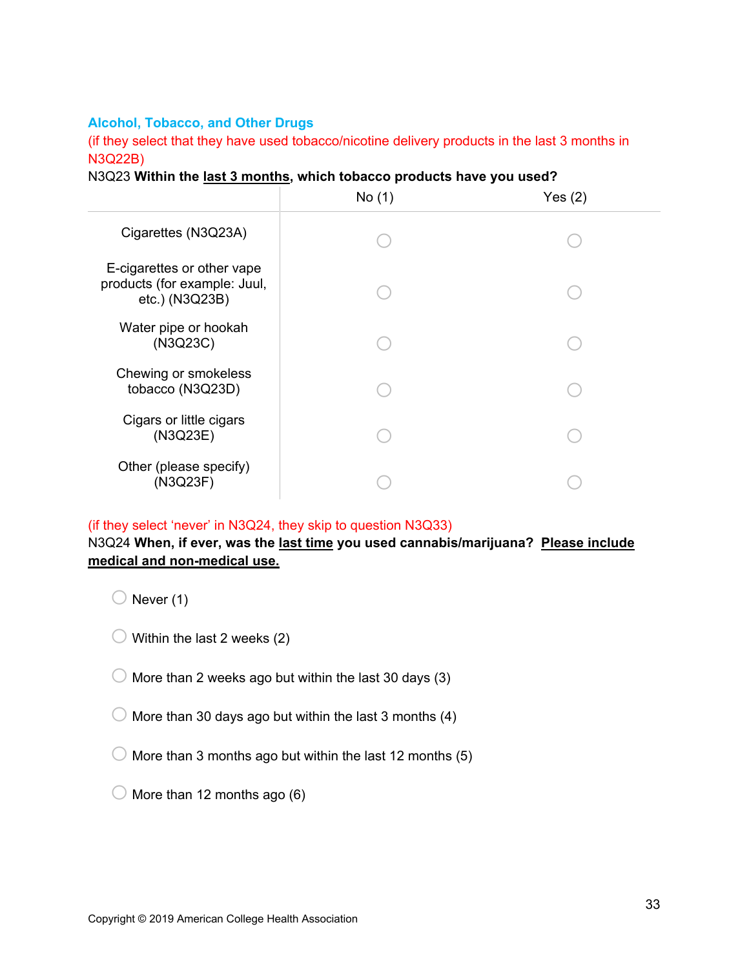## **Alcohol, Tobacco, and Other Drugs**

(if they select that they have used tobacco/nicotine delivery products in the last 3 months in N3Q22B)

|  | N3Q23 Within the last 3 months, which tobacco products have you used? |  |  |  |  |
|--|-----------------------------------------------------------------------|--|--|--|--|
|--|-----------------------------------------------------------------------|--|--|--|--|

|                                                                              | No(1) | Yes $(2)$ |
|------------------------------------------------------------------------------|-------|-----------|
| Cigarettes (N3Q23A)                                                          |       |           |
| E-cigarettes or other vape<br>products (for example: Juul,<br>etc.) (N3Q23B) |       |           |
| Water pipe or hookah<br>(N3Q23C)                                             |       |           |
| Chewing or smokeless<br>tobacco (N3Q23D)                                     |       |           |
| Cigars or little cigars<br>(N3Q23E)                                          |       |           |
| Other (please specify)<br>(N3Q23F)                                           |       |           |

#### (if they select 'never' in N3Q24, they skip to question N3Q33)

## N3Q24 **When, if ever, was the last time you used cannabis/marijuana? Please include medical and non-medical use.**

 $\bigcirc$  Never (1)

- $\bigcirc$  Within the last 2 weeks (2)
- $\bigcirc$  More than 2 weeks ago but within the last 30 days (3)
- $\bigcirc$  More than 30 days ago but within the last 3 months (4)
- $\bigcirc$  More than 3 months ago but within the last 12 months (5)
- $\bigcirc$  More than 12 months ago (6)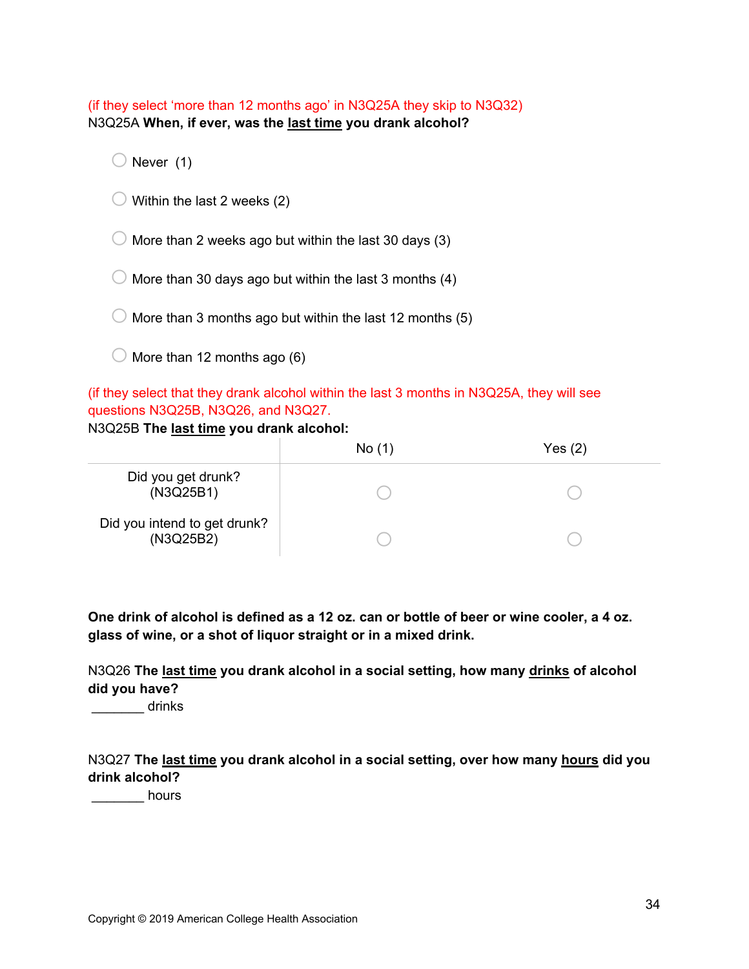(if they select 'more than 12 months ago' in N3Q25A they skip to N3Q32) N3Q25A **When, if ever, was the last time you drank alcohol?**

 $\bigcirc$  Never (1)

 $\bigcirc$  Within the last 2 weeks (2)

 $\bigcirc$  More than 2 weeks ago but within the last 30 days (3)

 $\bigcirc$  More than 30 days ago but within the last 3 months (4)

 $\bigcirc$  More than 3 months ago but within the last 12 months (5)

 $\bigcirc$  More than 12 months ago (6)

(if they select that they drank alcohol within the last 3 months in N3Q25A, they will see questions N3Q25B, N3Q26, and N3Q27.

N3Q25B **The last time you drank alcohol:**

|                                           | No(1) | Yes $(2)$ |
|-------------------------------------------|-------|-----------|
| Did you get drunk?<br>(N3Q25B1)           |       |           |
| Did you intend to get drunk?<br>(N3Q25B2) |       |           |

**One drink of alcohol is defined as a 12 oz. can or bottle of beer or wine cooler, a 4 oz. glass of wine, or a shot of liquor straight or in a mixed drink.**

N3Q26 **The last time you drank alcohol in a social setting, how many drinks of alcohol did you have?**

\_\_\_\_\_\_\_ drinks

N3Q27 **The last time you drank alcohol in a social setting, over how many hours did you drink alcohol?**

decrease to hours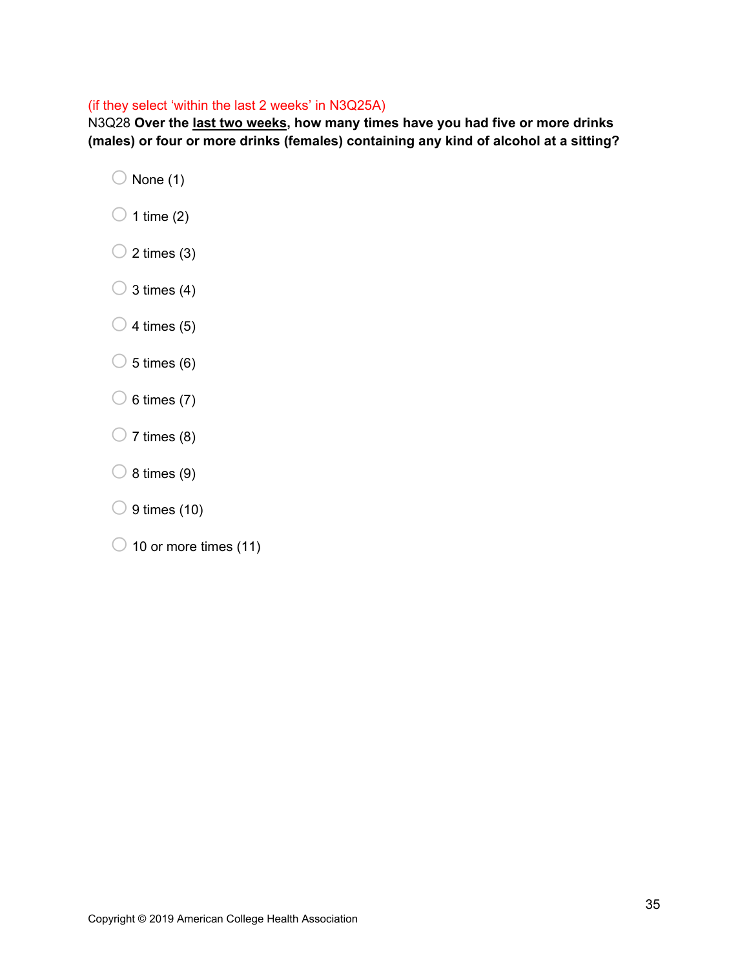## (if they select 'within the last 2 weeks' in N3Q25A)

N3Q28 **Over the last two weeks, how many times have you had five or more drinks (males) or four or more drinks (females) containing any kind of alcohol at a sitting?**

- $\bigcirc$  None (1)
- $\bigcirc$  1 time (2)
- $\bigcirc$  2 times (3)
- $\bigcirc$  3 times (4)
- $\bigcirc$  4 times (5)
- $\bigcirc$  5 times (6)
- $\bigcirc$  6 times (7)
- $\bigcirc$  7 times (8)
- $\bigcirc$  8 times (9)
- $\bigcirc$  9 times (10)
- $\bigcirc$  10 or more times (11)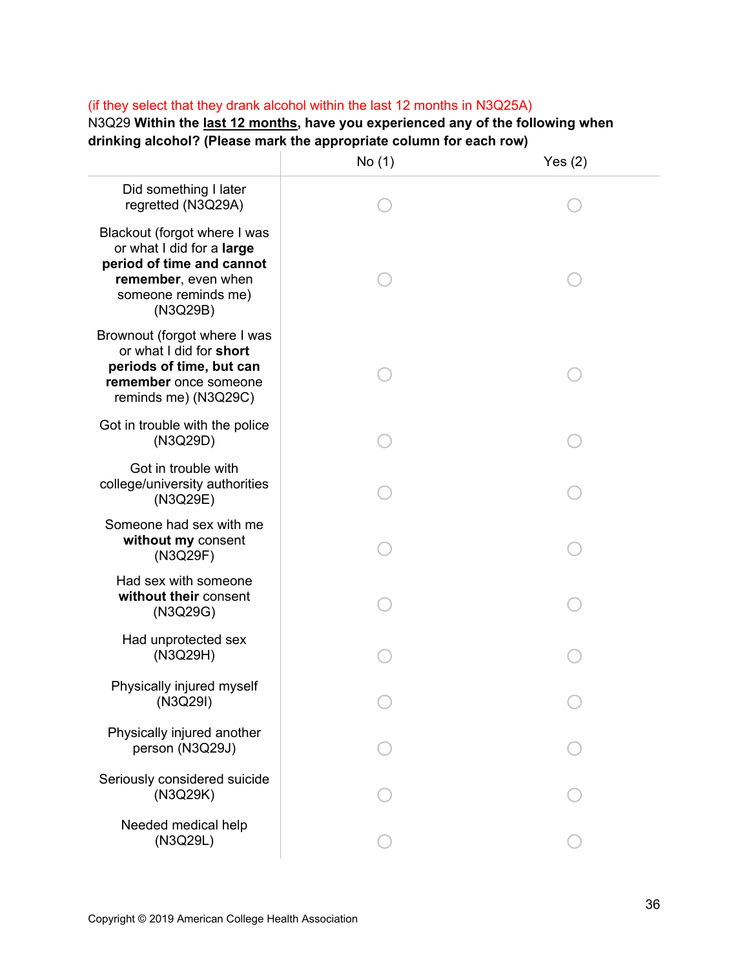## (if they select that they drank alcohol within the last 12 months in N3Q25A)

N3Q29 **Within the last 12 months, have you experienced any of the following when drinking alcohol? (Please mark the appropriate column for each row)** 

|                                                                                                                                                  | No (1) | Yes $(2)$ |
|--------------------------------------------------------------------------------------------------------------------------------------------------|--------|-----------|
| Did something I later<br>regretted (N3Q29A)                                                                                                      |        |           |
| Blackout (forgot where I was<br>or what I did for a large<br>period of time and cannot<br>remember, even when<br>someone reminds me)<br>(N3Q29B) |        |           |
| Brownout (forgot where I was<br>or what I did for short<br>periods of time, but can<br>remember once someone<br>reminds me) (N3Q29C)             |        |           |
| Got in trouble with the police<br>(N3Q29D)                                                                                                       |        |           |
| Got in trouble with<br>college/university authorities<br>(N3Q29E)                                                                                |        |           |
| Someone had sex with me<br>without my consent<br>(N3Q29F)                                                                                        |        |           |
| Had sex with someone<br>without their consent<br>(N3Q29G)                                                                                        |        |           |
| Had unprotected sex<br>(N3Q29H)                                                                                                                  |        |           |
| Physically injured myself<br>(N3Q29I)                                                                                                            |        |           |
| Physically injured another<br>person (N3Q29J)                                                                                                    |        |           |
| Seriously considered suicide<br>(N3Q29K)                                                                                                         |        |           |
| Needed medical help<br>(N3Q29L)                                                                                                                  |        |           |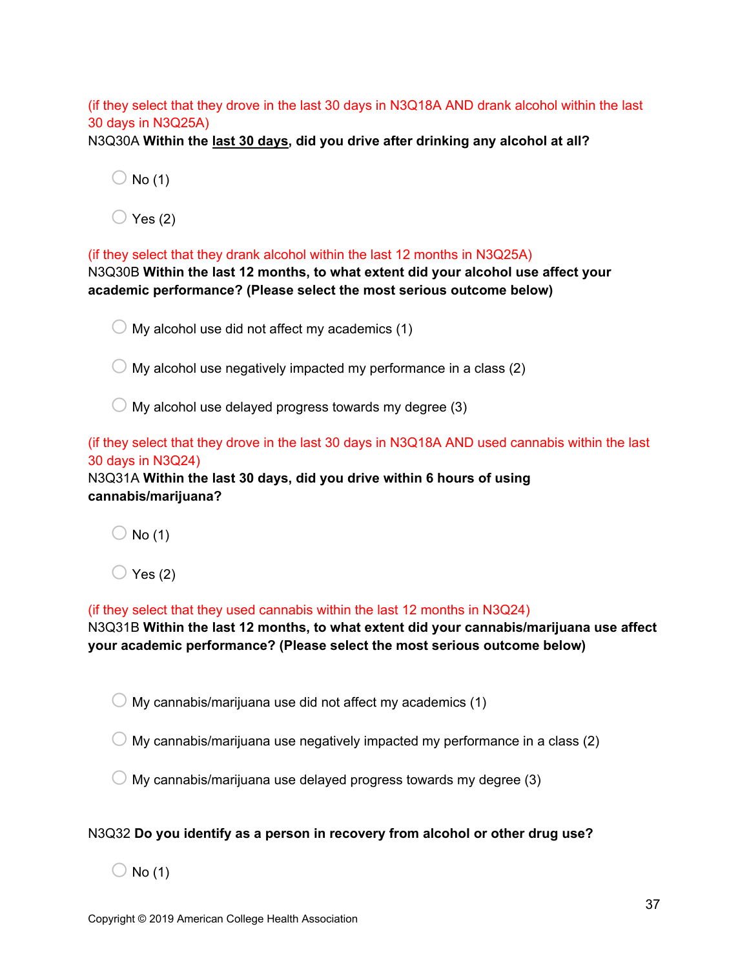## (if they select that they drove in the last 30 days in N3Q18A AND drank alcohol within the last 30 days in N3Q25A)

N3Q30A **Within the last 30 days, did you drive after drinking any alcohol at all?**

 $\bigcirc$  No (1)

 $\bigcirc$  Yes (2)

(if they select that they drank alcohol within the last 12 months in N3Q25A) N3Q30B **Within the last 12 months, to what extent did your alcohol use affect your academic performance? (Please select the most serious outcome below)**

 $\bigcirc$  My alcohol use did not affect my academics (1)

 $\bigcirc$  My alcohol use negatively impacted my performance in a class (2)

 $\bigcirc$  My alcohol use delayed progress towards my degree (3)

(if they select that they drove in the last 30 days in N3Q18A AND used cannabis within the last 30 days in N3Q24)

N3Q31A **Within the last 30 days, did you drive within 6 hours of using cannabis/marijuana?**

 $\bigcirc$  No (1)

 $\bigcirc$  Yes (2)

(if they select that they used cannabis within the last 12 months in N3Q24)

N3Q31B **Within the last 12 months, to what extent did your cannabis/marijuana use affect your academic performance? (Please select the most serious outcome below)**

 $\bigcirc$  My cannabis/marijuana use did not affect my academics (1)

 $\bigcirc$  My cannabis/marijuana use negatively impacted my performance in a class (2)

 $\bigcirc$  My cannabis/marijuana use delayed progress towards my degree (3)

### N3Q32 **Do you identify as a person in recovery from alcohol or other drug use?**

 $\bigcirc$  No (1)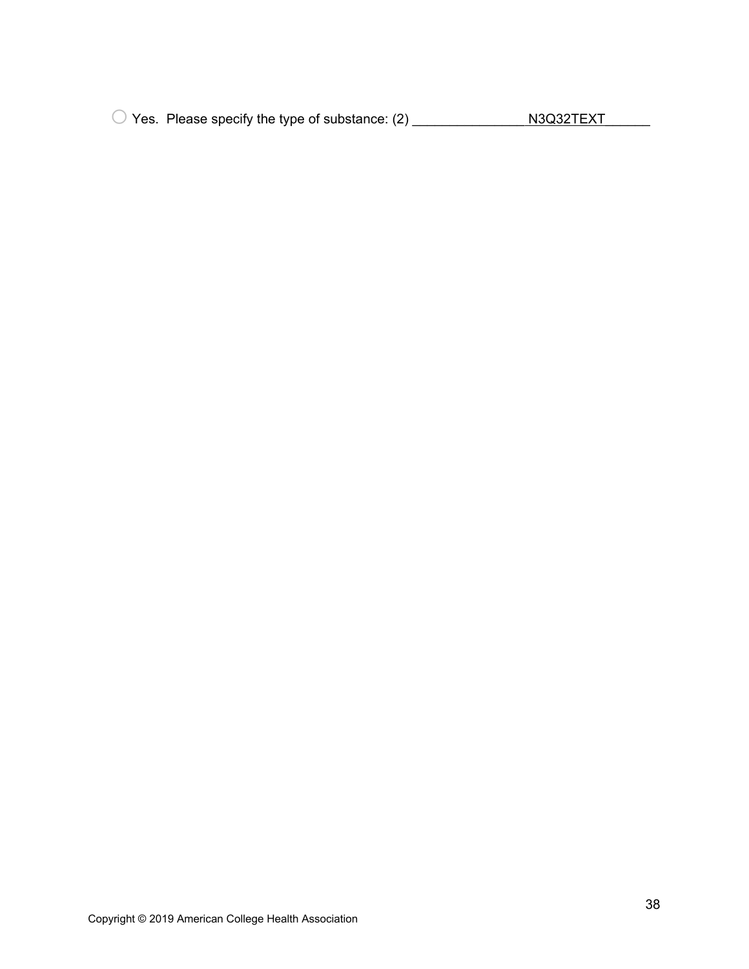O Yes. Please specify the type of substance: (2) \_\_\_\_\_\_\_\_\_\_\_\_\_\_\_\_ N3Q32TEXT\_\_\_\_\_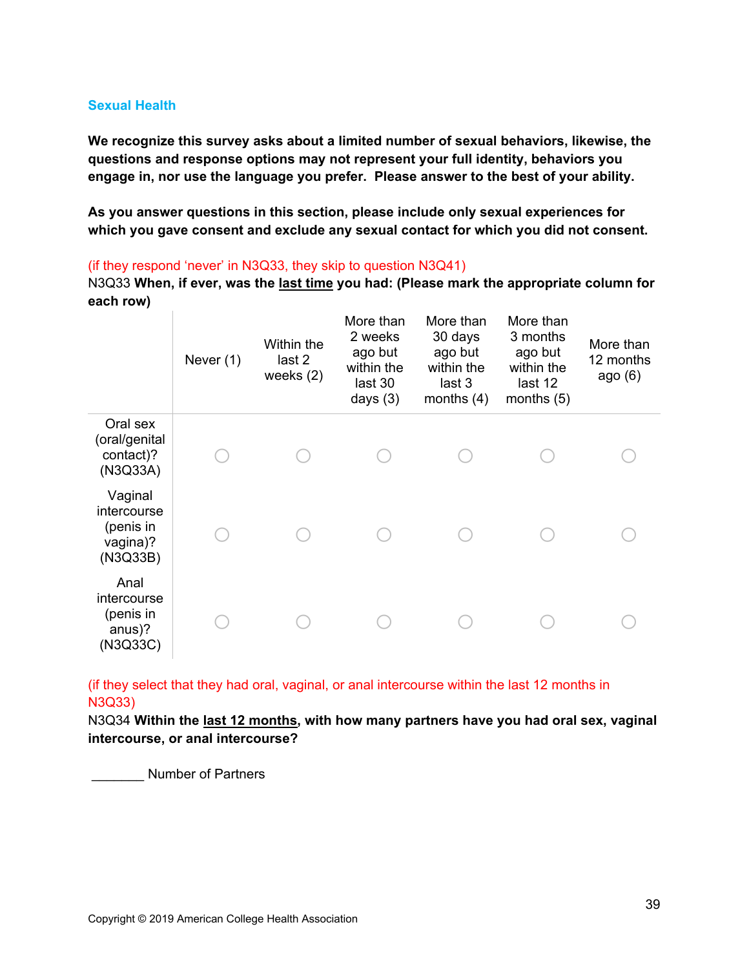### **Sexual Health**

**We recognize this survey asks about a limited number of sexual behaviors, likewise, the questions and response options may not represent your full identity, behaviors you engage in, nor use the language you prefer. Please answer to the best of your ability.** 

**As you answer questions in this section, please include only sexual experiences for which you gave consent and exclude any sexual contact for which you did not consent.**

(if they respond 'never' in N3Q33, they skip to question N3Q41)

N3Q33 **When, if ever, was the last time you had: (Please mark the appropriate column for each row)**

|                                                             | Never (1) | Within the<br>last 2<br>weeks $(2)$ | More than<br>2 weeks<br>ago but<br>within the<br>last 30<br>days $(3)$ | More than<br>30 days<br>ago but<br>within the<br>last 3<br>months $(4)$ | More than<br>3 months<br>ago but<br>within the<br>last 12<br>months $(5)$ | More than<br>12 months<br>ago $(6)$ |
|-------------------------------------------------------------|-----------|-------------------------------------|------------------------------------------------------------------------|-------------------------------------------------------------------------|---------------------------------------------------------------------------|-------------------------------------|
| Oral sex<br>(oral/genital<br>contact)?<br>(N3Q33A)          |           |                                     |                                                                        |                                                                         |                                                                           |                                     |
| Vaginal<br>intercourse<br>(penis in<br>vagina)?<br>(N3Q33B) |           |                                     |                                                                        |                                                                         |                                                                           |                                     |
| Anal<br>intercourse<br>(penis in<br>anus)?<br>(N3Q33C)      |           |                                     |                                                                        |                                                                         |                                                                           |                                     |

(if they select that they had oral, vaginal, or anal intercourse within the last 12 months in N3Q33)

N3Q34 **Within the last 12 months, with how many partners have you had oral sex, vaginal intercourse, or anal intercourse?**

\_\_\_\_\_\_\_ Number of Partners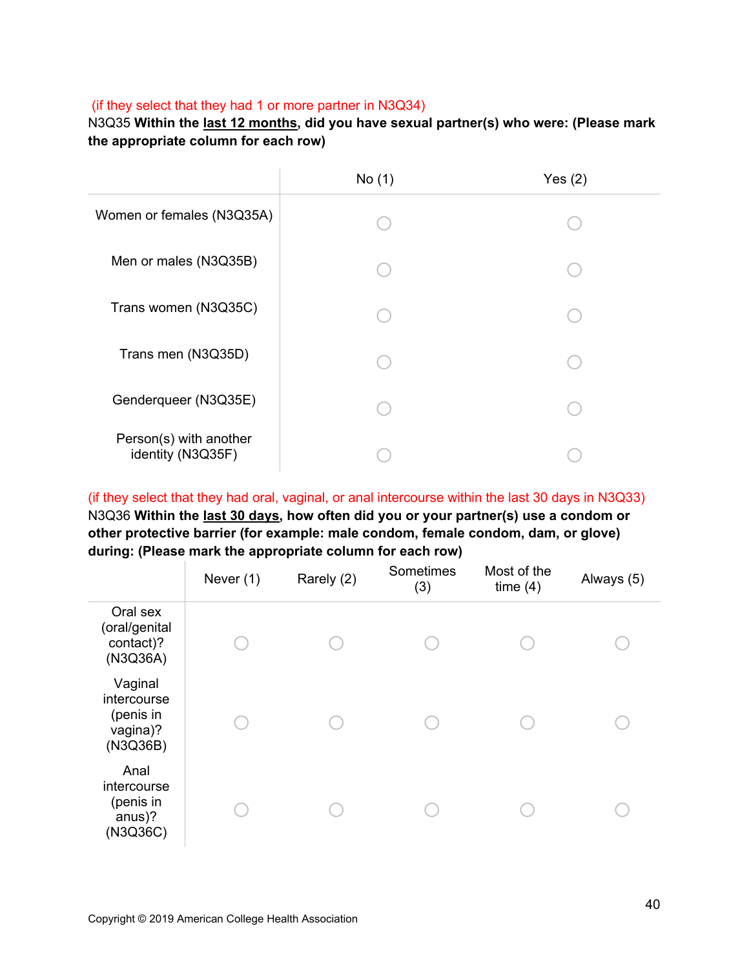## (if they select that they had 1 or more partner in N3Q34)

N3Q35 **Within the last 12 months, did you have sexual partner(s) who were: (Please mark the appropriate column for each row)**

|                                             | No(1) | Yes $(2)$ |
|---------------------------------------------|-------|-----------|
| Women or females (N3Q35A)                   |       |           |
| Men or males (N3Q35B)                       |       |           |
| Trans women (N3Q35C)                        |       |           |
| Trans men (N3Q35D)                          |       |           |
| Genderqueer (N3Q35E)                        |       |           |
| Person(s) with another<br>identity (N3Q35F) |       |           |

(if they select that they had oral, vaginal, or anal intercourse within the last 30 days in N3Q33) N3Q36 **Within the last 30 days, how often did you or your partner(s) use a condom or other protective barrier (for example: male condom, female condom, dam, or glove) during: (Please mark the appropriate column for each row)** 

|                                                             | Never (1) | Rarely (2) | Sometimes<br>(3) | Most of the<br>time $(4)$ | Always (5) |
|-------------------------------------------------------------|-----------|------------|------------------|---------------------------|------------|
| Oral sex<br>(oral/genital<br>contact)?<br>(N3Q36A)          |           |            |                  |                           |            |
| Vaginal<br>intercourse<br>(penis in<br>vagina)?<br>(N3Q36B) |           |            |                  |                           |            |
| Anal<br>intercourse<br>(penis in<br>anus)?<br>(N3Q36C)      |           |            |                  |                           |            |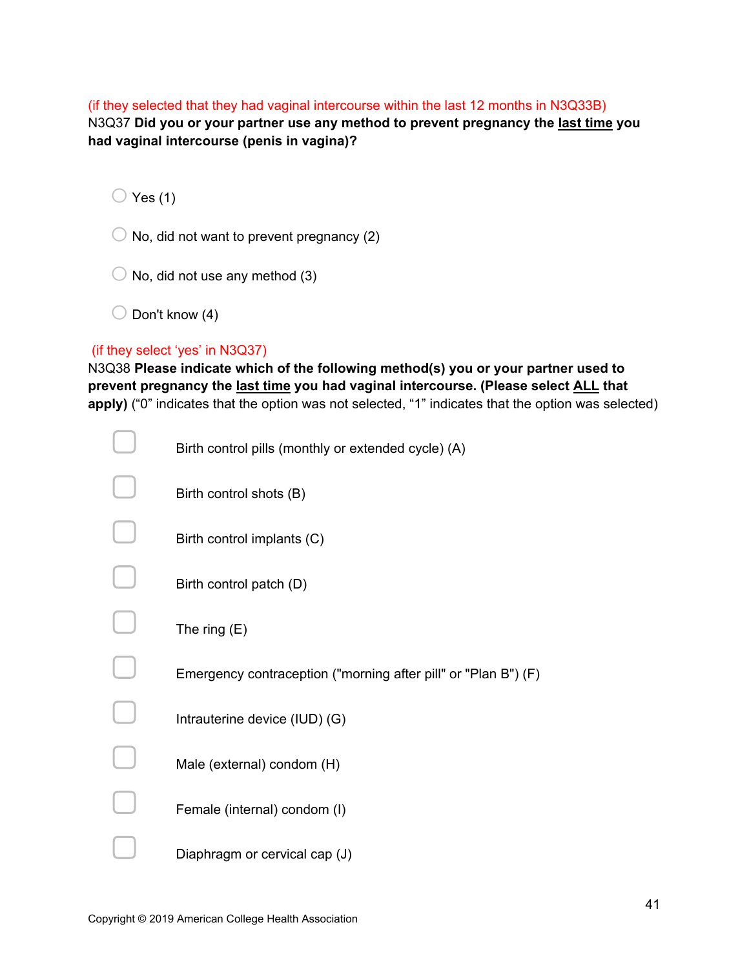(if they selected that they had vaginal intercourse within the last 12 months in N3Q33B) N3Q37 **Did you or your partner use any method to prevent pregnancy the last time you had vaginal intercourse (penis in vagina)?**

 $\bigcirc$  Yes (1)

 $\bigcirc$  No, did not want to prevent pregnancy (2)

 $\bigcirc$  No, did not use any method (3)

 $\bigcirc$  Don't know (4)

#### (if they select 'yes' in N3Q37)

N3Q38 **Please indicate which of the following method(s) you or your partner used to prevent pregnancy the last time you had vaginal intercourse. (Please select ALL that apply)** ("0" indicates that the option was not selected, "1" indicates that the option was selected)

| Birth control pills (monthly or extended cycle) (A)            |
|----------------------------------------------------------------|
| Birth control shots (B)                                        |
| Birth control implants (C)                                     |
| Birth control patch (D)                                        |
| The ring $(E)$                                                 |
| Emergency contraception ("morning after pill" or "Plan B") (F) |
| Intrauterine device (IUD) (G)                                  |
| Male (external) condom (H)                                     |
| Female (internal) condom (I)                                   |
| Diaphragm or cervical cap (J)                                  |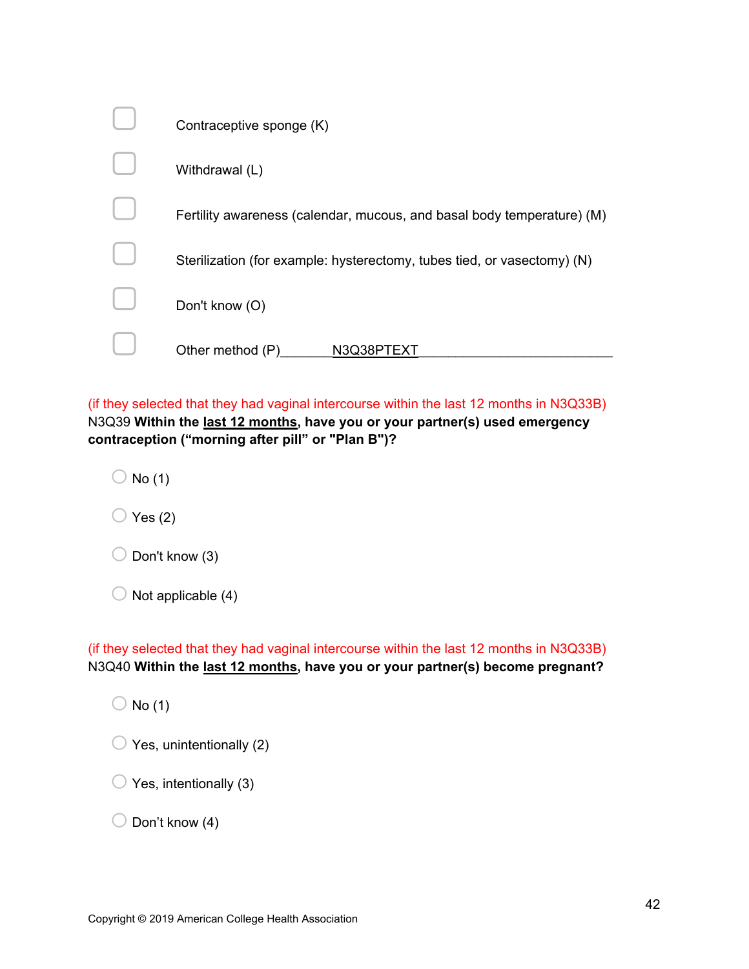| Contraceptive sponge (K)                                                |
|-------------------------------------------------------------------------|
| Withdrawal (L)                                                          |
| Fertility awareness (calendar, mucous, and basal body temperature) (M)  |
| Sterilization (for example: hysterectomy, tubes tied, or vasectomy) (N) |
| Don't know (O)                                                          |
| Other method (P)<br>N3Q38I                                              |

(if they selected that they had vaginal intercourse within the last 12 months in N3Q33B) N3Q39 **Within the last 12 months, have you or your partner(s) used emergency contraception ("morning after pill" or "Plan B")?**

 $\bigcirc$  No (1)

 $\bigcirc$  Yes (2)

| $\bigcirc$ Don't know (3) |
|---------------------------|
|                           |

| $\bigcirc$ Not applicable (4) |
|-------------------------------|
|                               |

(if they selected that they had vaginal intercourse within the last 12 months in N3Q33B) N3Q40 **Within the last 12 months, have you or your partner(s) become pregnant?**

 $\bigcirc$  No (1)

| $\bigcirc$ Yes, unintentionally (2) |
|-------------------------------------|
|-------------------------------------|

 $\bigcirc$  Yes, intentionally (3)

 $\bigcirc$  Don't know (4)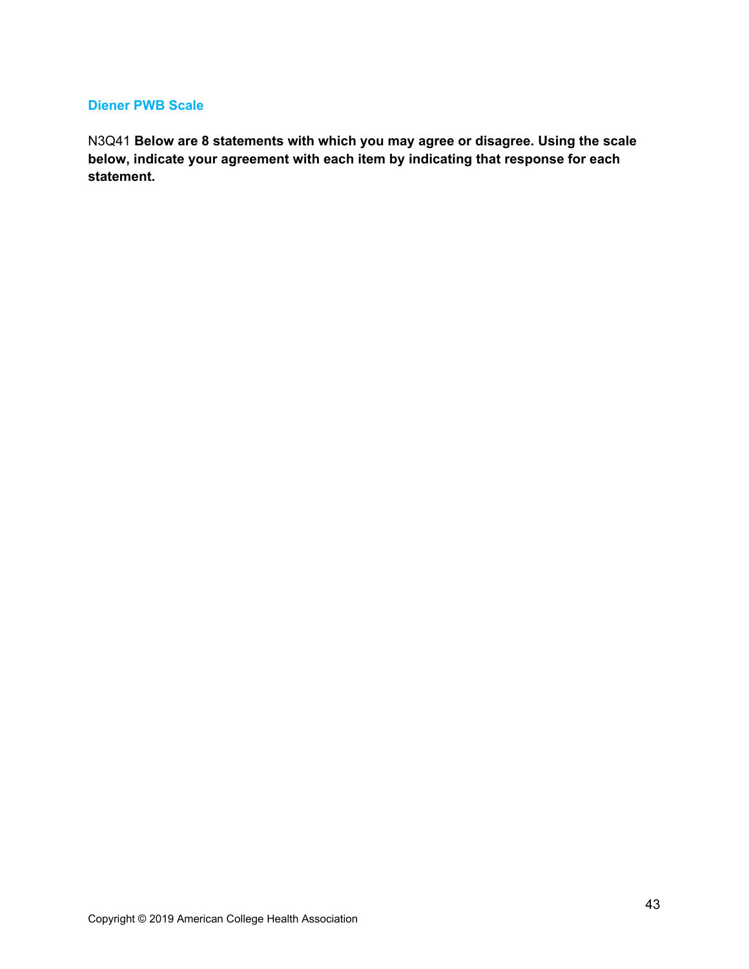#### **Diener PWB Scale**

N3Q41 **Below are 8 statements with which you may agree or disagree. Using the scale below, indicate your agreement with each item by indicating that response for each statement.**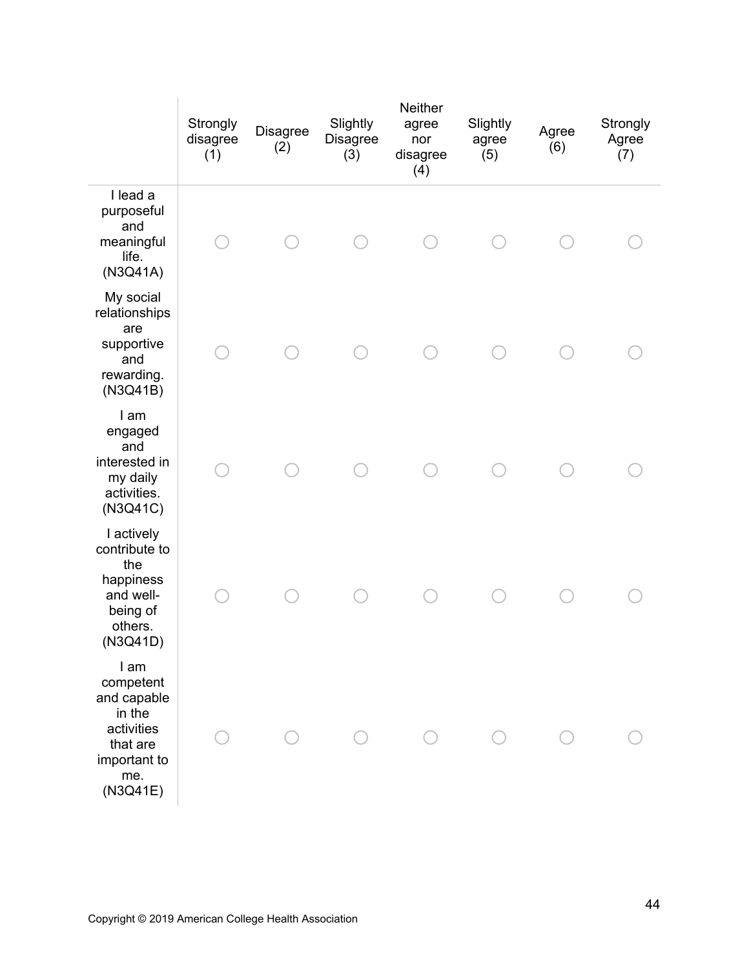|                                                                                                         | Strongly<br>disagree<br>(1) | Disagree<br>(2) | Slightly<br>Disagree<br>(3) | Neither<br>agree<br>nor<br>disagree<br>(4) | Slightly<br>agree<br>(5) | Agree<br>(6) | Strongly<br>Agree<br>(7) |
|---------------------------------------------------------------------------------------------------------|-----------------------------|-----------------|-----------------------------|--------------------------------------------|--------------------------|--------------|--------------------------|
| I lead a<br>purposeful<br>and<br>meaningful<br>life.<br>(N3Q41A)                                        |                             |                 |                             |                                            |                          |              |                          |
| My social<br>relationships<br>are<br>supportive<br>and<br>rewarding.<br>(N3Q41B)                        |                             |                 |                             |                                            |                          |              |                          |
| I am<br>engaged<br>and<br>interested in<br>my daily<br>activities.<br>(N3Q41C)                          |                             |                 |                             |                                            |                          |              |                          |
| I actively<br>contribute to<br>the<br>happiness<br>and well-<br>being of<br>others.<br>(N3Q41D)         |                             |                 |                             |                                            |                          |              |                          |
| I am<br>competent<br>and capable<br>in the<br>activities<br>that are<br>important to<br>me.<br>(N3Q41E) |                             |                 |                             |                                            |                          |              |                          |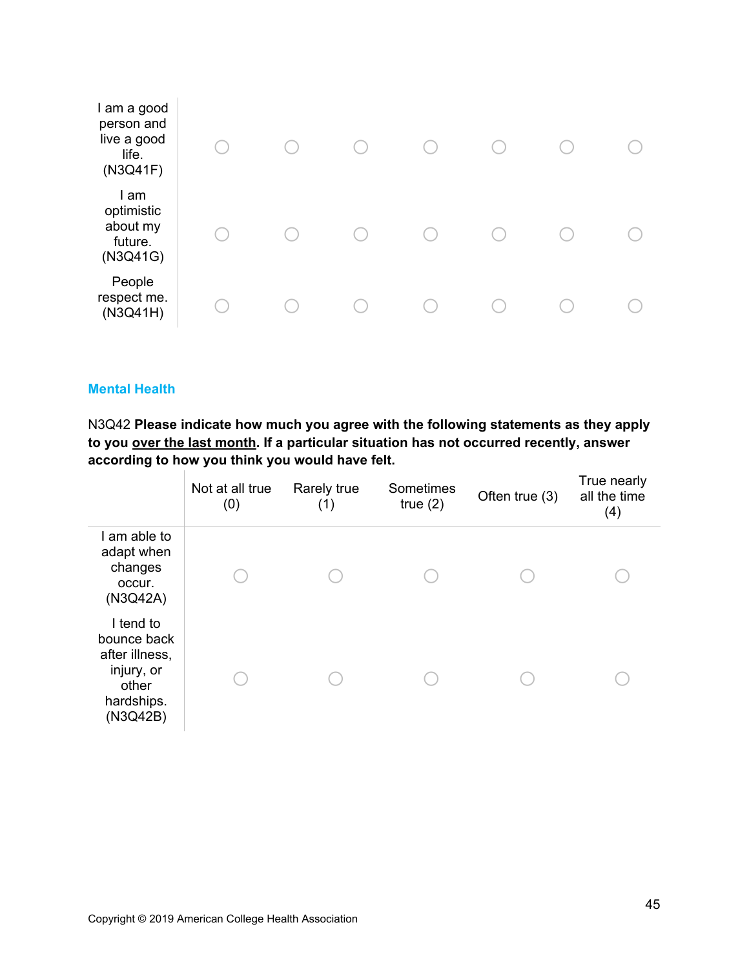| I am a good<br>person and<br>live a good<br>life.<br>(N3Q41F) |  |  |  |  |
|---------------------------------------------------------------|--|--|--|--|
| I am<br>optimistic<br>about my<br>future.<br>(N3Q41G)         |  |  |  |  |
| People<br>respect me.<br>(N3Q41H)                             |  |  |  |  |

#### **Mental Health**

N3Q42 **Please indicate how much you agree with the following statements as they apply to you over the last month. If a particular situation has not occurred recently, answer according to how you think you would have felt.**

|                                                                                             | Not at all true<br>(0) | Rarely true<br>(1) | Sometimes<br>true $(2)$ | Often true (3) | True nearly<br>all the time<br>(4) |
|---------------------------------------------------------------------------------------------|------------------------|--------------------|-------------------------|----------------|------------------------------------|
| I am able to<br>adapt when<br>changes<br>occur.<br>(N3Q42A)                                 |                        |                    |                         |                |                                    |
| I tend to<br>bounce back<br>after illness,<br>injury, or<br>other<br>hardships.<br>(N3Q42B) |                        |                    |                         |                |                                    |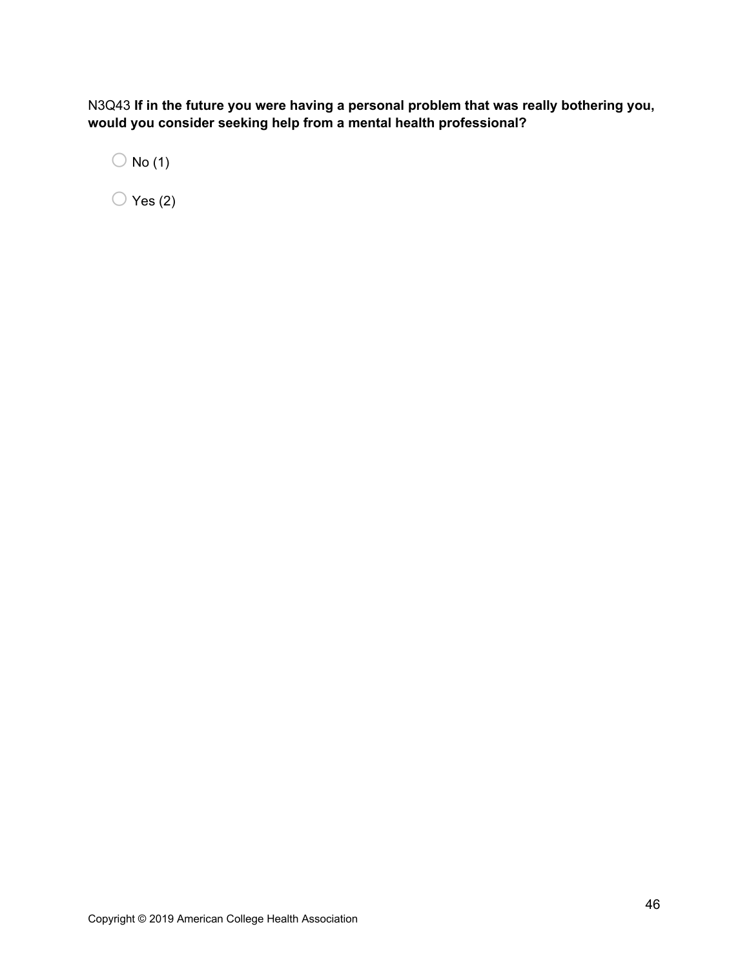N3Q43 **If in the future you were having a personal problem that was really bothering you, would you consider seeking help from a mental health professional?**

 $\bigcirc$  No (1)

 $\bigcirc$  Yes (2)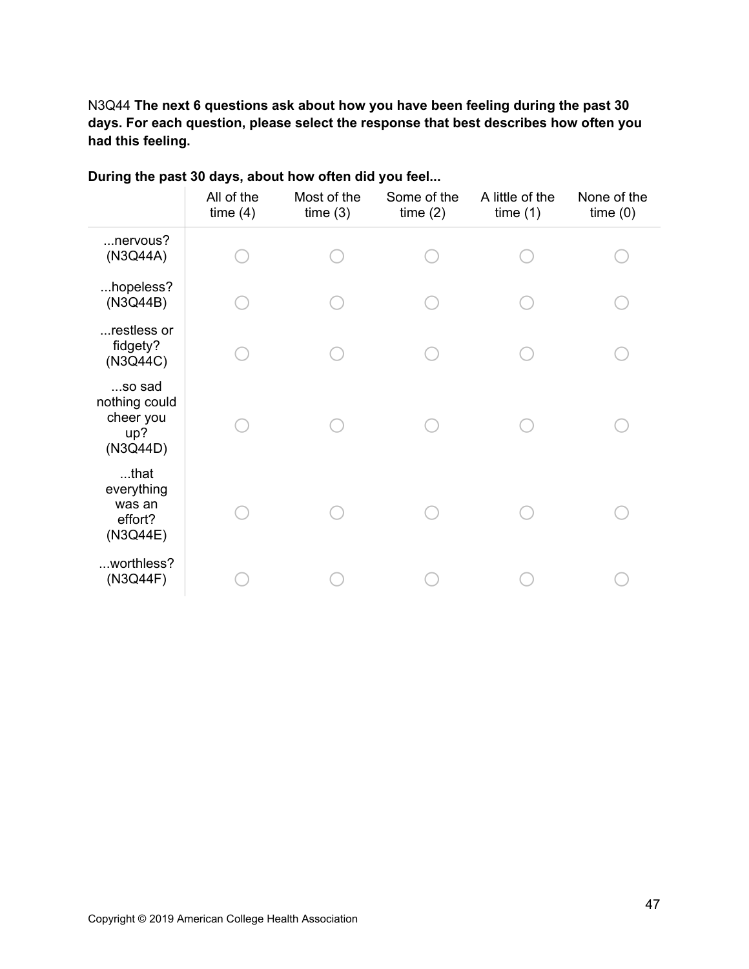N3Q44 **The next 6 questions ask about how you have been feeling during the past 30 days. For each question, please select the response that best describes how often you had this feeling.**

|                                                         | All of the<br>time(4) | Most of the<br>time(3) | Some of the<br>time(2) | A little of the<br>time(1) | None of the<br>time(0) |
|---------------------------------------------------------|-----------------------|------------------------|------------------------|----------------------------|------------------------|
| nervous?<br>(N3Q44A)                                    |                       |                        |                        |                            |                        |
| hopeless?<br>(N3Q44B)                                   |                       |                        |                        |                            |                        |
| restless or<br>fidgety?<br>(N3Q44C)                     |                       |                        |                        |                            |                        |
| so sad<br>nothing could<br>cheer you<br>up?<br>(N3Q44D) |                       |                        |                        |                            |                        |
| $$ that<br>everything<br>was an<br>effort?<br>(N3Q44E)  |                       |                        |                        |                            |                        |
| worthless?<br>(N3Q44F)                                  |                       |                        |                        |                            |                        |

# **During the past 30 days, about how often did you feel...**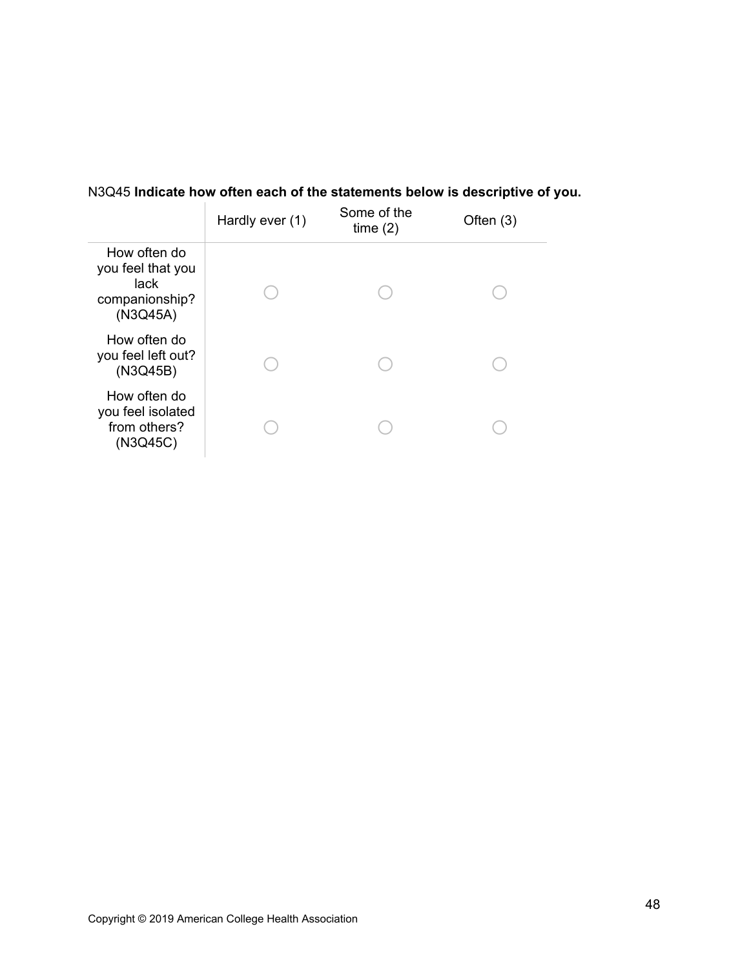# N3Q45 **Indicate how often each of the statements below is descriptive of you.**

|                                                                         | Hardly ever (1) | Some of the<br>time(2) | Often $(3)$ |
|-------------------------------------------------------------------------|-----------------|------------------------|-------------|
| How often do<br>you feel that you<br>lack<br>companionship?<br>(N3Q45A) |                 |                        |             |
| How often do<br>you feel left out?<br>(N3Q45B)                          |                 |                        |             |
| How often do<br>you feel isolated<br>from others?<br>(N3Q45C)           |                 |                        |             |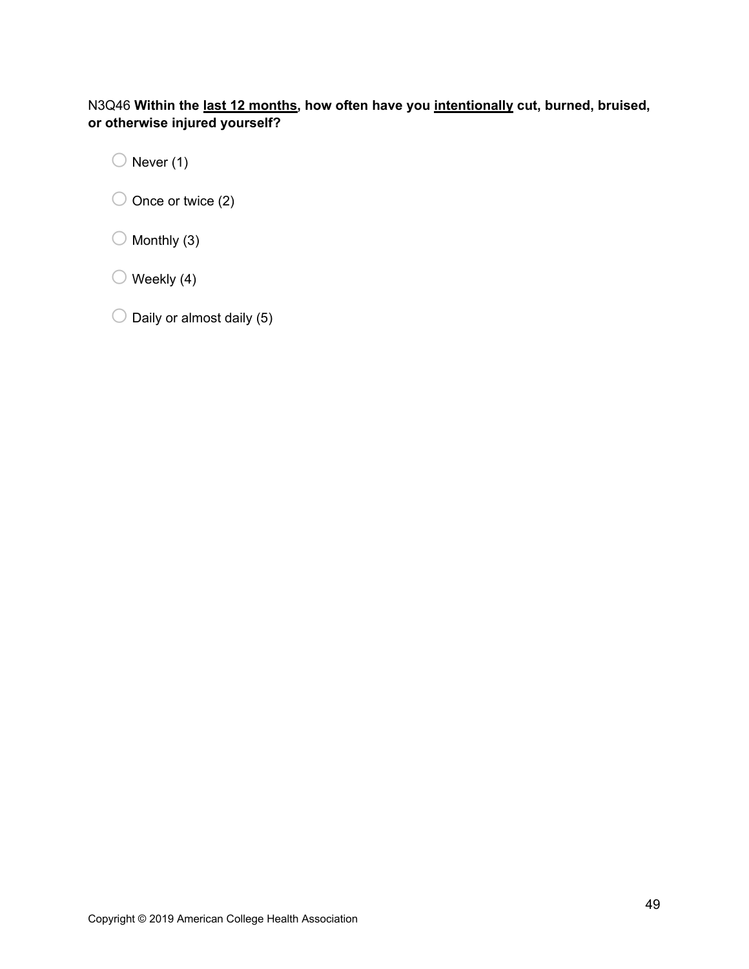# N3Q46 **Within the last 12 months, how often have you intentionally cut, burned, bruised, or otherwise injured yourself?**

 $\bigcirc$  Never (1)

 $\bigcirc$  Once or twice (2)

 $\bigcirc$  Monthly (3)

 $\bigcirc$  Weekly (4)

 $\bigcirc$  Daily or almost daily (5)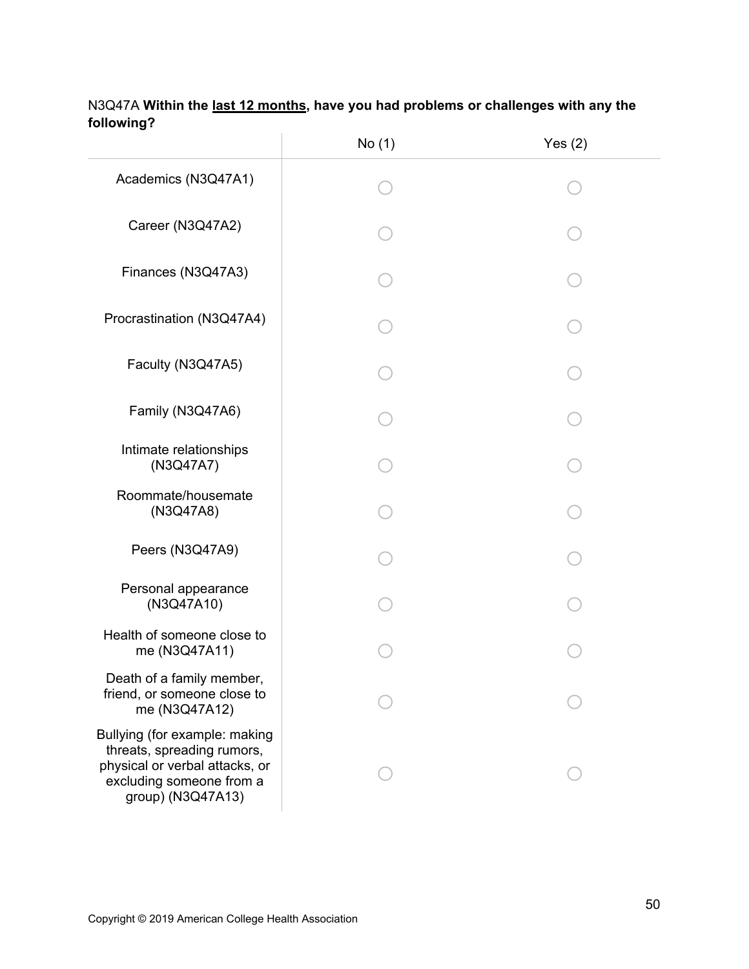|                                                                                                                                                | No (1) | Yes $(2)$ |
|------------------------------------------------------------------------------------------------------------------------------------------------|--------|-----------|
| Academics (N3Q47A1)                                                                                                                            |        |           |
| Career (N3Q47A2)                                                                                                                               |        |           |
| Finances (N3Q47A3)                                                                                                                             |        |           |
| Procrastination (N3Q47A4)                                                                                                                      |        |           |
| Faculty (N3Q47A5)                                                                                                                              |        |           |
| Family (N3Q47A6)                                                                                                                               |        |           |
| Intimate relationships<br>(N3Q47A7)                                                                                                            |        |           |
| Roommate/housemate<br>(N3Q47A8)                                                                                                                |        |           |
| Peers (N3Q47A9)                                                                                                                                |        |           |
| Personal appearance<br>(N3Q47A10)                                                                                                              |        |           |
| Health of someone close to<br>me (N3Q47A11)                                                                                                    |        |           |
| Death of a family member,<br>friend, or someone close to<br>me (N3Q47A12)                                                                      |        |           |
| Bullying (for example: making<br>threats, spreading rumors,<br>physical or verbal attacks, or<br>excluding someone from a<br>group) (N3Q47A13) |        |           |

# N3Q47A **Within the last 12 months, have you had problems or challenges with any the following?**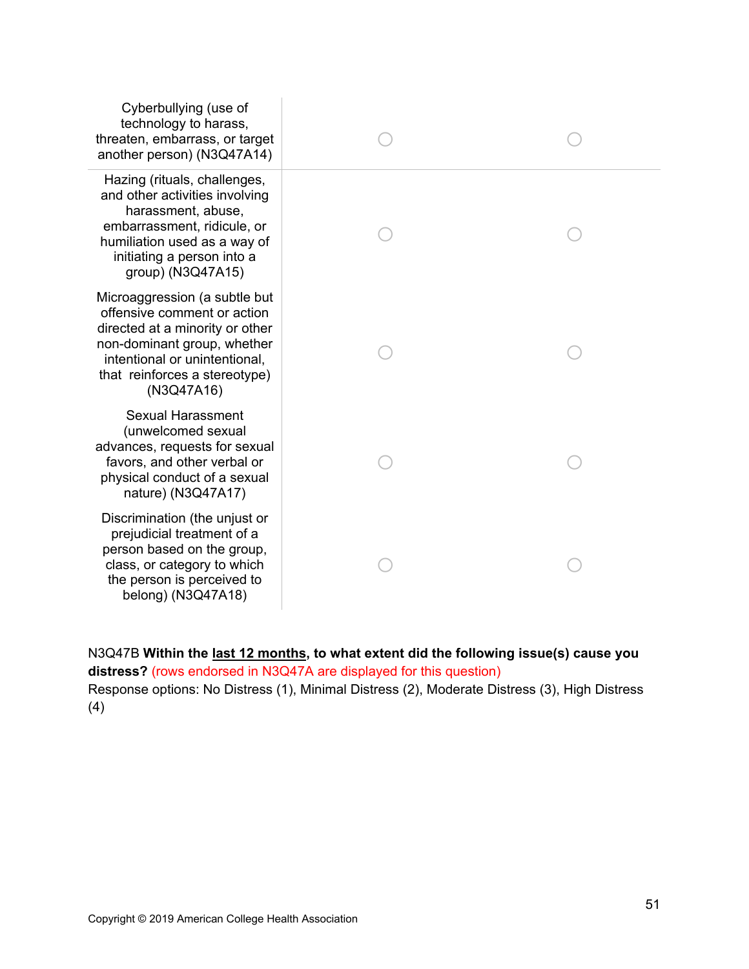| Cyberbullying (use of<br>technology to harass,<br>threaten, embarrass, or target<br>another person) (N3Q47A14)                                                                                                 |  |
|----------------------------------------------------------------------------------------------------------------------------------------------------------------------------------------------------------------|--|
| Hazing (rituals, challenges,<br>and other activities involving<br>harassment, abuse,<br>embarrassment, ridicule, or<br>humiliation used as a way of<br>initiating a person into a<br>group) (N3Q47A15)         |  |
| Microaggression (a subtle but<br>offensive comment or action<br>directed at a minority or other<br>non-dominant group, whether<br>intentional or unintentional,<br>that reinforces a stereotype)<br>(N3Q47A16) |  |
| <b>Sexual Harassment</b><br>(unwelcomed sexual<br>advances, requests for sexual<br>favors, and other verbal or<br>physical conduct of a sexual<br>nature) (N3Q47A17)                                           |  |
| Discrimination (the unjust or<br>prejudicial treatment of a<br>person based on the group,<br>class, or category to which<br>the person is perceived to<br>belong) (N3Q47A18)                                   |  |

N3Q47B **Within the last 12 months, to what extent did the following issue(s) cause you distress?** (rows endorsed in N3Q47A are displayed for this question) Response options: No Distress (1), Minimal Distress (2), Moderate Distress (3), High Distress (4)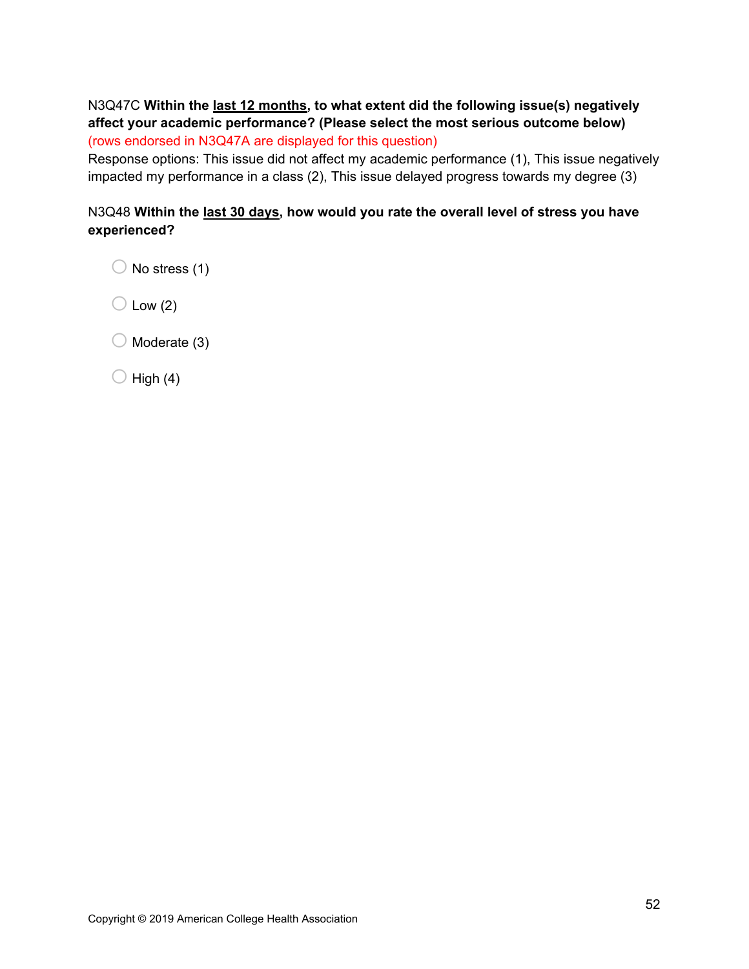# N3Q47C **Within the last 12 months, to what extent did the following issue(s) negatively affect your academic performance? (Please select the most serious outcome below)**  (rows endorsed in N3Q47A are displayed for this question)

Response options: This issue did not affect my academic performance (1), This issue negatively impacted my performance in a class (2), This issue delayed progress towards my degree (3)

# N3Q48 **Within the last 30 days, how would you rate the overall level of stress you have experienced?**

 $\bigcirc$  No stress (1)

 $\bigcirc$  Low (2)

 $\bigcirc$  Moderate (3)

 $\bigcirc$  High (4)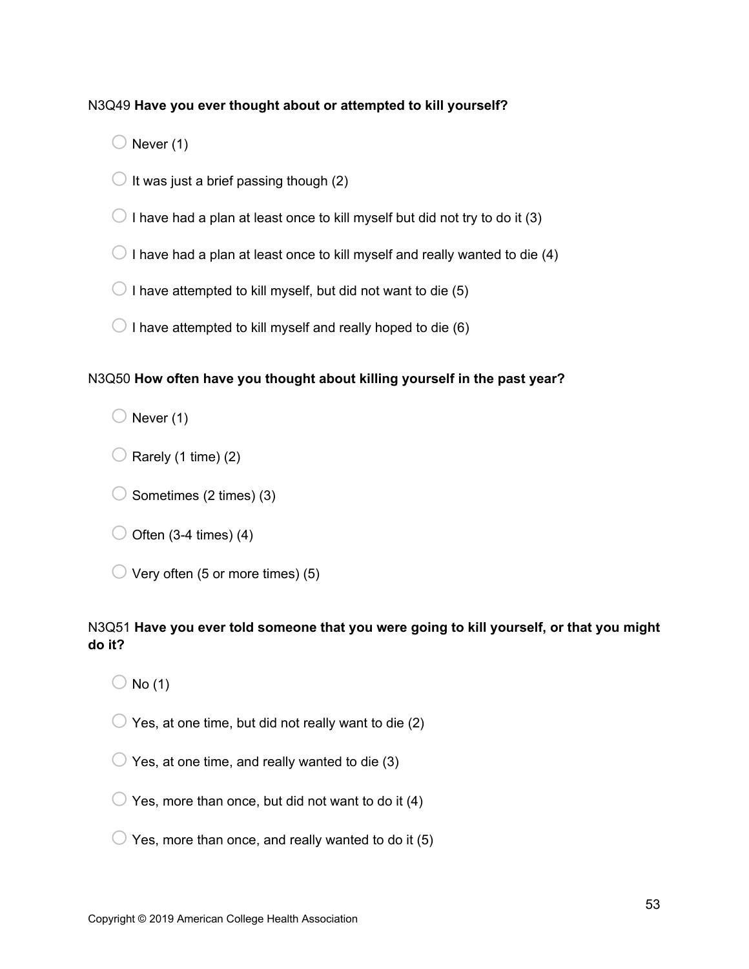## N3Q49 **Have you ever thought about or attempted to kill yourself?**

 $\bigcirc$  Never (1)

- $\bigcirc$  It was just a brief passing though (2)
- $\bigcirc$  I have had a plan at least once to kill myself but did not try to do it (3)
- $\bigcirc$  I have had a plan at least once to kill myself and really wanted to die (4)
- $\bigcirc$  I have attempted to kill myself, but did not want to die (5)
- $\bigcirc$  I have attempted to kill myself and really hoped to die (6)

### N3Q50 **How often have you thought about killing yourself in the past year?**

 $\bigcirc$  Never (1)

- $\bigcirc$  Rarely (1 time) (2)
- $\bigcirc$  Sometimes (2 times) (3)
- $\bigcirc$  Often (3-4 times) (4)
- $\bigcirc$  Very often (5 or more times) (5)

## N3Q51 **Have you ever told someone that you were going to kill yourself, or that you might do it?**

 $\bigcirc$  No (1)

- $\bigcirc$  Yes, at one time, but did not really want to die (2)
- $\bigcirc$  Yes, at one time, and really wanted to die (3)
- $\bigcirc$  Yes, more than once, but did not want to do it (4)
- $\bigcirc$  Yes, more than once, and really wanted to do it (5)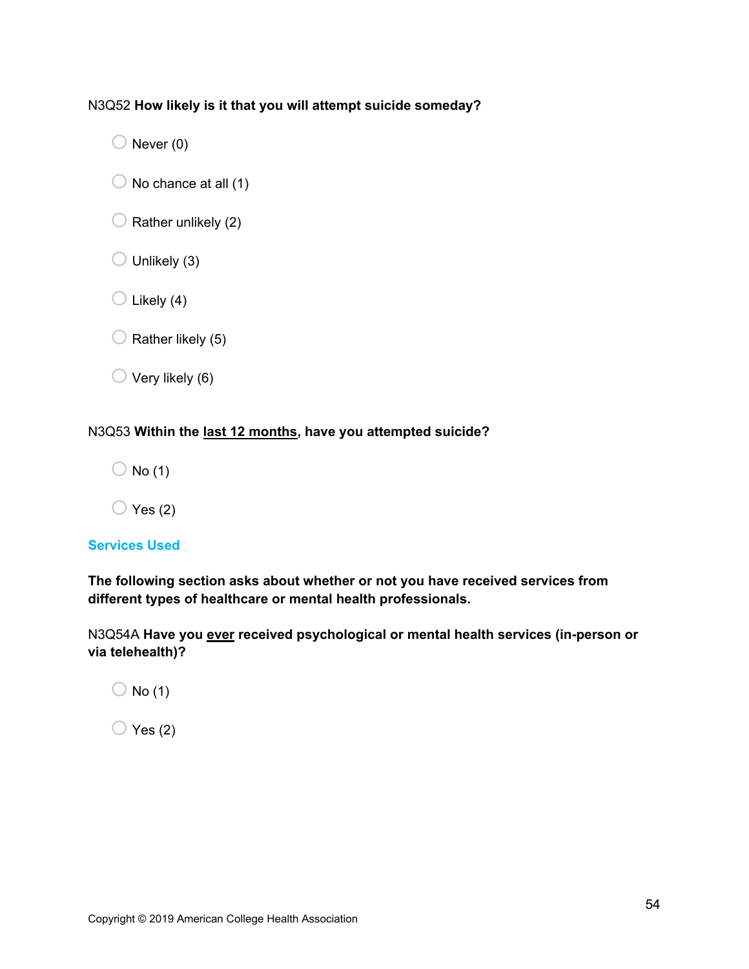## N3Q52 **How likely is it that you will attempt suicide someday?**

 $\bigcirc$  Never (0)

- $\bigcirc$  No chance at all (1)
- $\bigcirc$  Rather unlikely (2)
- $\bigcirc$  Unlikely (3)
- $\bigcirc$  Likely (4)
- $\bigcirc$  Rather likely (5)
- $\bigcirc$  Very likely (6)

### N3Q53 **Within the last 12 months, have you attempted suicide?**

 $\bigcirc$  No (1)

 $\bigcirc$  Yes (2)

## **Services Used**

**The following section asks about whether or not you have received services from different types of healthcare or mental health professionals.** 

N3Q54A **Have you ever received psychological or mental health services (in-person or via telehealth)?**

 $\bigcirc$  No (1)

 $\bigcirc$  Yes (2)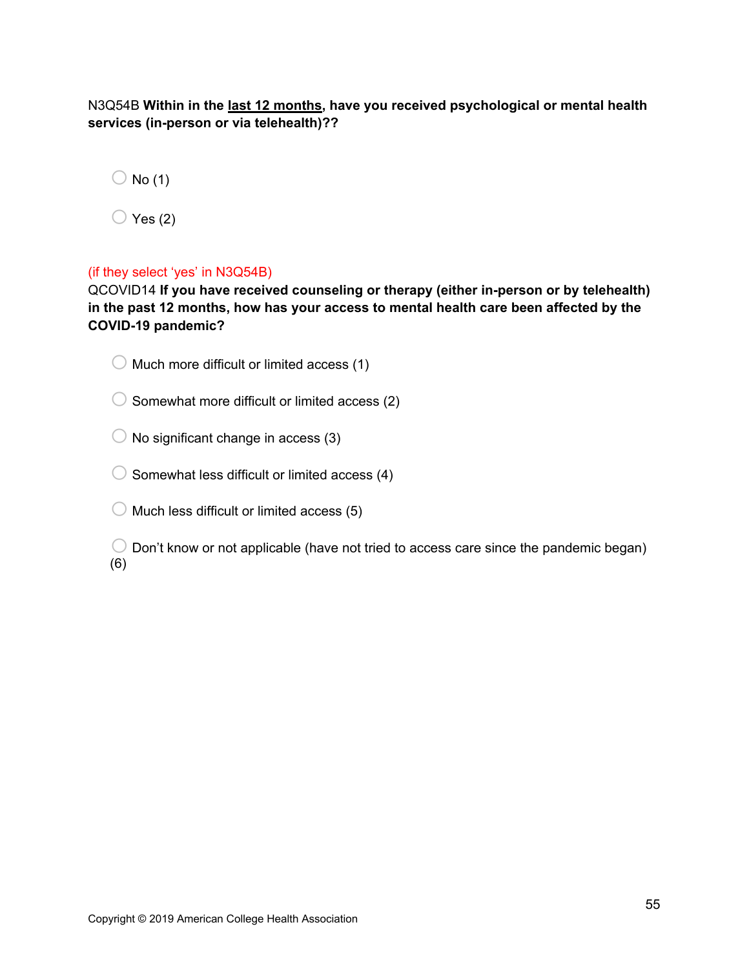N3Q54B **Within in the last 12 months, have you received psychological or mental health services (in-person or via telehealth)??** 

 $\bigcirc$  No (1)

 $\bigcirc$  Yes (2)

## (if they select 'yes' in N3Q54B)

QCOVID14 **If you have received counseling or therapy (either in-person or by telehealth) in the past 12 months, how has your access to mental health care been affected by the COVID-19 pandemic?**

- $\bigcirc$  Much more difficult or limited access (1)
- $\bigcirc$  Somewhat more difficult or limited access (2)
- $\bigcirc$  No significant change in access (3)
- $\bigcirc$  Somewhat less difficult or limited access (4)
- $\bigcirc$  Much less difficult or limited access (5)
- $\bigcirc$  Don't know or not applicable (have not tried to access care since the pandemic began) (6)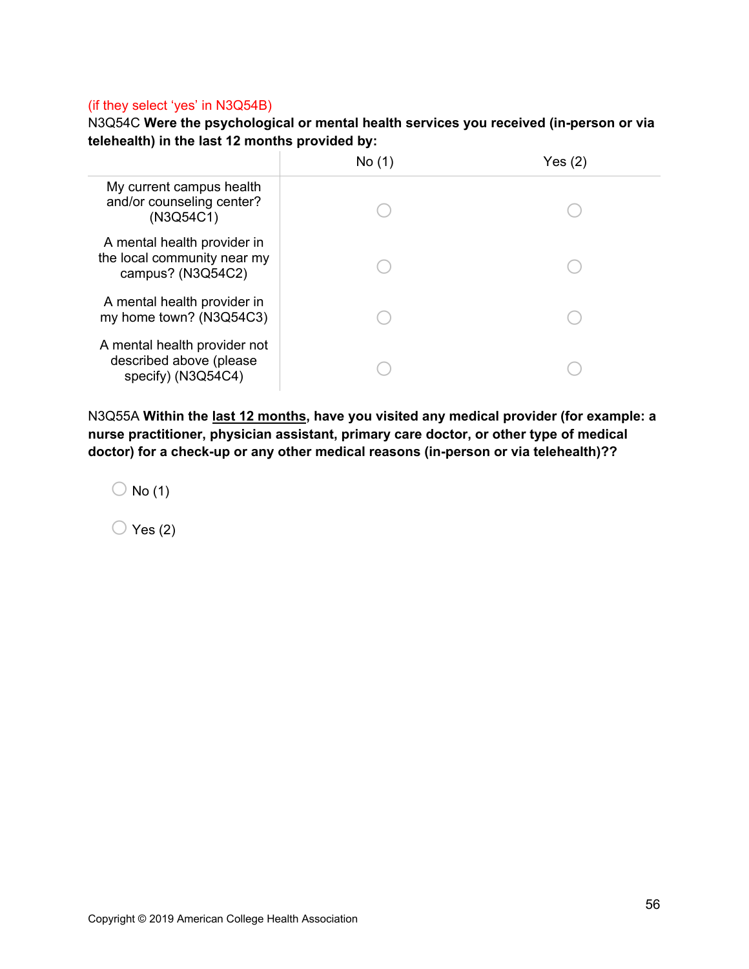#### (if they select 'yes' in N3Q54B)

N3Q54C **Were the psychological or mental health services you received (in-person or via telehealth) in the last 12 months provided by:**

|                                                                                 | No(1) | Yes (2) |
|---------------------------------------------------------------------------------|-------|---------|
| My current campus health<br>and/or counseling center?<br>(N3Q54C1)              |       |         |
| A mental health provider in<br>the local community near my<br>campus? (N3Q54C2) |       |         |
| A mental health provider in<br>my home town? (N3Q54C3)                          |       |         |
| A mental health provider not<br>described above (please<br>specify) (N3Q54C4)   |       |         |

N3Q55A **Within the last 12 months, have you visited any medical provider (for example: a nurse practitioner, physician assistant, primary care doctor, or other type of medical doctor) for a check-up or any other medical reasons (in-person or via telehealth)??** 

 $\bigcirc$  No (1)

 $\bigcirc$  Yes (2)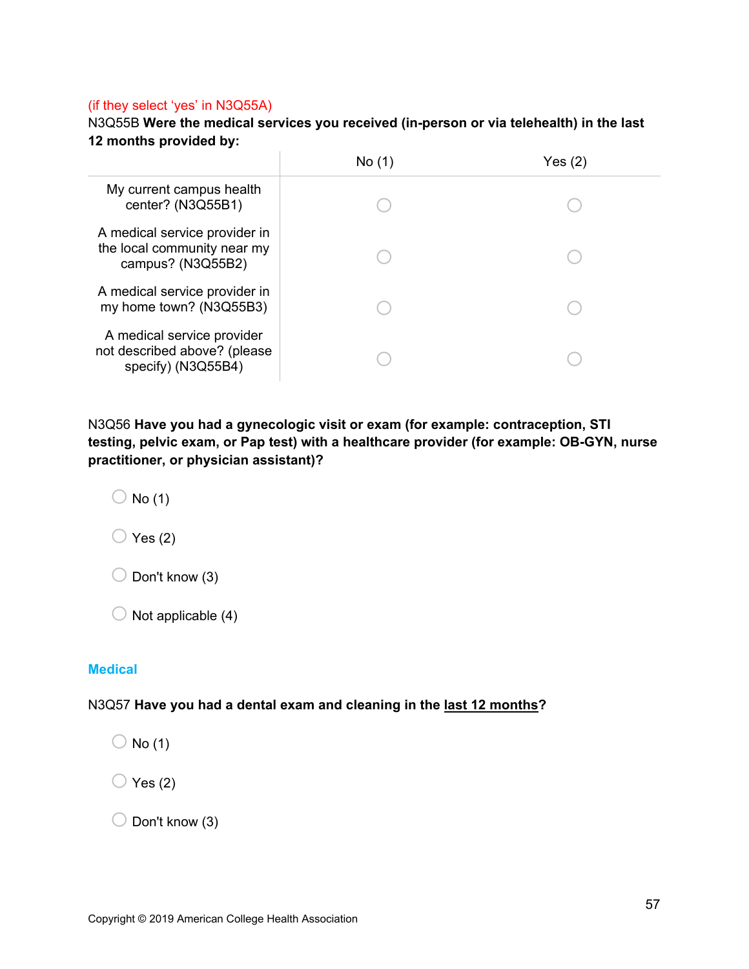#### (if they select 'yes' in N3Q55A)

N3Q55B **Were the medical services you received (in-person or via telehealth) in the last 12 months provided by:**

|                                                                                   | No(1) | Yes(2) |  |
|-----------------------------------------------------------------------------------|-------|--------|--|
| My current campus health<br>center? (N3Q55B1)                                     |       |        |  |
| A medical service provider in<br>the local community near my<br>campus? (N3Q55B2) |       |        |  |
| A medical service provider in<br>my home town? (N3Q55B3)                          |       |        |  |
| A medical service provider<br>not described above? (please<br>specify) (N3Q55B4)  |       |        |  |

N3Q56 **Have you had a gynecologic visit or exam (for example: contraception, STI testing, pelvic exam, or Pap test) with a healthcare provider (for example: OB-GYN, nurse practitioner, or physician assistant)?** 

 $\bigcirc$  No (1)

 $\bigcirc$  Yes (2)

 $\bigcirc$  Don't know (3)

 $\bigcirc$  Not applicable (4)

### **Medical**

#### N3Q57 **Have you had a dental exam and cleaning in the last 12 months?**

 $\bigcirc$  No (1)

 $\bigcirc$  Yes (2)

 $\bigcirc$  Don't know (3)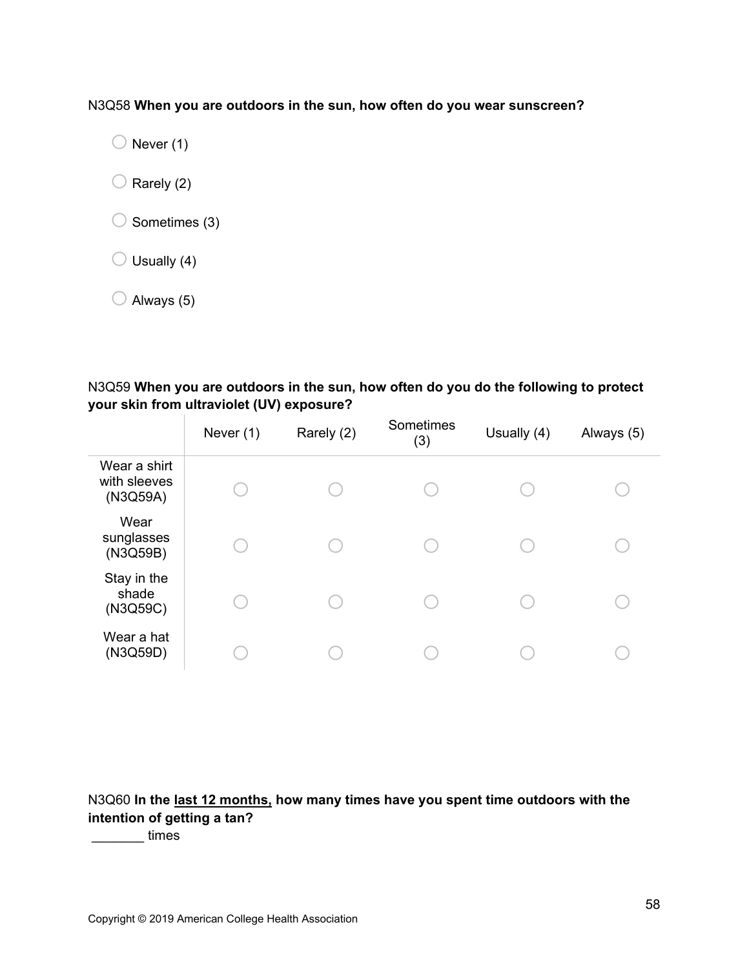N3Q58 **When you are outdoors in the sun, how often do you wear sunscreen?**

 $\bigcirc$  Never (1)

 $\bigcirc$  Rarely (2)

 $\bigcirc$  Sometimes (3)

 $\bigcirc$  Usually (4)

 $\bigcirc$  Always (5)

N3Q59 **When you are outdoors in the sun, how often do you do the following to protect your skin from ultraviolet (UV) exposure?**

|                                          | Never (1) | Rarely (2) | Sometimes<br>(3) | Usually (4) | Always (5) |  |
|------------------------------------------|-----------|------------|------------------|-------------|------------|--|
| Wear a shirt<br>with sleeves<br>(N3Q59A) |           |            |                  |             |            |  |
| Wear<br>sunglasses<br>(N3Q59B)           |           |            |                  |             |            |  |
| Stay in the<br>shade<br>(N3Q59C)         |           |            |                  |             |            |  |
| Wear a hat<br>(N3Q59D)                   |           |            |                  |             |            |  |

N3Q60 **In the last 12 months, how many times have you spent time outdoors with the intention of getting a tan?**

\_\_\_\_\_\_\_ times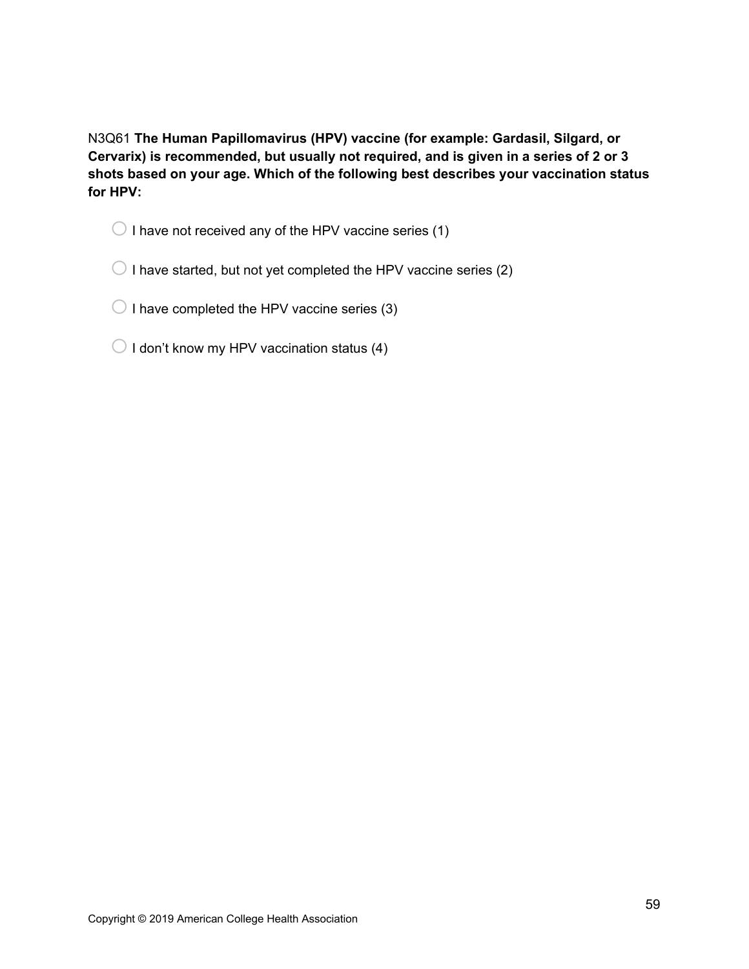N3Q61 **The Human Papillomavirus (HPV) vaccine (for example: Gardasil, Silgard, or Cervarix) is recommended, but usually not required, and is given in a series of 2 or 3 shots based on your age. Which of the following best describes your vaccination status for HPV:**

 $\bigcirc$  I have not received any of the HPV vaccine series (1)

 $\bigcirc$  I have started, but not yet completed the HPV vaccine series (2)

 $\bigcirc$  I have completed the HPV vaccine series (3)

 $\bigcirc$  I don't know my HPV vaccination status (4)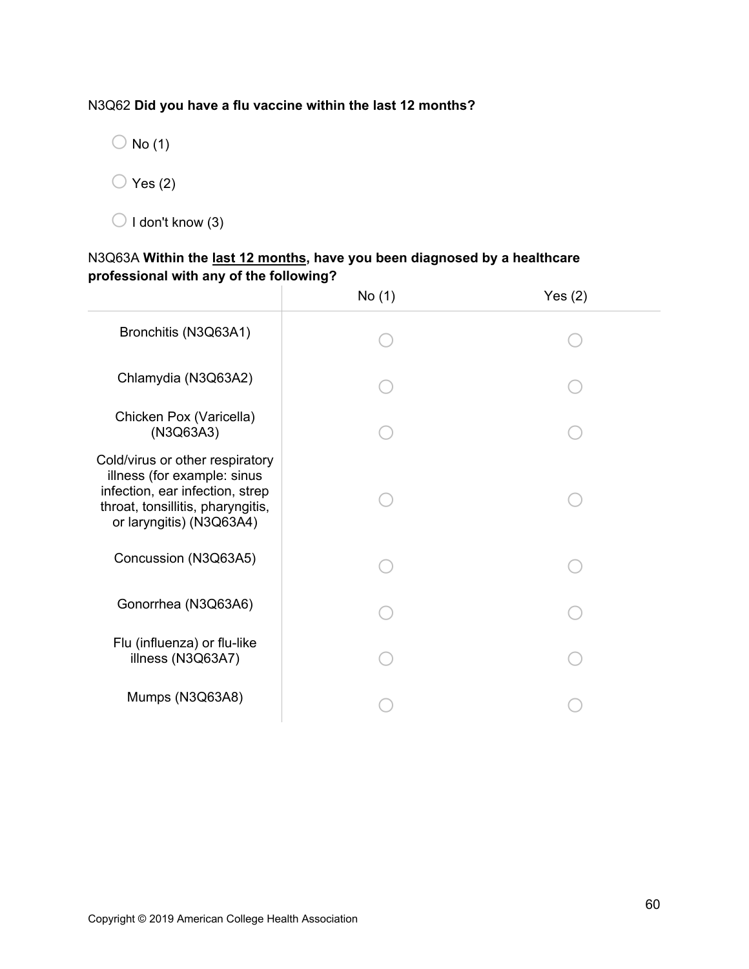## N3Q62 **Did you have a flu vaccine within the last 12 months?**

 $\bigcirc$  No (1)

 $\bigcirc$  Yes (2)

 $\bigcirc$  I don't know (3)

# N3Q63A **Within the last 12 months, have you been diagnosed by a healthcare professional with any of the following?**

|                                                                                                                                                                    | No (1) | Yes $(2)$ |
|--------------------------------------------------------------------------------------------------------------------------------------------------------------------|--------|-----------|
| Bronchitis (N3Q63A1)                                                                                                                                               |        |           |
| Chlamydia (N3Q63A2)                                                                                                                                                |        |           |
| Chicken Pox (Varicella)<br>(N3Q63A3)                                                                                                                               |        |           |
| Cold/virus or other respiratory<br>illness (for example: sinus<br>infection, ear infection, strep<br>throat, tonsillitis, pharyngitis,<br>or laryngitis) (N3Q63A4) |        |           |
| Concussion (N3Q63A5)                                                                                                                                               |        |           |
| Gonorrhea (N3Q63A6)                                                                                                                                                |        |           |
| Flu (influenza) or flu-like<br>illness (N3Q63A7)                                                                                                                   |        |           |
| Mumps (N3Q63A8)                                                                                                                                                    |        |           |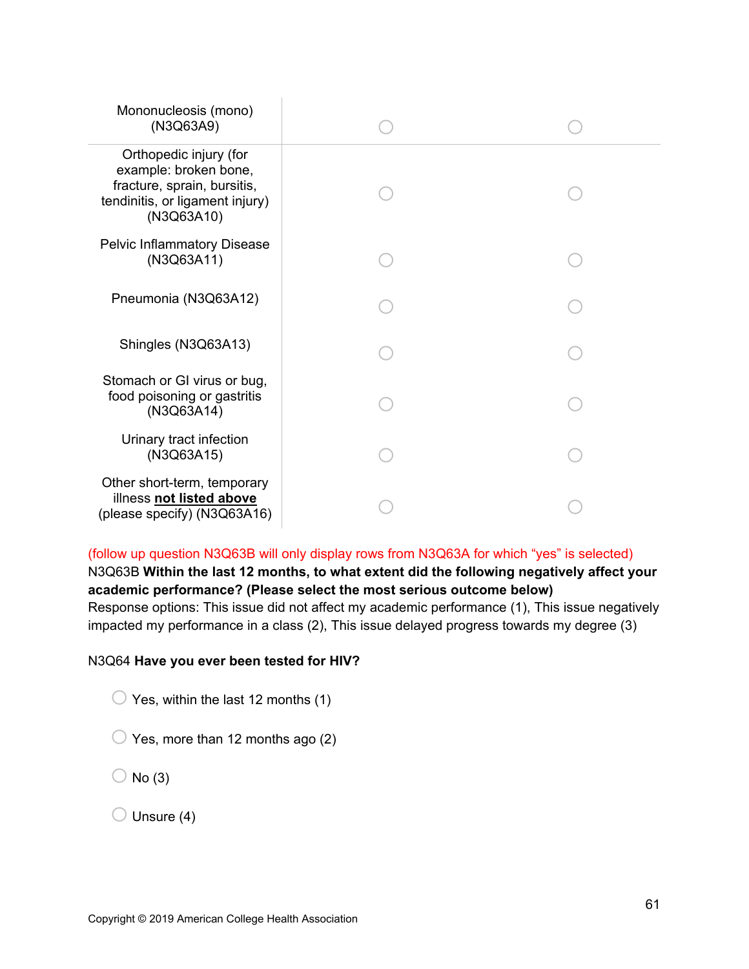| Mononucleosis (mono)<br>(N3Q63A9)                                                                                               |  |
|---------------------------------------------------------------------------------------------------------------------------------|--|
| Orthopedic injury (for<br>example: broken bone,<br>fracture, sprain, bursitis,<br>tendinitis, or ligament injury)<br>(N3Q63A10) |  |
| <b>Pelvic Inflammatory Disease</b><br>(N3Q63A11)                                                                                |  |
| Pneumonia (N3Q63A12)                                                                                                            |  |
| Shingles (N3Q63A13)                                                                                                             |  |
| Stomach or GI virus or bug,<br>food poisoning or gastritis<br>(N3Q63A14)                                                        |  |
| Urinary tract infection<br>(N3Q63A15)                                                                                           |  |
| Other short-term, temporary<br>illness not listed above<br>(please specify) (N3Q63A16)                                          |  |

(follow up question N3Q63B will only display rows from N3Q63A for which "yes" is selected) N3Q63B **Within the last 12 months, to what extent did the following negatively affect your academic performance? (Please select the most serious outcome below)**  Response options: This issue did not affect my academic performance (1), This issue negatively impacted my performance in a class (2), This issue delayed progress towards my degree (3)

### N3Q64 **Have you ever been tested for HIV?**

 $\bigcirc$  Yes, within the last 12 months (1)

 $\bigcirc$  Yes, more than 12 months ago (2)

 $\bigcirc$  No (3)

 $\bigcirc$  Unsure (4)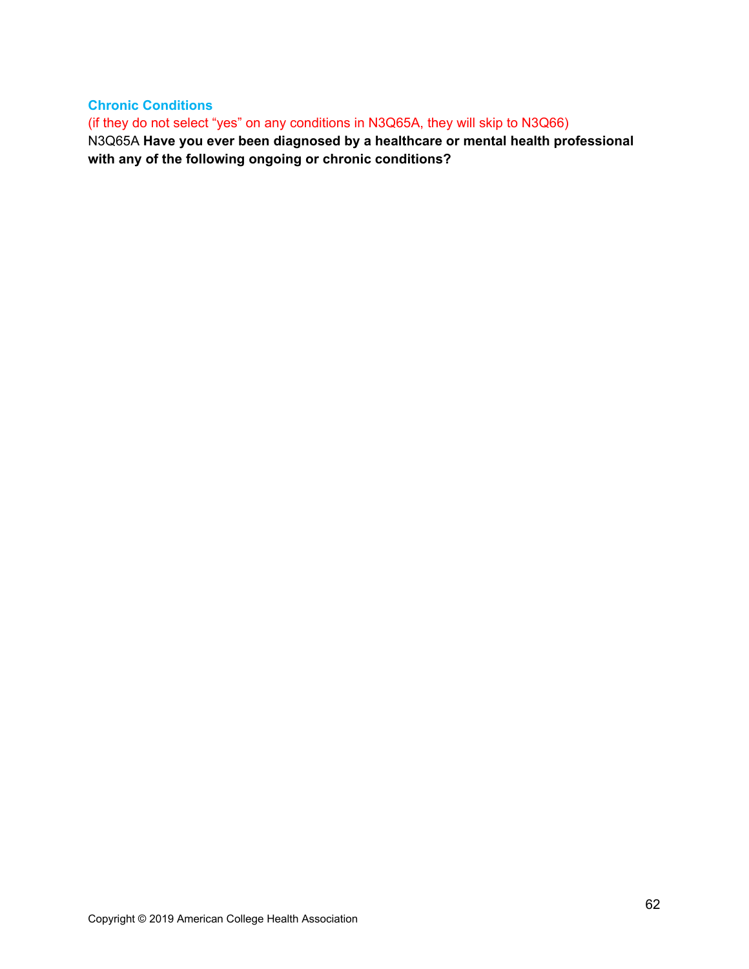**Chronic Conditions**  (if they do not select "yes" on any conditions in N3Q65A, they will skip to N3Q66) N3Q65A **Have you ever been diagnosed by a healthcare or mental health professional** 

**with any of the following ongoing or chronic conditions?**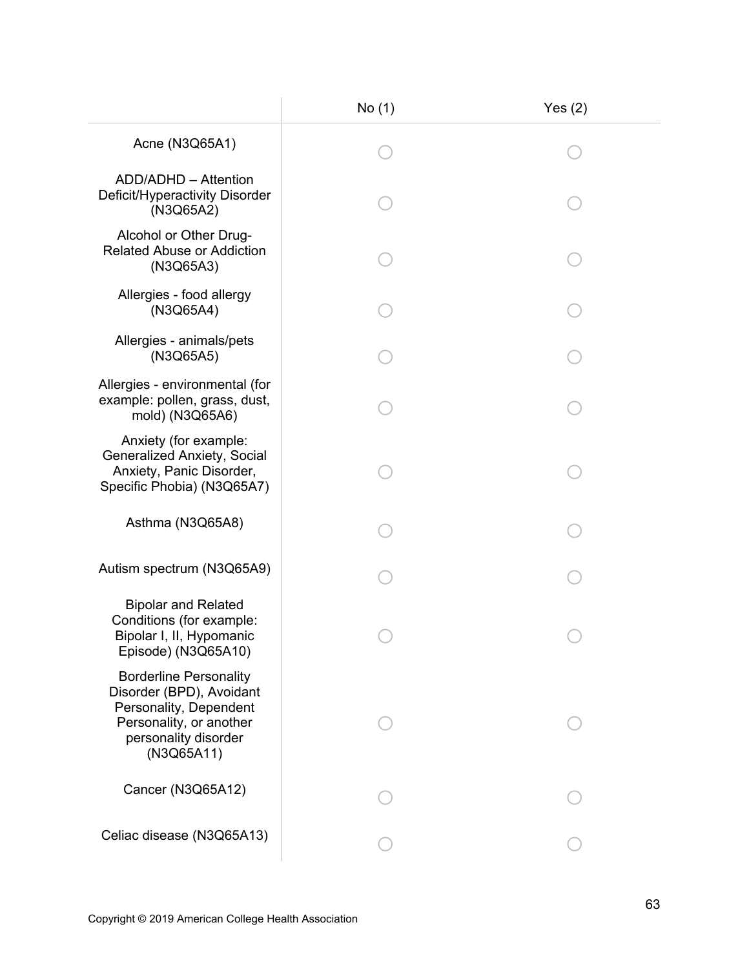|                                                                                                                                                      | No (1) | Yes $(2)$ |
|------------------------------------------------------------------------------------------------------------------------------------------------------|--------|-----------|
| Acne (N3Q65A1)                                                                                                                                       |        |           |
| ADD/ADHD - Attention<br>Deficit/Hyperactivity Disorder<br>(N3Q65A2)                                                                                  |        |           |
| Alcohol or Other Drug-<br><b>Related Abuse or Addiction</b><br>(N3Q65A3)                                                                             |        |           |
| Allergies - food allergy<br>(N3Q65A4)                                                                                                                |        |           |
| Allergies - animals/pets<br>(N3Q65A5)                                                                                                                |        |           |
| Allergies - environmental (for<br>example: pollen, grass, dust,<br>mold) (N3Q65A6)                                                                   |        |           |
| Anxiety (for example:<br><b>Generalized Anxiety, Social</b><br>Anxiety, Panic Disorder,<br>Specific Phobia) (N3Q65A7)                                |        |           |
| Asthma (N3Q65A8)                                                                                                                                     |        |           |
| Autism spectrum (N3Q65A9)                                                                                                                            |        |           |
| <b>Bipolar and Related</b><br>Conditions (for example:<br>Bipolar I, II, Hypomanic<br>Episode) (N3Q65A10)                                            |        |           |
| <b>Borderline Personality</b><br>Disorder (BPD), Avoidant<br>Personality, Dependent<br>Personality, or another<br>personality disorder<br>(N3Q65A11) |        |           |
| Cancer (N3Q65A12)                                                                                                                                    |        |           |
| Celiac disease (N3Q65A13)                                                                                                                            |        |           |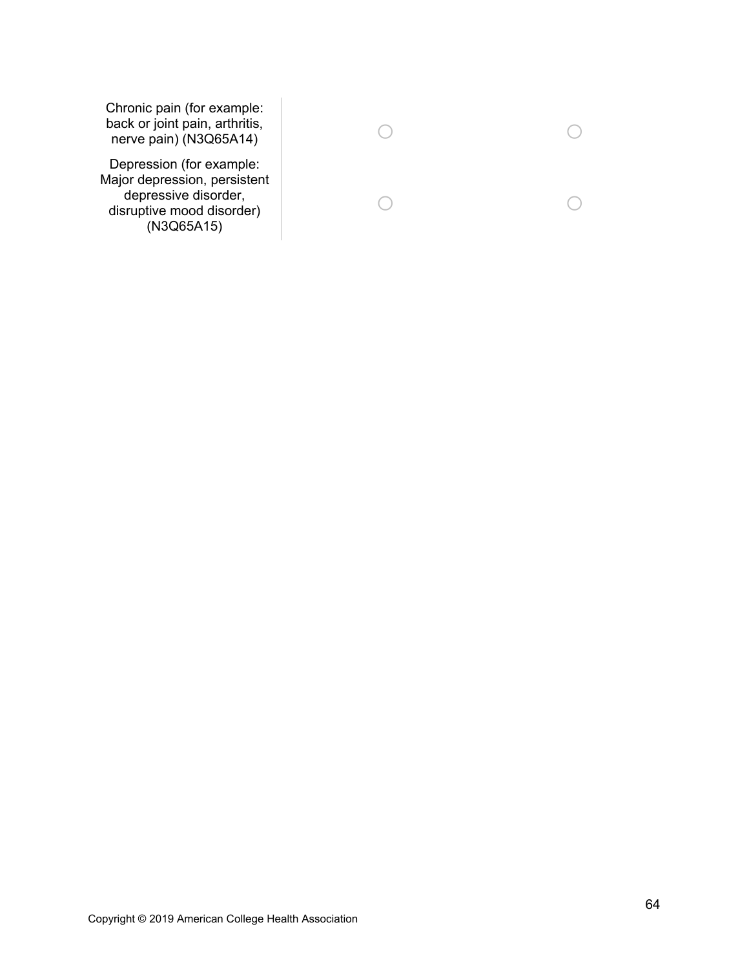Chronic pain (for example: back or joint pain, arthritis, nerve pain) (N3Q65A14)

Depression (for example: Major depression, persistent depressive disorder, disruptive mood disorder) (N3Q65A15)

| $\bigcirc$ | $\left( \quad \right)$ |
|------------|------------------------|
| $\bigcirc$ | $\left( \quad \right)$ |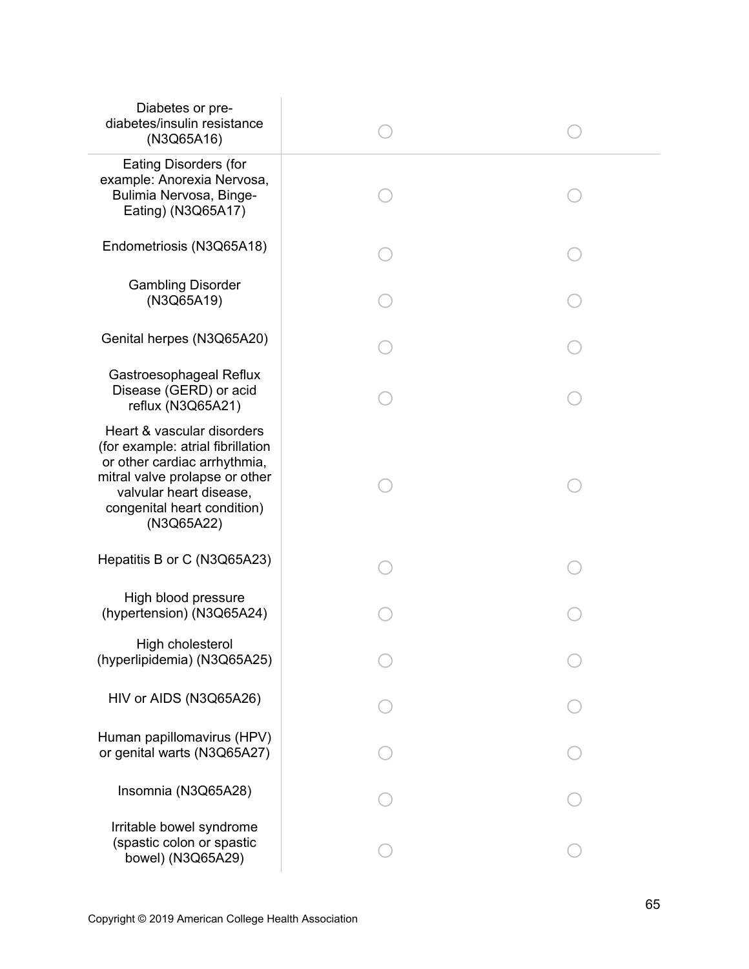| Diabetes or pre-<br>diabetes/insulin resistance<br>(N3Q65A16)                                                                                                                                             |  |
|-----------------------------------------------------------------------------------------------------------------------------------------------------------------------------------------------------------|--|
| <b>Eating Disorders (for</b><br>example: Anorexia Nervosa,<br>Bulimia Nervosa, Binge-<br>Eating) (N3Q65A17)                                                                                               |  |
| Endometriosis (N3Q65A18)                                                                                                                                                                                  |  |
| <b>Gambling Disorder</b><br>(N3Q65A19)                                                                                                                                                                    |  |
| Genital herpes (N3Q65A20)                                                                                                                                                                                 |  |
| Gastroesophageal Reflux<br>Disease (GERD) or acid<br>reflux (N3Q65A21)                                                                                                                                    |  |
| Heart & vascular disorders<br>(for example: atrial fibrillation<br>or other cardiac arrhythmia,<br>mitral valve prolapse or other<br>valvular heart disease,<br>congenital heart condition)<br>(N3Q65A22) |  |
| Hepatitis B or C (N3Q65A23)                                                                                                                                                                               |  |
| High blood pressure<br>(hypertension) (N3Q65A24)                                                                                                                                                          |  |
| High cholesterol<br>(hyperlipidemia) (N3Q65A25)                                                                                                                                                           |  |
| HIV or AIDS (N3Q65A26)                                                                                                                                                                                    |  |
| Human papillomavirus (HPV)<br>or genital warts (N3Q65A27)                                                                                                                                                 |  |
| Insomnia (N3Q65A28)                                                                                                                                                                                       |  |
| Irritable bowel syndrome<br>(spastic colon or spastic<br>bowel) (N3Q65A29)                                                                                                                                |  |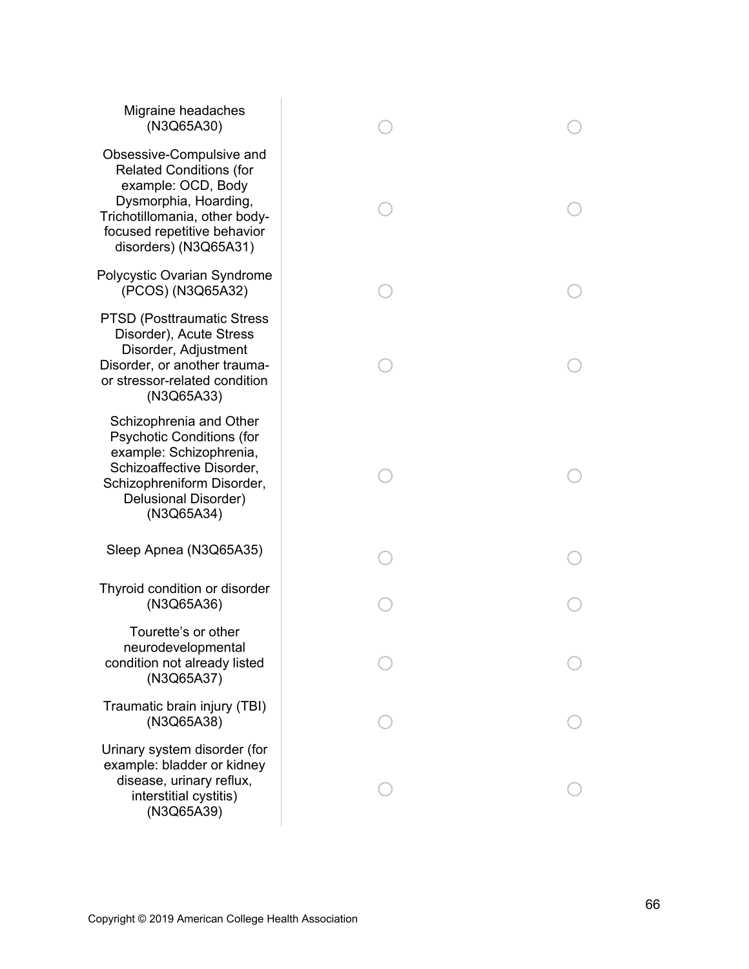| Migraine headaches<br>(N3Q65A30)                                                                                                                                                                   |  |
|----------------------------------------------------------------------------------------------------------------------------------------------------------------------------------------------------|--|
| Obsessive-Compulsive and<br><b>Related Conditions (for</b><br>example: OCD, Body<br>Dysmorphia, Hoarding,<br>Trichotillomania, other body-<br>focused repetitive behavior<br>disorders) (N3Q65A31) |  |
| Polycystic Ovarian Syndrome<br>(PCOS) (N3Q65A32)                                                                                                                                                   |  |
| <b>PTSD (Posttraumatic Stress)</b><br>Disorder), Acute Stress<br>Disorder, Adjustment<br>Disorder, or another trauma-<br>or stressor-related condition<br>(N3Q65A33)                               |  |
| Schizophrenia and Other<br><b>Psychotic Conditions (for</b><br>example: Schizophrenia,<br>Schizoaffective Disorder,<br>Schizophreniform Disorder,<br>Delusional Disorder)<br>(N3Q65A34)            |  |
| Sleep Apnea (N3Q65A35)                                                                                                                                                                             |  |
| Thyroid condition or disorder<br>(N3Q65A36)                                                                                                                                                        |  |
| Tourette's or other<br>neurodevelopmental<br>condition not already listed<br>(N3Q65A37)                                                                                                            |  |
| Traumatic brain injury (TBI)<br>(N3Q65A38)                                                                                                                                                         |  |
| Urinary system disorder (for<br>example: bladder or kidney<br>disease, urinary reflux,<br>interstitial cystitis)<br>(N3Q65A39)                                                                     |  |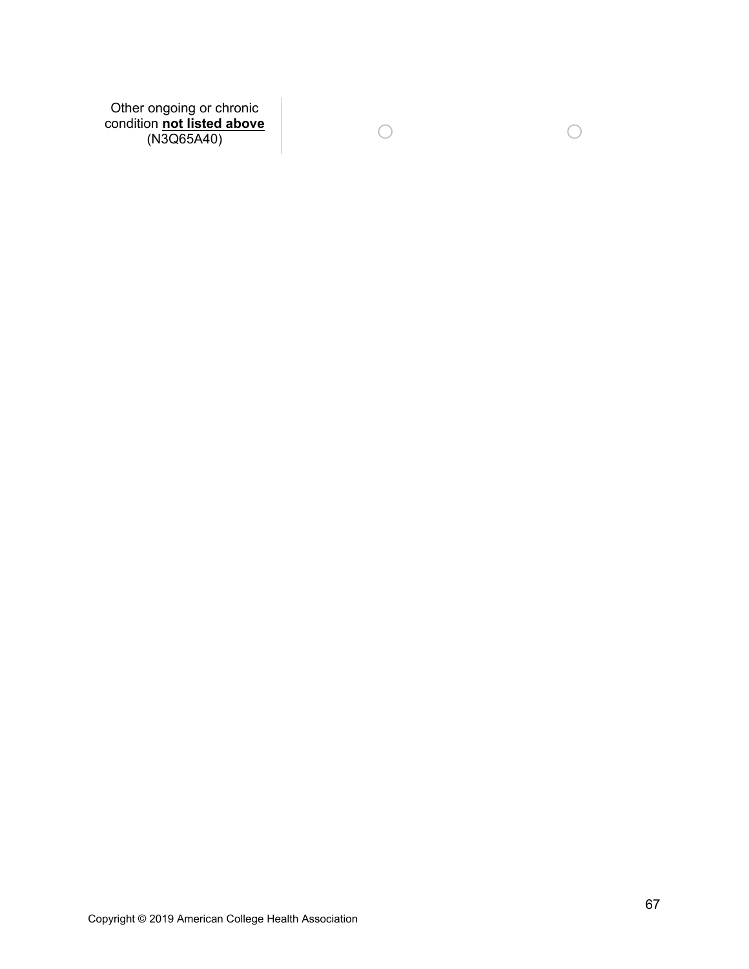Other ongoing or chronic condition **not listed above** (N3Q65A40) o o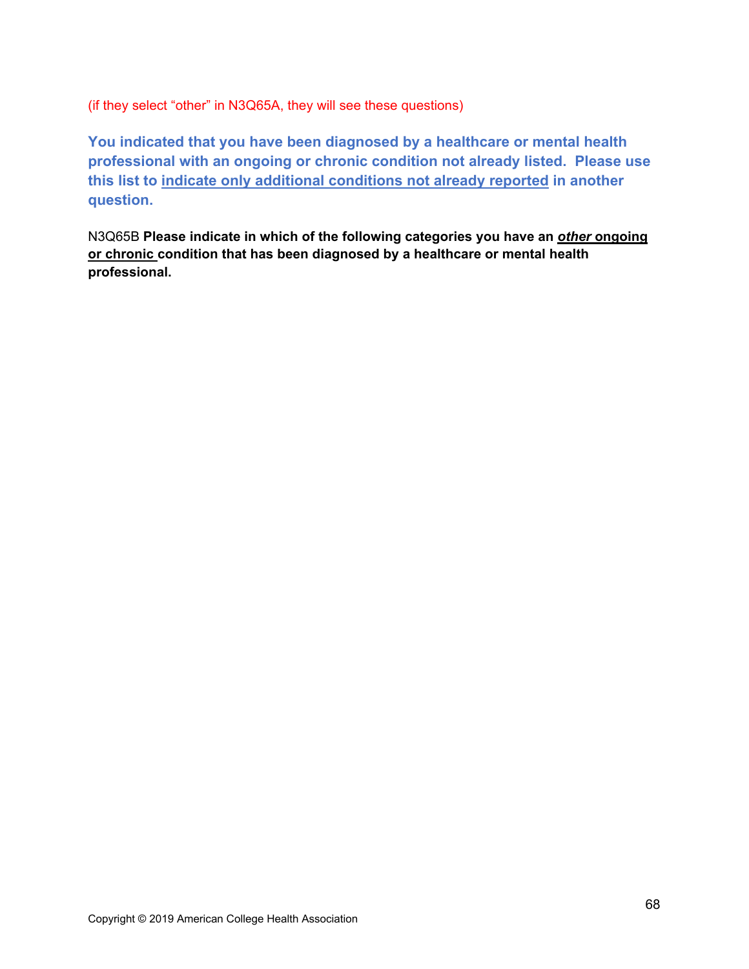(if they select "other" in N3Q65A, they will see these questions)

**You indicated that you have been diagnosed by a healthcare or mental health professional with an ongoing or chronic condition not already listed. Please use this list to indicate only additional conditions not already reported in another question.** 

N3Q65B **Please indicate in which of the following categories you have an** *other* **ongoing or chronic condition that has been diagnosed by a healthcare or mental health professional.**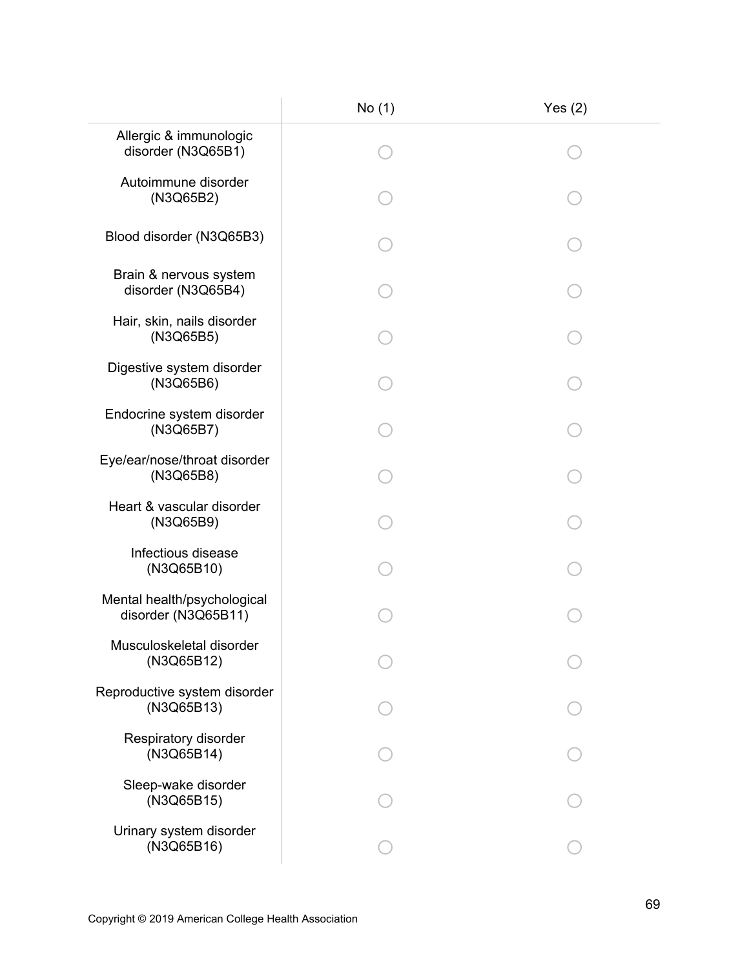|                                                    | No (1) | Yes $(2)$ |
|----------------------------------------------------|--------|-----------|
| Allergic & immunologic<br>disorder (N3Q65B1)       |        |           |
| Autoimmune disorder<br>(N3Q65B2)                   |        |           |
| Blood disorder (N3Q65B3)                           |        |           |
| Brain & nervous system<br>disorder (N3Q65B4)       |        |           |
| Hair, skin, nails disorder<br>(N3Q65B5)            |        |           |
| Digestive system disorder<br>(N3Q65B6)             |        |           |
| Endocrine system disorder<br>(N3Q65B7)             |        |           |
| Eye/ear/nose/throat disorder<br>(N3Q65B8)          |        |           |
| Heart & vascular disorder<br>(N3Q65B9)             |        |           |
| Infectious disease<br>(N3Q65B10)                   |        |           |
| Mental health/psychological<br>disorder (N3Q65B11) |        |           |
| Musculoskeletal disorder<br>(N3Q65B12)             |        |           |
| Reproductive system disorder<br>(N3Q65B13)         |        |           |
| Respiratory disorder<br>(N3Q65B14)                 |        |           |
| Sleep-wake disorder<br>(N3Q65B15)                  |        |           |
| Urinary system disorder<br>(N3Q65B16)              |        |           |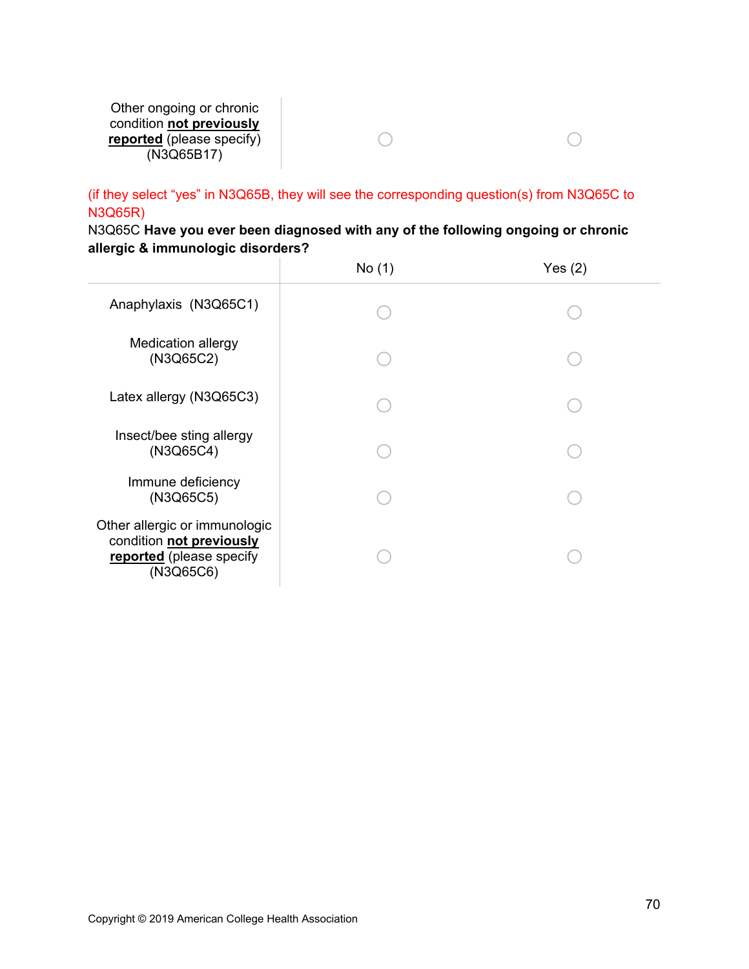Other ongoing or chronic condition **not previously reported** (please specify)  $\overline{(N3Q}65B17)}$ 

(if they select "yes" in N3Q65B, they will see the corresponding question(s) from N3Q65C to N3Q65R)

 $\begin{matrix} 0 & 0 & 0 \\ 0 & 0 & 0 \\ 0 & 0 & 0 \\ 0 & 0 & 0 \\ 0 & 0 & 0 \\ 0 & 0 & 0 \\ 0 & 0 & 0 & 0 \\ 0 & 0 & 0 & 0 \\ 0 & 0 & 0 & 0 \\ 0 & 0 & 0 & 0 & 0 \\ 0 & 0 & 0 & 0 & 0 \\ 0 & 0 & 0 & 0 & 0 \\ 0 & 0 & 0 & 0 & 0 & 0 \\ 0 & 0 & 0 & 0 & 0 & 0 \\ 0 & 0 & 0 & 0 & 0 & 0 & 0 \\ 0 & 0 & 0 & 0 & 0 & 0 & 0 \\ 0$ 

N3Q65C **Have you ever been diagnosed with any of the following ongoing or chronic allergic & immunologic disorders?** 

|                                                                                                    | No(1) | Yes $(2)$ |
|----------------------------------------------------------------------------------------------------|-------|-----------|
| Anaphylaxis (N3Q65C1)                                                                              |       |           |
| <b>Medication allergy</b><br>(N3Q65C2)                                                             |       |           |
| Latex allergy (N3Q65C3)                                                                            |       |           |
| Insect/bee sting allergy<br>(N3Q65C4)                                                              |       |           |
| Immune deficiency<br>(N3Q65C5)                                                                     |       |           |
| Other allergic or immunologic<br>condition not previously<br>reported (please specify<br>(N3Q65C6) |       |           |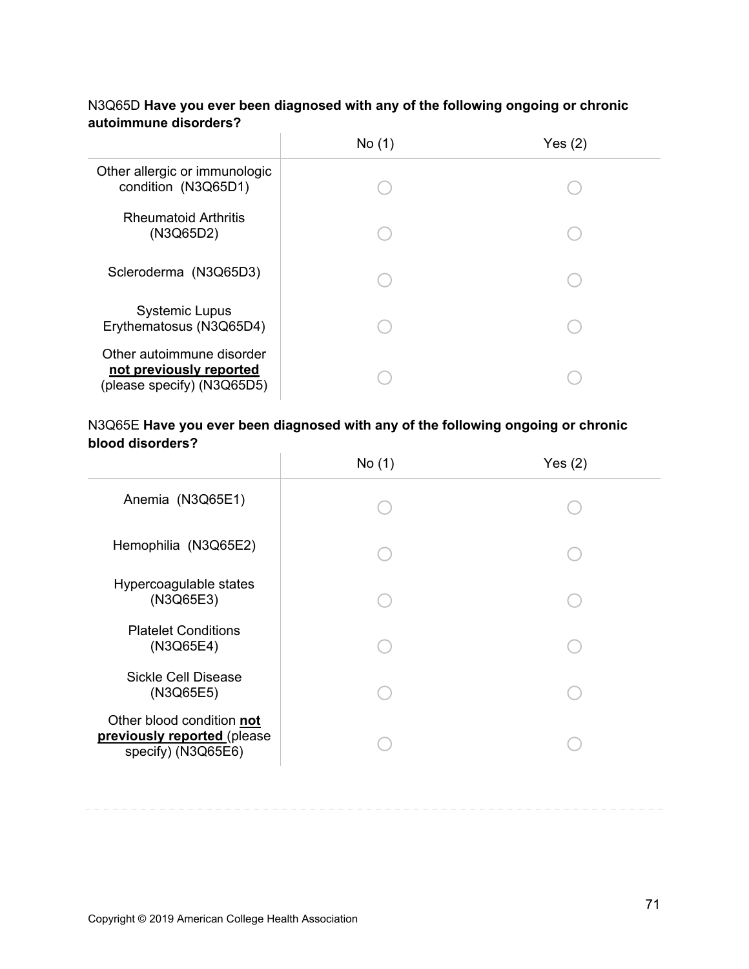|                                                                                    | No (1) | Yes(2) |
|------------------------------------------------------------------------------------|--------|--------|
| Other allergic or immunologic<br>condition (N3Q65D1)                               |        |        |
| <b>Rheumatoid Arthritis</b><br>(N3Q65D2)                                           |        |        |
| Scleroderma (N3Q65D3)                                                              |        |        |
| <b>Systemic Lupus</b><br>Erythematosus (N3Q65D4)                                   |        |        |
| Other autoimmune disorder<br>not previously reported<br>(please specify) (N3Q65D5) |        |        |

# N3Q65D **Have you ever been diagnosed with any of the following ongoing or chronic autoimmune disorders?**

#### N3Q65E **Have you ever been diagnosed with any of the following ongoing or chronic blood disorders?**   $\overline{1}$

|                                                                                | No(1) | Yes $(2)$ |
|--------------------------------------------------------------------------------|-------|-----------|
| Anemia (N3Q65E1)                                                               |       |           |
| Hemophilia (N3Q65E2)                                                           |       |           |
| Hypercoagulable states<br>(N3Q65E3)                                            |       |           |
| <b>Platelet Conditions</b><br>(N3Q65E4)                                        |       |           |
| <b>Sickle Cell Disease</b><br>(N3Q65E5)                                        |       |           |
| Other blood condition not<br>previously reported (please<br>specify) (N3Q65E6) |       |           |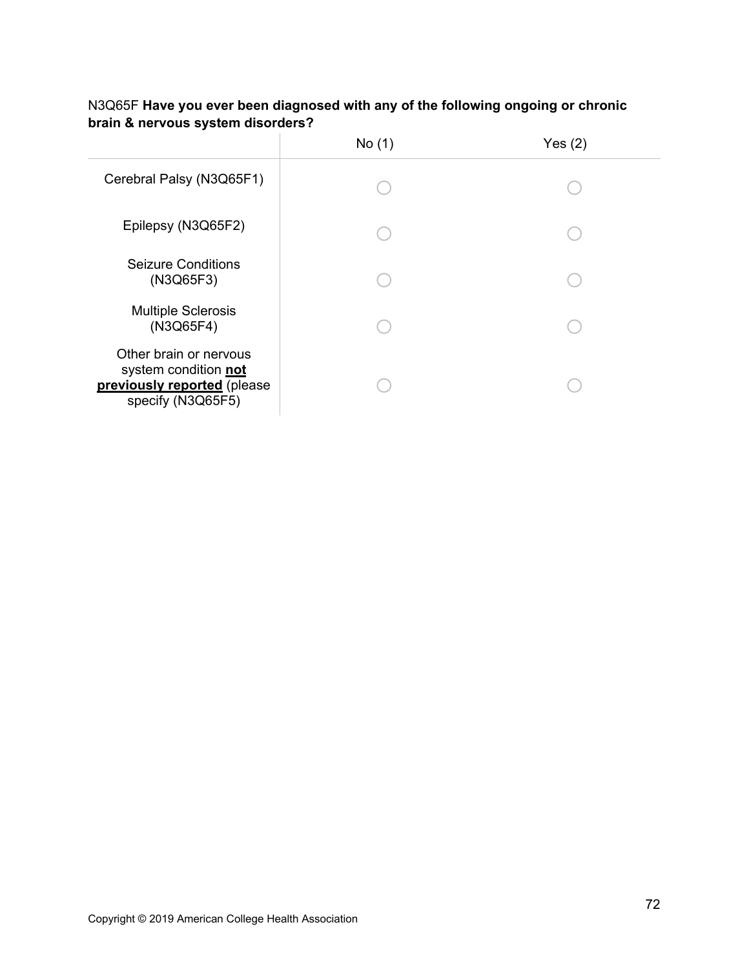|                                                                                                    | No(1) | Yes $(2)$ |
|----------------------------------------------------------------------------------------------------|-------|-----------|
| Cerebral Palsy (N3Q65F1)                                                                           |       |           |
| Epilepsy (N3Q65F2)                                                                                 |       |           |
| <b>Seizure Conditions</b><br>(N3Q65F3)                                                             |       |           |
| <b>Multiple Sclerosis</b><br>(N3Q65F4)                                                             |       |           |
| Other brain or nervous<br>system condition not<br>previously reported (please<br>specify (N3Q65F5) |       |           |

# N3Q65F **Have you ever been diagnosed with any of the following ongoing or chronic brain & nervous system disorders?**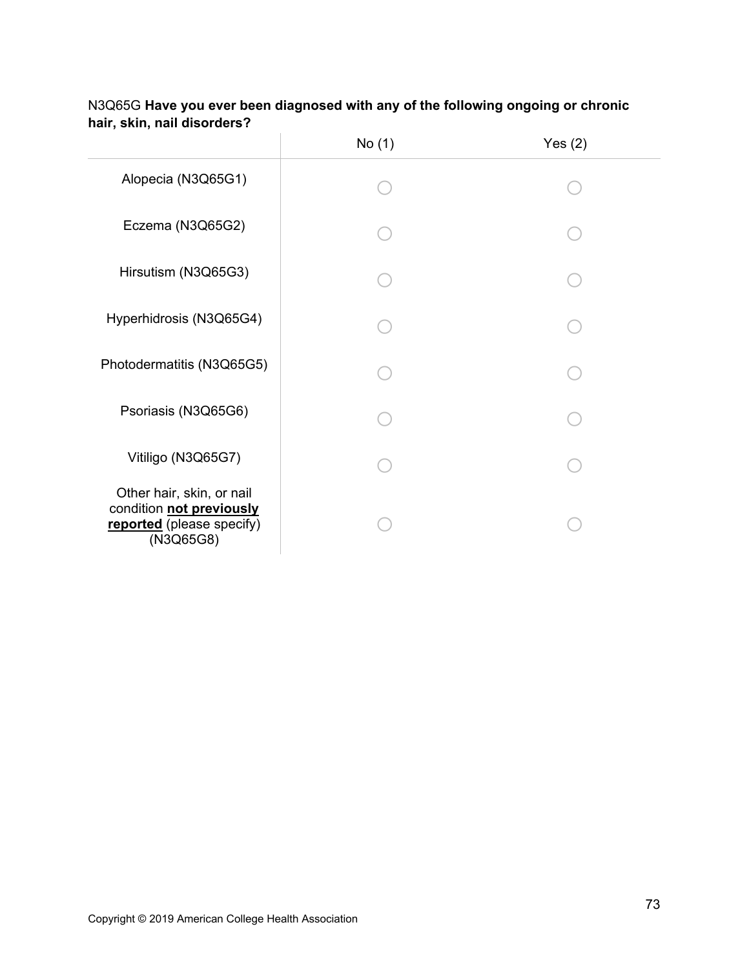|                                                                                                 | No (1) | Yes $(2)$ |
|-------------------------------------------------------------------------------------------------|--------|-----------|
| Alopecia (N3Q65G1)                                                                              |        |           |
| Eczema (N3Q65G2)                                                                                |        |           |
| Hirsutism (N3Q65G3)                                                                             |        |           |
| Hyperhidrosis (N3Q65G4)                                                                         |        |           |
| Photodermatitis (N3Q65G5)                                                                       |        |           |
| Psoriasis (N3Q65G6)                                                                             |        |           |
| Vitiligo (N3Q65G7)                                                                              |        |           |
| Other hair, skin, or nail<br>condition not previously<br>reported (please specify)<br>(N3Q65G8) |        |           |

# N3Q65G **Have you ever been diagnosed with any of the following ongoing or chronic hair, skin, nail disorders?**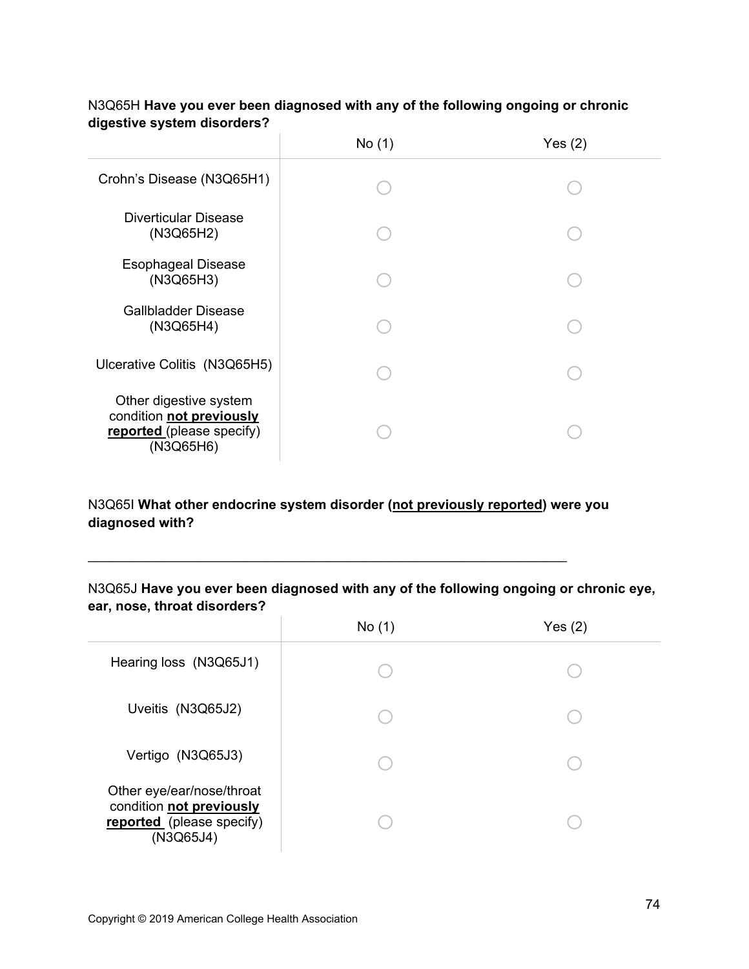|                                                                                              | No(1) | Yes $(2)$ |
|----------------------------------------------------------------------------------------------|-------|-----------|
| Crohn's Disease (N3Q65H1)                                                                    |       |           |
| <b>Diverticular Disease</b><br>(N3Q65H2)                                                     |       |           |
| <b>Esophageal Disease</b><br>(N3Q65H3)                                                       |       |           |
| <b>Gallbladder Disease</b><br>(N3Q65H4)                                                      |       |           |
| Ulcerative Colitis (N3Q65H5)                                                                 |       |           |
| Other digestive system<br>condition not previously<br>reported (please specify)<br>(N3Q65H6) |       |           |

## N3Q65H **Have you ever been diagnosed with any of the following ongoing or chronic digestive system disorders?**

# N3Q65I **What other endocrine system disorder (not previously reported) were you diagnosed with?**

N3Q65J **Have you ever been diagnosed with any of the following ongoing or chronic eye, ear, nose, throat disorders?** 

 $\mathcal{L}_\text{max}$  and  $\mathcal{L}_\text{max}$  and  $\mathcal{L}_\text{max}$  and  $\mathcal{L}_\text{max}$  and  $\mathcal{L}_\text{max}$  and  $\mathcal{L}_\text{max}$ 

|                                                                                                 | No(1) | Yes $(2)$ |
|-------------------------------------------------------------------------------------------------|-------|-----------|
| Hearing loss (N3Q65J1)                                                                          |       |           |
| Uveitis (N3Q65J2)                                                                               |       |           |
| Vertigo (N3Q65J3)                                                                               |       |           |
| Other eye/ear/nose/throat<br>condition not previously<br>reported (please specify)<br>(N3Q65J4) |       |           |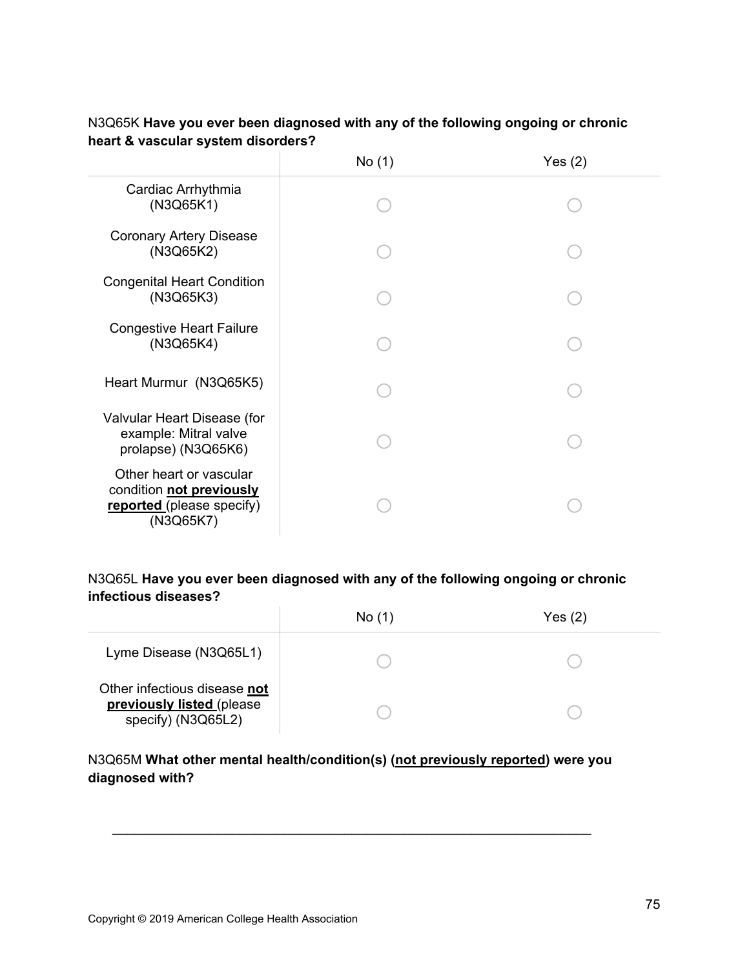|                                                                                               | No (1) | Yes(2) |
|-----------------------------------------------------------------------------------------------|--------|--------|
| Cardiac Arrhythmia<br>(N3Q65K1)                                                               |        |        |
| <b>Coronary Artery Disease</b><br>(N3Q65K2)                                                   |        |        |
| <b>Congenital Heart Condition</b><br>(N3Q65K3)                                                |        |        |
| <b>Congestive Heart Failure</b><br>(N3Q65K4)                                                  |        |        |
| Heart Murmur (N3Q65K5)                                                                        |        |        |
| Valvular Heart Disease (for<br>example: Mitral valve<br>prolapse) (N3Q65K6)                   |        |        |
| Other heart or vascular<br>condition not previously<br>reported (please specify)<br>(N3Q65K7) |        |        |

# N3Q65K **Have you ever been diagnosed with any of the following ongoing or chronic heart & vascular system disorders?**

# N3Q65L **Have you ever been diagnosed with any of the following ongoing or chronic infectious diseases?**

|                                                                                 | No(1) | Yes $(2)$ |
|---------------------------------------------------------------------------------|-------|-----------|
| Lyme Disease (N3Q65L1)                                                          |       |           |
| Other infectious disease not<br>previously listed (please<br>specify) (N3Q65L2) |       |           |

# N3Q65M **What other mental health/condition(s) (not previously reported) were you diagnosed with?**

 $\mathcal{L}_\text{max} = \mathcal{L}_\text{max} = \mathcal{L}_\text{max} = \mathcal{L}_\text{max} = \mathcal{L}_\text{max} = \mathcal{L}_\text{max} = \mathcal{L}_\text{max} = \mathcal{L}_\text{max} = \mathcal{L}_\text{max} = \mathcal{L}_\text{max} = \mathcal{L}_\text{max} = \mathcal{L}_\text{max} = \mathcal{L}_\text{max} = \mathcal{L}_\text{max} = \mathcal{L}_\text{max} = \mathcal{L}_\text{max} = \mathcal{L}_\text{max} = \mathcal{L}_\text{max} = \mathcal{$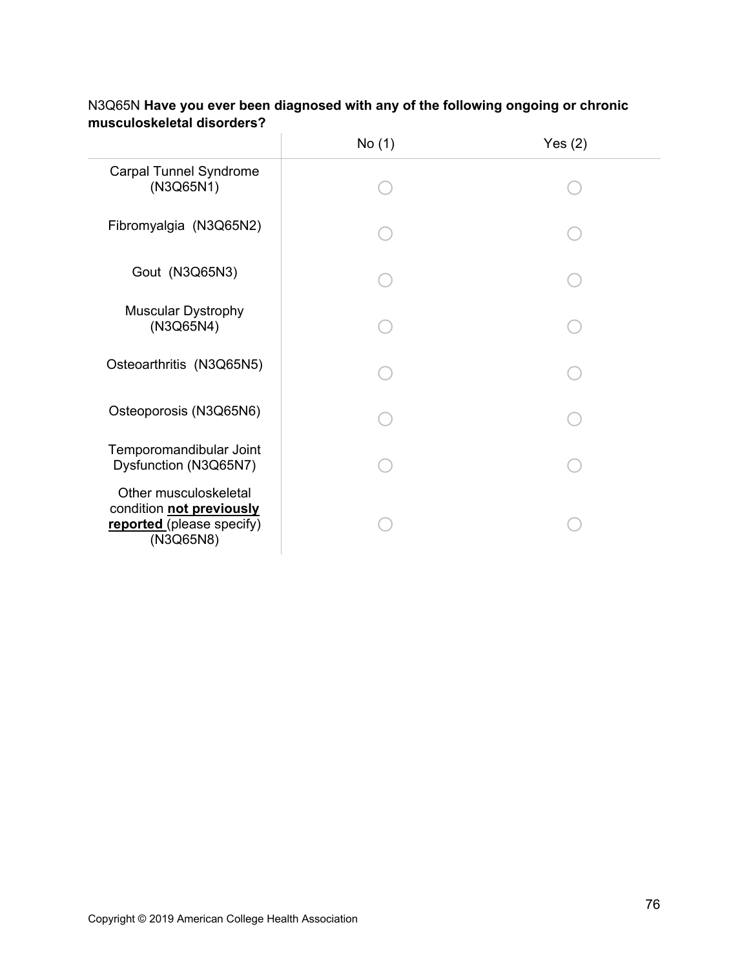|                                                                                             | No (1) | Yes $(2)$ |
|---------------------------------------------------------------------------------------------|--------|-----------|
| <b>Carpal Tunnel Syndrome</b><br>(N3Q65N1)                                                  |        |           |
| Fibromyalgia (N3Q65N2)                                                                      |        |           |
| Gout (N3Q65N3)                                                                              |        |           |
| <b>Muscular Dystrophy</b><br>(N3Q65N4)                                                      |        |           |
| Osteoarthritis (N3Q65N5)                                                                    |        |           |
| Osteoporosis (N3Q65N6)                                                                      |        |           |
| Temporomandibular Joint<br>Dysfunction (N3Q65N7)                                            |        |           |
| Other musculoskeletal<br>condition not previously<br>reported (please specify)<br>(N3Q65N8) |        |           |

# N3Q65N **Have you ever been diagnosed with any of the following ongoing or chronic musculoskeletal disorders?**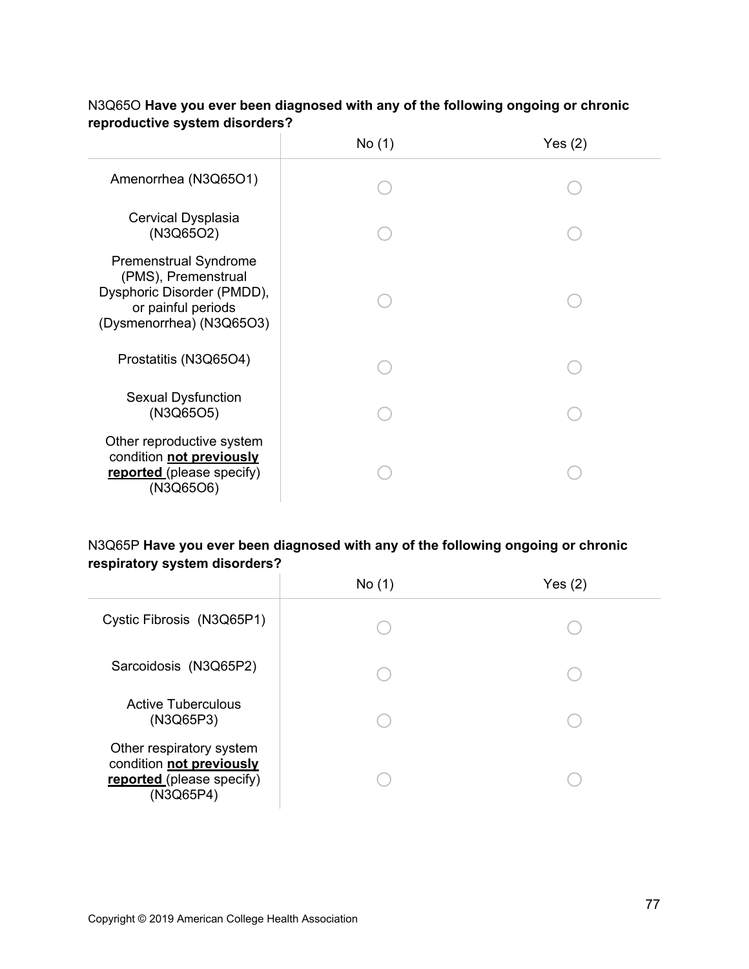|                                                                                                                                     | No(1) | Yes $(2)$ |
|-------------------------------------------------------------------------------------------------------------------------------------|-------|-----------|
| Amenorrhea (N3Q65O1)                                                                                                                |       |           |
| Cervical Dysplasia<br>(N3Q65O2)                                                                                                     |       |           |
| <b>Premenstrual Syndrome</b><br>(PMS), Premenstrual<br>Dysphoric Disorder (PMDD),<br>or painful periods<br>(Dysmenorrhea) (N3Q65O3) |       |           |
| Prostatitis (N3Q65O4)                                                                                                               |       |           |
| <b>Sexual Dysfunction</b><br>(N3Q65O5)                                                                                              |       |           |
| Other reproductive system<br>condition not previously<br>reported (please specify)<br>(N3Q65O6)                                     |       |           |

## N3Q65O **Have you ever been diagnosed with any of the following ongoing or chronic reproductive system disorders?**

# N3Q65P **Have you ever been diagnosed with any of the following ongoing or chronic respiratory system disorders?**

|                                                                                                | No(1) | Yes $(2)$ |
|------------------------------------------------------------------------------------------------|-------|-----------|
| Cystic Fibrosis (N3Q65P1)                                                                      |       |           |
| Sarcoidosis (N3Q65P2)                                                                          |       |           |
| <b>Active Tuberculous</b><br>(N3Q65P3)                                                         |       |           |
| Other respiratory system<br>condition not previously<br>reported (please specify)<br>(N3Q65P4) |       |           |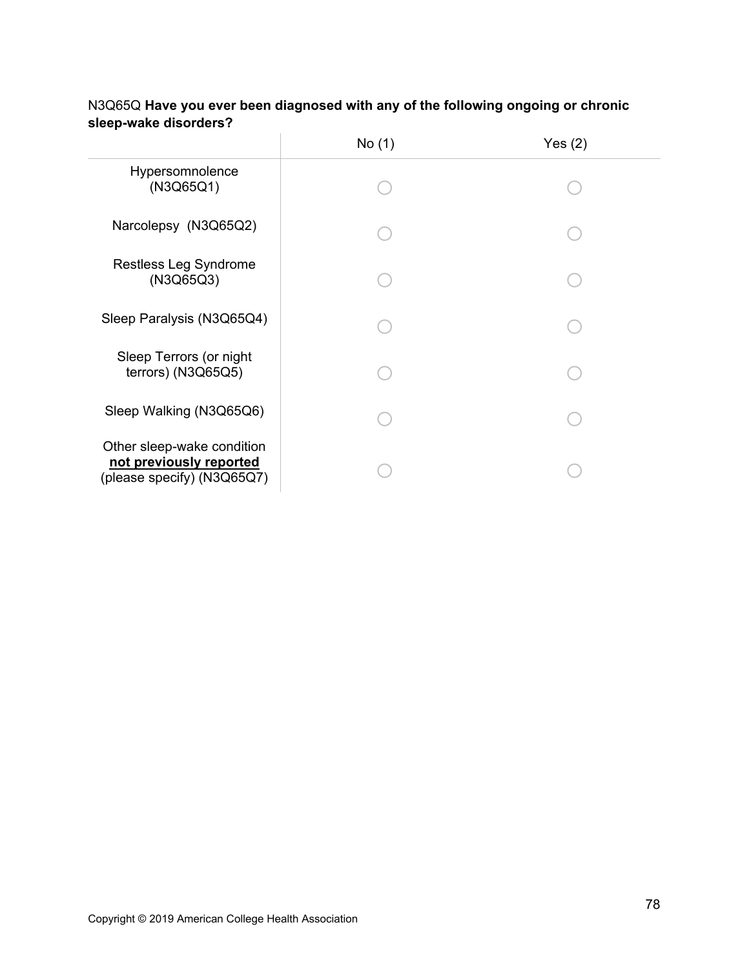|                                                                                     | No (1) | Yes $(2)$ |
|-------------------------------------------------------------------------------------|--------|-----------|
| Hypersomnolence<br>(N3Q65Q1)                                                        |        |           |
| Narcolepsy (N3Q65Q2)                                                                |        |           |
| Restless Leg Syndrome<br>(N3Q65Q3)                                                  |        |           |
| Sleep Paralysis (N3Q65Q4)                                                           |        |           |
| Sleep Terrors (or night<br>terrors) (N3Q65Q5)                                       |        |           |
| Sleep Walking (N3Q65Q6)                                                             |        |           |
| Other sleep-wake condition<br>not previously reported<br>(please specify) (N3Q65Q7) |        |           |

# N3Q65Q **Have you ever been diagnosed with any of the following ongoing or chronic sleep-wake disorders?**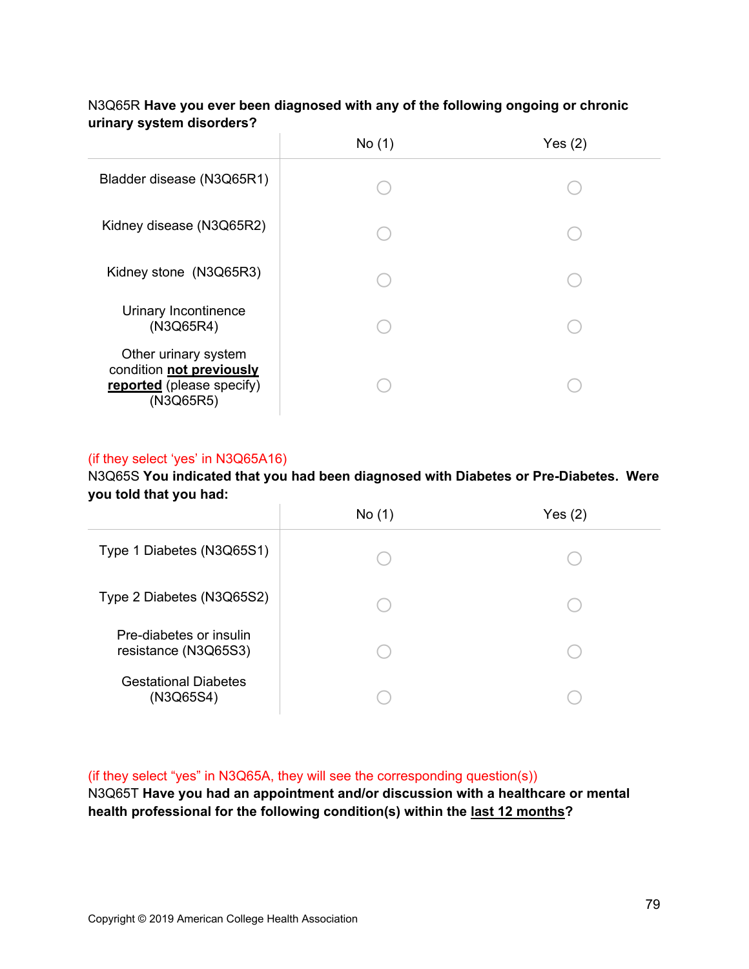|                                                                                            | No(1) | Yes $(2)$ |
|--------------------------------------------------------------------------------------------|-------|-----------|
| Bladder disease (N3Q65R1)                                                                  |       |           |
| Kidney disease (N3Q65R2)                                                                   |       |           |
| Kidney stone (N3Q65R3)                                                                     |       |           |
| Urinary Incontinence<br>(N3Q65R4)                                                          |       |           |
| Other urinary system<br>condition not previously<br>reported (please specify)<br>(N3Q65R5) |       |           |

## N3Q65R **Have you ever been diagnosed with any of the following ongoing or chronic urinary system disorders?**

## (if they select 'yes' in N3Q65A16)

N3Q65S **You indicated that you had been diagnosed with Diabetes or Pre-Diabetes. Were you told that you had:**

|                                                 | No (1) | Yes(2) |
|-------------------------------------------------|--------|--------|
| Type 1 Diabetes (N3Q65S1)                       |        |        |
| Type 2 Diabetes (N3Q65S2)                       |        |        |
| Pre-diabetes or insulin<br>resistance (N3Q65S3) |        |        |
| <b>Gestational Diabetes</b><br>(N3Q65S4)        |        |        |

(if they select "yes" in N3Q65A, they will see the corresponding question(s))

N3Q65T **Have you had an appointment and/or discussion with a healthcare or mental health professional for the following condition(s) within the last 12 months?**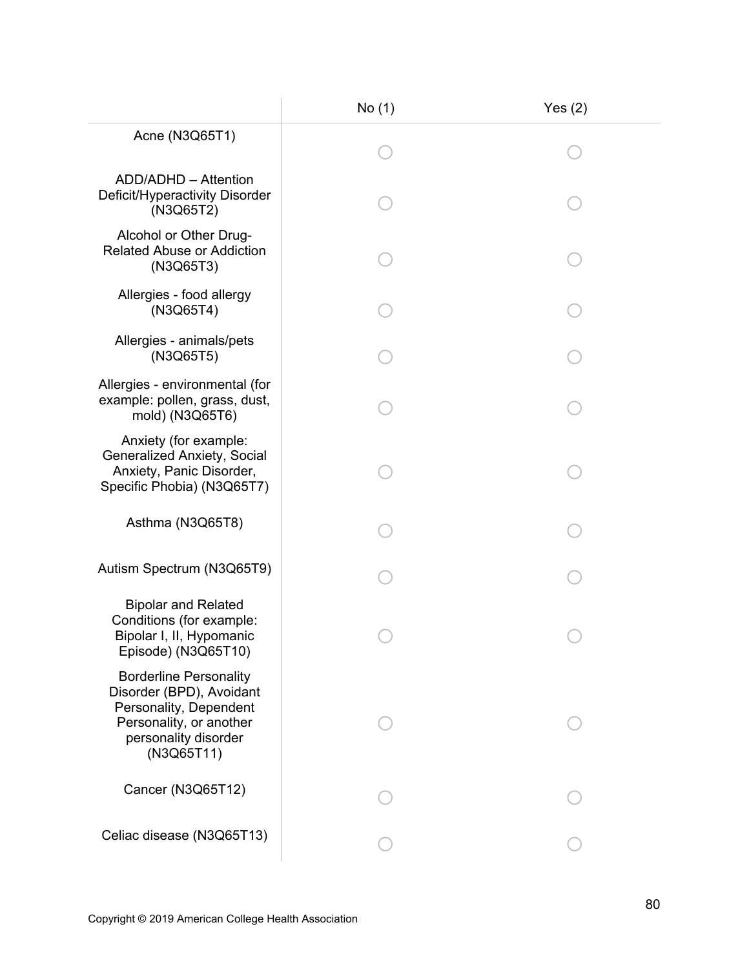|                                                                                                                                                      | No (1) | Yes $(2)$ |
|------------------------------------------------------------------------------------------------------------------------------------------------------|--------|-----------|
| Acne (N3Q65T1)                                                                                                                                       |        |           |
| ADD/ADHD - Attention<br>Deficit/Hyperactivity Disorder<br>(N3Q65T2)                                                                                  |        |           |
| Alcohol or Other Drug-<br><b>Related Abuse or Addiction</b><br>(N3Q65T3)                                                                             |        |           |
| Allergies - food allergy<br>(N3Q65T4)                                                                                                                |        |           |
| Allergies - animals/pets<br>(N3Q65T5)                                                                                                                |        |           |
| Allergies - environmental (for<br>example: pollen, grass, dust,<br>mold) (N3Q65T6)                                                                   |        |           |
| Anxiety (for example:<br><b>Generalized Anxiety, Social</b><br>Anxiety, Panic Disorder,<br>Specific Phobia) (N3Q65T7)                                |        |           |
| Asthma (N3Q65T8)                                                                                                                                     |        |           |
| Autism Spectrum (N3Q65T9)                                                                                                                            |        |           |
| <b>Bipolar and Related</b><br>Conditions (for example:<br>Bipolar I, II, Hypomanic<br>Episode) (N3Q65T10)                                            |        |           |
| <b>Borderline Personality</b><br>Disorder (BPD), Avoidant<br>Personality, Dependent<br>Personality, or another<br>personality disorder<br>(N3Q65T11) |        |           |
| Cancer (N3Q65T12)                                                                                                                                    |        |           |
| Celiac disease (N3Q65T13)                                                                                                                            |        |           |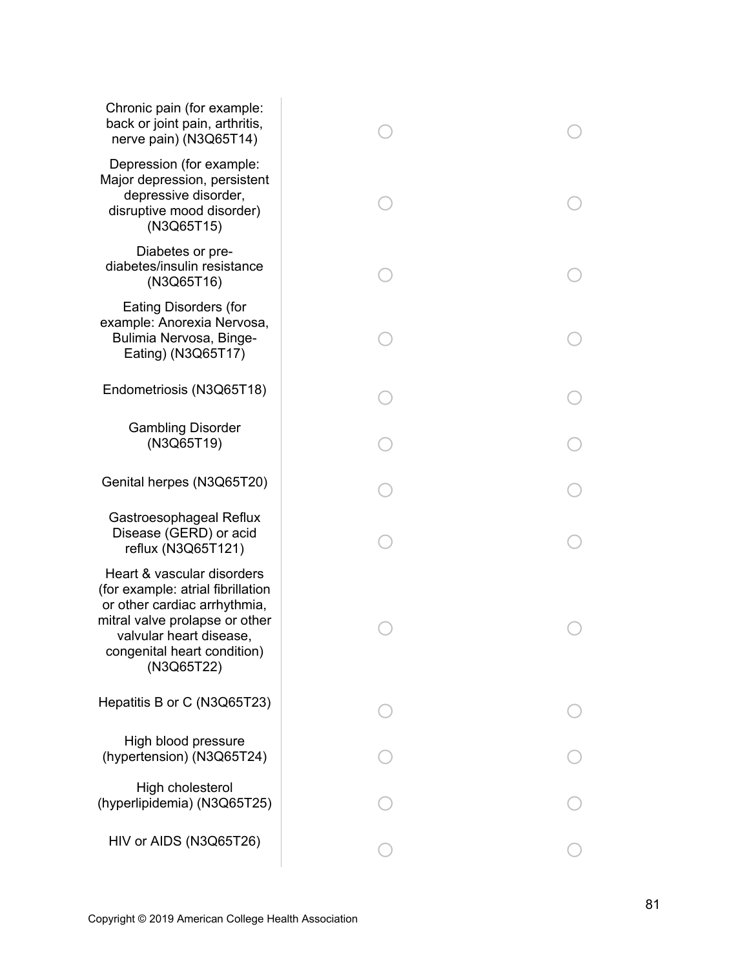| Chronic pain (for example:<br>back or joint pain, arthritis,<br>nerve pain) (N3Q65T14)                                                                                                                    |  |
|-----------------------------------------------------------------------------------------------------------------------------------------------------------------------------------------------------------|--|
| Depression (for example:<br>Major depression, persistent<br>depressive disorder,<br>disruptive mood disorder)<br>(N3Q65T15)                                                                               |  |
| Diabetes or pre-<br>diabetes/insulin resistance<br>(N3Q65T16)                                                                                                                                             |  |
| <b>Eating Disorders (for</b><br>example: Anorexia Nervosa,<br>Bulimia Nervosa, Binge-<br>Eating) (N3Q65T17)                                                                                               |  |
| Endometriosis (N3Q65T18)                                                                                                                                                                                  |  |
| <b>Gambling Disorder</b><br>(N3Q65T19)                                                                                                                                                                    |  |
| Genital herpes (N3Q65T20)                                                                                                                                                                                 |  |
| Gastroesophageal Reflux<br>Disease (GERD) or acid<br>reflux (N3Q65T121)                                                                                                                                   |  |
| Heart & vascular disorders<br>(for example: atrial fibrillation<br>or other cardiac arrhythmia,<br>mitral valve prolapse or other<br>valvular heart disease,<br>congenital heart condition)<br>(N3Q65T22) |  |
| Hepatitis B or C (N3Q65T23)                                                                                                                                                                               |  |
| High blood pressure<br>(hypertension) (N3Q65T24)                                                                                                                                                          |  |
| High cholesterol<br>(hyperlipidemia) (N3Q65T25)                                                                                                                                                           |  |
| HIV or AIDS (N3Q65T26)                                                                                                                                                                                    |  |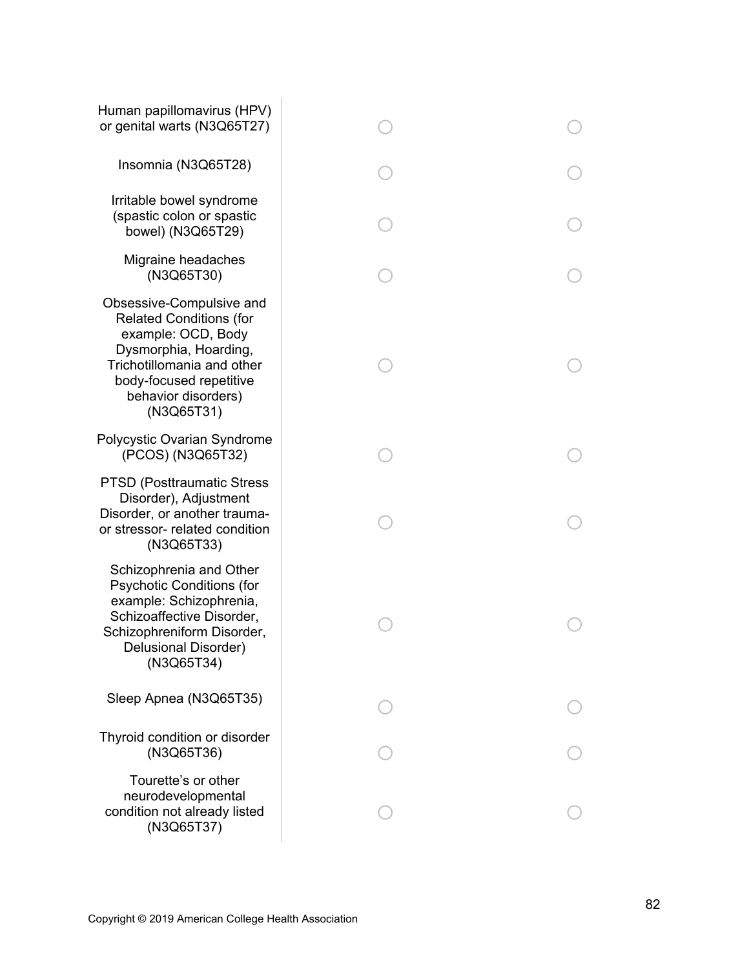| Human papillomavirus (HPV)<br>or genital warts (N3Q65T27)                                                                                                                                               |  |
|---------------------------------------------------------------------------------------------------------------------------------------------------------------------------------------------------------|--|
| Insomnia (N3Q65T28)                                                                                                                                                                                     |  |
| Irritable bowel syndrome<br>(spastic colon or spastic<br>bowel) (N3Q65T29)                                                                                                                              |  |
| Migraine headaches<br>(N3Q65T30)                                                                                                                                                                        |  |
| Obsessive-Compulsive and<br><b>Related Conditions (for</b><br>example: OCD, Body<br>Dysmorphia, Hoarding,<br>Trichotillomania and other<br>body-focused repetitive<br>behavior disorders)<br>(N3Q65T31) |  |
| Polycystic Ovarian Syndrome<br>(PCOS) (N3Q65T32)                                                                                                                                                        |  |
| <b>PTSD (Posttraumatic Stress)</b><br>Disorder), Adjustment<br>Disorder, or another trauma-<br>or stressor- related condition<br>(N3Q65T33)                                                             |  |
| Schizophrenia and Other<br><b>Psychotic Conditions (for</b><br>example: Schizophrenia,<br>Schizoaffective Disorder,<br>Schizophreniform Disorder,<br>Delusional Disorder)<br>(N3Q65T34)                 |  |
| Sleep Apnea (N3Q65T35)                                                                                                                                                                                  |  |
| Thyroid condition or disorder<br>(N3Q65T36)                                                                                                                                                             |  |
| Tourette's or other<br>neurodevelopmental<br>condition not already listed<br>(N3Q65T37)                                                                                                                 |  |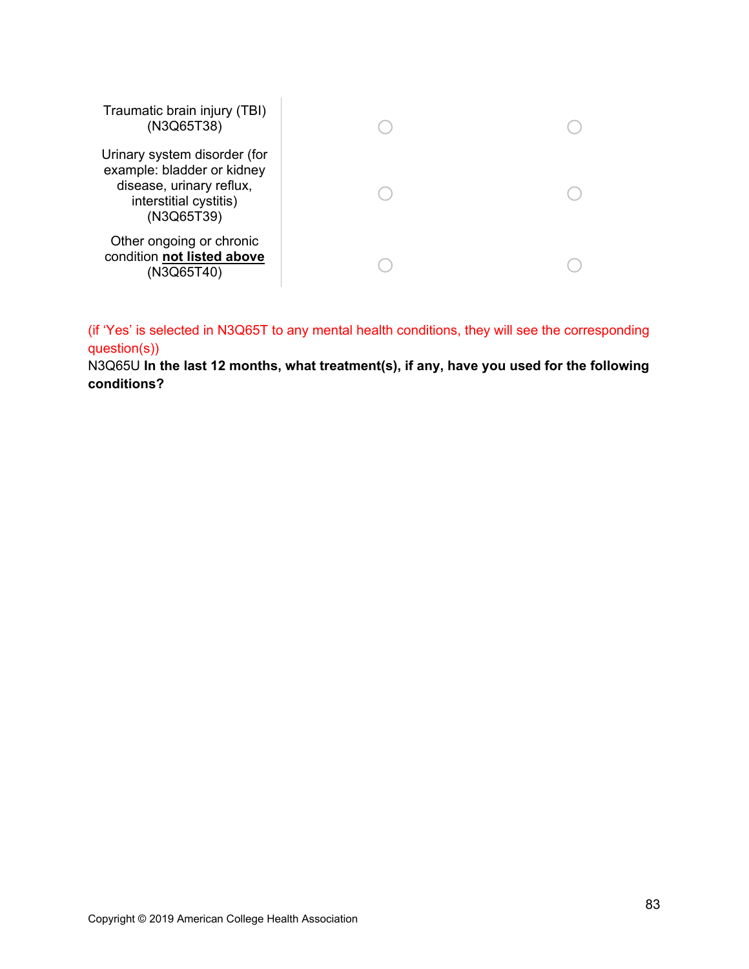| Traumatic brain injury (TBI)<br>(N3Q65T38)                                                                                     |  |
|--------------------------------------------------------------------------------------------------------------------------------|--|
| Urinary system disorder (for<br>example: bladder or kidney<br>disease, urinary reflux,<br>interstitial cystitis)<br>(N3Q65T39) |  |
| Other ongoing or chronic<br>condition not listed above<br>(N3Q65T40)                                                           |  |

(if 'Yes' is selected in N3Q65T to any mental health conditions, they will see the corresponding question(s))

N3Q65U **In the last 12 months, what treatment(s), if any, have you used for the following conditions?**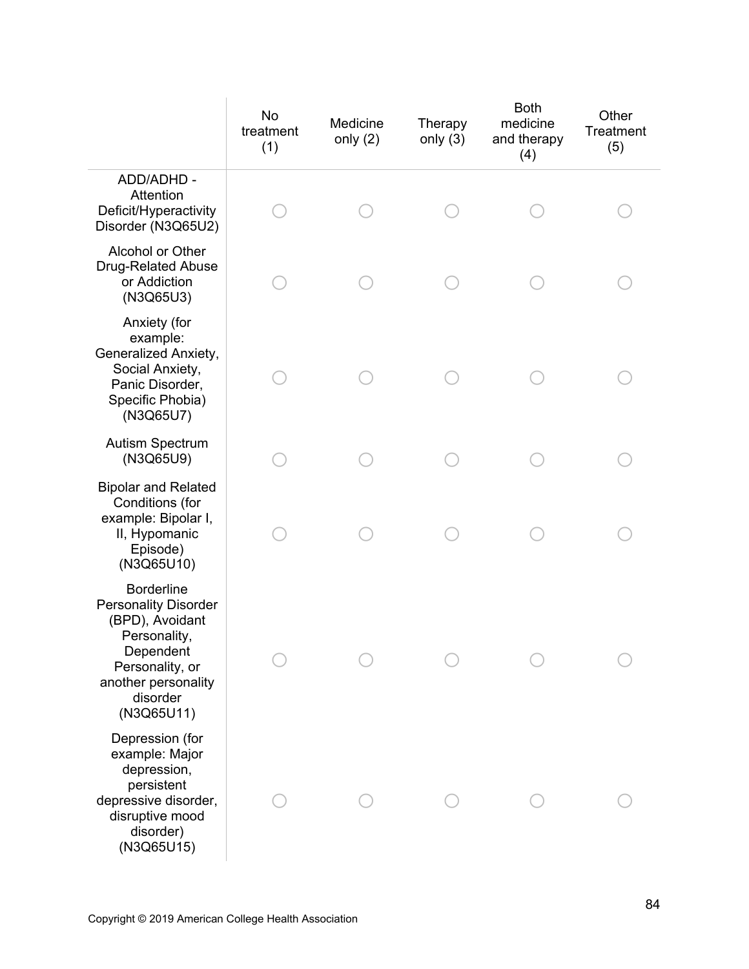|                                                                                                                                                                      | No<br>treatment<br>(1) | Medicine<br>only $(2)$ | Therapy<br>only $(3)$ | <b>Both</b><br>medicine<br>and therapy<br>(4) | Other<br>Treatment<br>(5) |
|----------------------------------------------------------------------------------------------------------------------------------------------------------------------|------------------------|------------------------|-----------------------|-----------------------------------------------|---------------------------|
| ADD/ADHD -<br>Attention<br>Deficit/Hyperactivity<br>Disorder (N3Q65U2)                                                                                               |                        |                        |                       |                                               |                           |
| Alcohol or Other<br><b>Drug-Related Abuse</b><br>or Addiction<br>(N3Q65U3)                                                                                           |                        |                        |                       |                                               |                           |
| Anxiety (for<br>example:<br>Generalized Anxiety,<br>Social Anxiety,<br>Panic Disorder,<br>Specific Phobia)<br>(N3Q65U7)                                              |                        |                        |                       |                                               |                           |
| <b>Autism Spectrum</b><br>(N3Q65U9)                                                                                                                                  |                        |                        |                       |                                               |                           |
| <b>Bipolar and Related</b><br>Conditions (for<br>example: Bipolar I,<br>II, Hypomanic<br>Episode)<br>(N3Q65U10)                                                      |                        |                        |                       |                                               |                           |
| <b>Borderline</b><br><b>Personality Disorder</b><br>(BPD), Avoidant<br>Personality,<br>Dependent<br>Personality, or<br>another personality<br>disorder<br>(N3Q65U11) |                        |                        |                       |                                               |                           |
| Depression (for<br>example: Major<br>depression,<br>persistent<br>depressive disorder,<br>disruptive mood<br>disorder)<br>(N3Q65U15)                                 |                        |                        |                       |                                               |                           |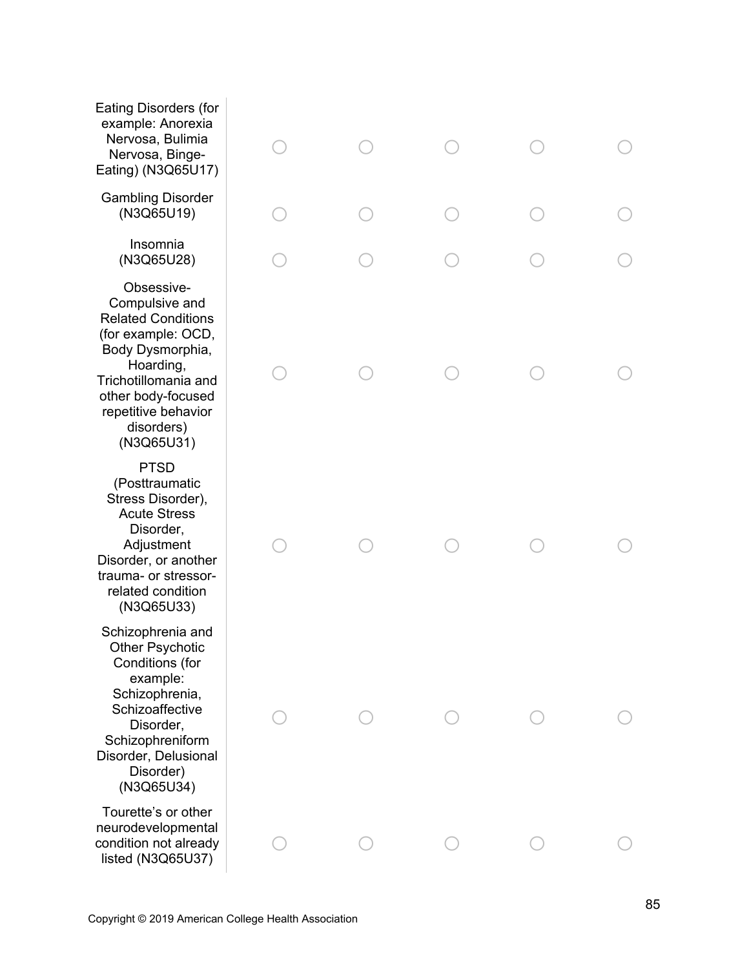Eating Disorders (for example: Anorexia Nervosa, Bulimia Nervosa, Binge-Eating) (N3Q65U17) o o o Gambling Disorder (N3Q65U19) o o o Insomnia (N3Q65U28) o o o Obsessive-Compulsive and Related Conditions (for example: OCD, Body Dysmorphia, Hoarding, Trichotillomania and other body-focused repetitive behavior disorders) (N3Q65U31) o o o PTSD (Posttraumatic Stress Disorder), Acute Stress Disorder, Adjustment Disorder, or another trauma- or stressorrelated condition (N3Q65U33) o o o Schizophrenia and Other Psychotic Conditions (for example: Schizophrenia, **Schizoaffective** Disorder, Schizophreniform Disorder, Delusional Disorder) (N3Q65U34) o o o Tourette's or other o

 $\bigcirc$ 

 $\bigcirc$ 

neurodevelopmental condition not already listed (N3Q65U37)

 $\bigcap$ 

o

o

 $\bigcap$ 

o

o

 $\bigcirc$ 

o

o

o

o

o

o

o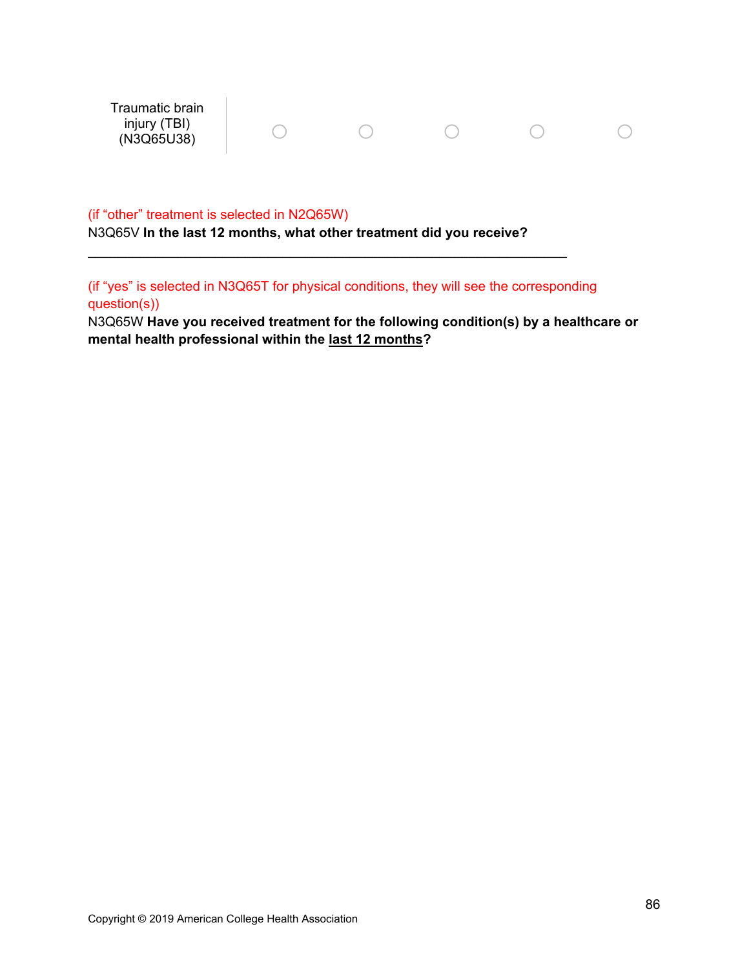Traumatic brain injury (TBI) (N3Q65U38) o o o o o

#### (if "other" treatment is selected in N2Q65W)

N3Q65V **In the last 12 months, what other treatment did you receive?**

 $\mathcal{L}_\text{max}$  and  $\mathcal{L}_\text{max}$  and  $\mathcal{L}_\text{max}$  and  $\mathcal{L}_\text{max}$  and  $\mathcal{L}_\text{max}$  and  $\mathcal{L}_\text{max}$ 

(if "yes" is selected in N3Q65T for physical conditions, they will see the corresponding question(s))

N3Q65W **Have you received treatment for the following condition(s) by a healthcare or mental health professional within the last 12 months?**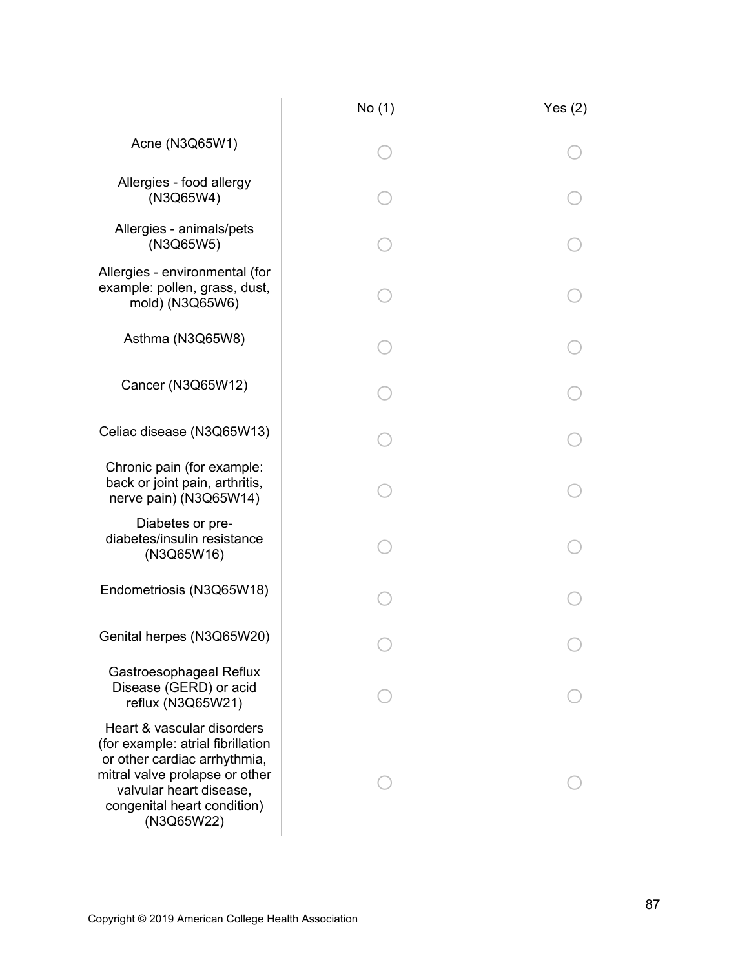|                                                                                                                                                                                                           | No(1) | Yes $(2)$ |
|-----------------------------------------------------------------------------------------------------------------------------------------------------------------------------------------------------------|-------|-----------|
| Acne (N3Q65W1)                                                                                                                                                                                            |       |           |
| Allergies - food allergy<br>(N3Q65W4)                                                                                                                                                                     |       |           |
| Allergies - animals/pets<br>(N3Q65W5)                                                                                                                                                                     |       |           |
| Allergies - environmental (for<br>example: pollen, grass, dust,<br>mold) (N3Q65W6)                                                                                                                        |       |           |
| Asthma (N3Q65W8)                                                                                                                                                                                          |       |           |
| Cancer (N3Q65W12)                                                                                                                                                                                         |       |           |
| Celiac disease (N3Q65W13)                                                                                                                                                                                 |       |           |
| Chronic pain (for example:<br>back or joint pain, arthritis,<br>nerve pain) (N3Q65W14)                                                                                                                    |       |           |
| Diabetes or pre-<br>diabetes/insulin resistance<br>(N3Q65W16)                                                                                                                                             |       |           |
| Endometriosis (N3Q65W18)                                                                                                                                                                                  |       |           |
| Genital herpes (N3Q65W20)                                                                                                                                                                                 |       |           |
| Gastroesophageal Reflux<br>Disease (GERD) or acid<br>reflux (N3Q65W21)                                                                                                                                    |       |           |
| Heart & vascular disorders<br>(for example: atrial fibrillation<br>or other cardiac arrhythmia,<br>mitral valve prolapse or other<br>valvular heart disease,<br>congenital heart condition)<br>(N3Q65W22) |       |           |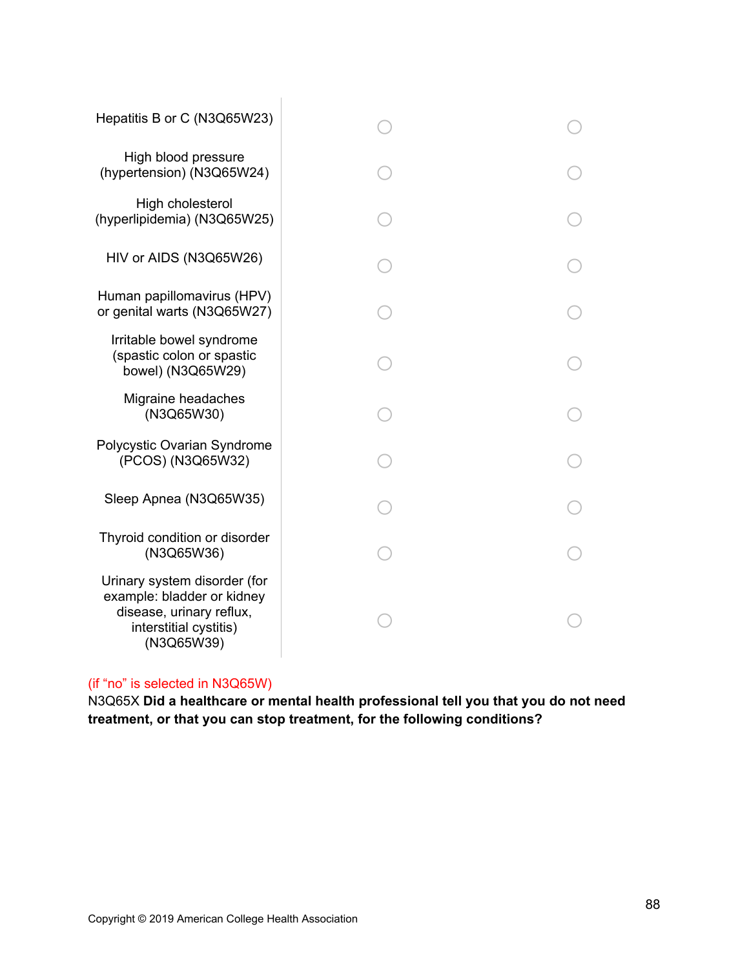| Hepatitis B or C (N3Q65W23)                                                                                                    |  |
|--------------------------------------------------------------------------------------------------------------------------------|--|
| High blood pressure<br>(hypertension) (N3Q65W24)                                                                               |  |
| High cholesterol<br>(hyperlipidemia) (N3Q65W25)                                                                                |  |
| HIV or AIDS (N3Q65W26)                                                                                                         |  |
| Human papillomavirus (HPV)<br>or genital warts (N3Q65W27)                                                                      |  |
| Irritable bowel syndrome<br>(spastic colon or spastic<br>bowel) (N3Q65W29)                                                     |  |
| Migraine headaches<br>(N3Q65W30)                                                                                               |  |
| Polycystic Ovarian Syndrome<br>(PCOS) (N3Q65W32)                                                                               |  |
| Sleep Apnea (N3Q65W35)                                                                                                         |  |
| Thyroid condition or disorder<br>(N3Q65W36)                                                                                    |  |
| Urinary system disorder (for<br>example: bladder or kidney<br>disease, urinary reflux,<br>interstitial cystitis)<br>(N3Q65W39) |  |

## (if "no" is selected in N3Q65W)

N3Q65X **Did a healthcare or mental health professional tell you that you do not need treatment, or that you can stop treatment, for the following conditions?**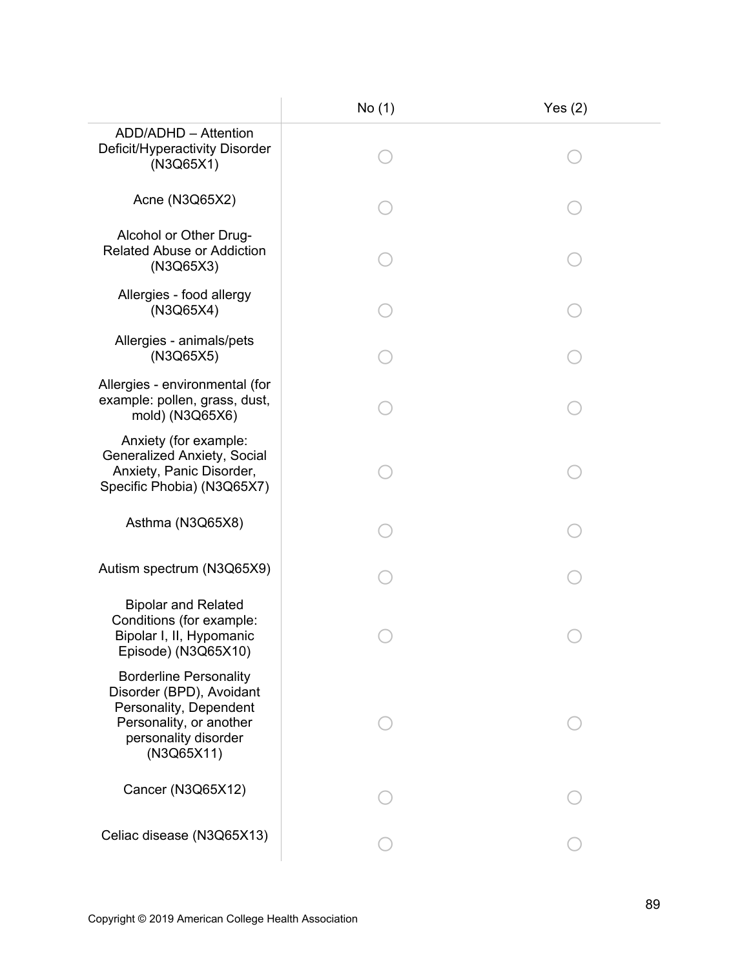|                                                                                                                                                      | No (1) | Yes $(2)$ |
|------------------------------------------------------------------------------------------------------------------------------------------------------|--------|-----------|
| ADD/ADHD - Attention<br>Deficit/Hyperactivity Disorder<br>(N3Q65X1)                                                                                  |        |           |
| Acne (N3Q65X2)                                                                                                                                       |        |           |
| Alcohol or Other Drug-<br><b>Related Abuse or Addiction</b><br>(N3Q65X3)                                                                             |        |           |
| Allergies - food allergy<br>(N3Q65X4)                                                                                                                |        |           |
| Allergies - animals/pets<br>(N3Q65X5)                                                                                                                |        |           |
| Allergies - environmental (for<br>example: pollen, grass, dust,<br>mold) (N3Q65X6)                                                                   |        |           |
| Anxiety (for example:<br><b>Generalized Anxiety, Social</b><br>Anxiety, Panic Disorder,<br>Specific Phobia) (N3Q65X7)                                |        |           |
| Asthma (N3Q65X8)                                                                                                                                     |        |           |
| Autism spectrum (N3Q65X9)                                                                                                                            |        |           |
| <b>Bipolar and Related</b><br>Conditions (for example:<br>Bipolar I, II, Hypomanic<br>Episode) (N3Q65X10)                                            |        |           |
| <b>Borderline Personality</b><br>Disorder (BPD), Avoidant<br>Personality, Dependent<br>Personality, or another<br>personality disorder<br>(N3Q65X11) |        |           |
| Cancer (N3Q65X12)                                                                                                                                    |        |           |
| Celiac disease (N3Q65X13)                                                                                                                            |        |           |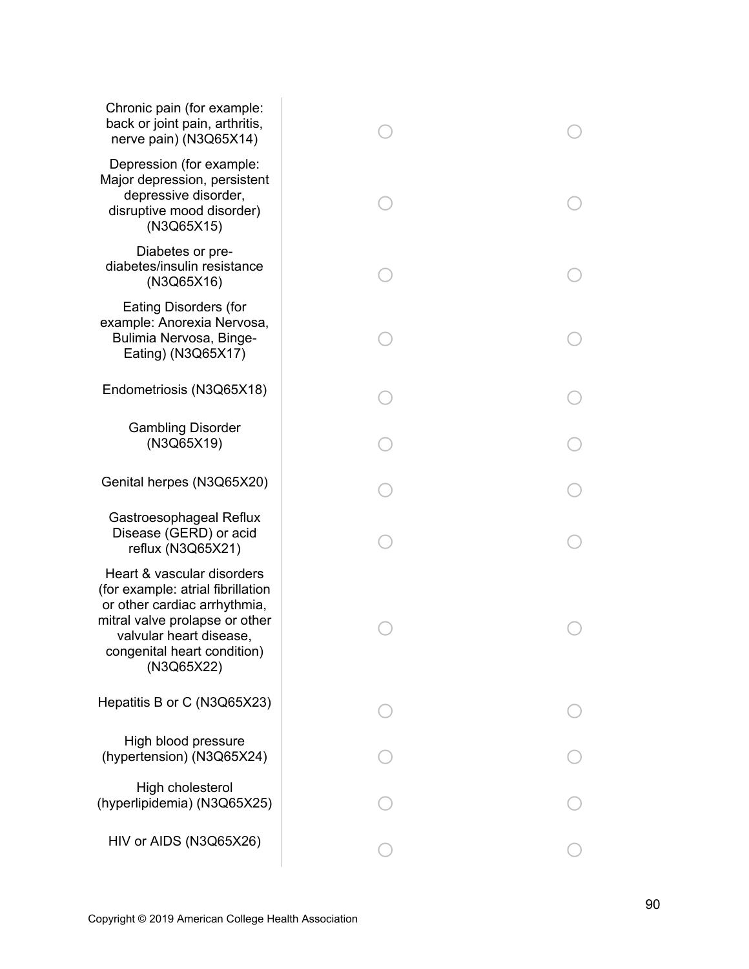| Chronic pain (for example:<br>back or joint pain, arthritis,<br>nerve pain) (N3Q65X14)                                                                                                                    |  |
|-----------------------------------------------------------------------------------------------------------------------------------------------------------------------------------------------------------|--|
| Depression (for example:<br>Major depression, persistent<br>depressive disorder,<br>disruptive mood disorder)<br>(N3Q65X15)                                                                               |  |
| Diabetes or pre-<br>diabetes/insulin resistance<br>(N3Q65X16)                                                                                                                                             |  |
| <b>Eating Disorders (for</b><br>example: Anorexia Nervosa,<br>Bulimia Nervosa, Binge-<br>Eating) (N3Q65X17)                                                                                               |  |
| Endometriosis (N3Q65X18)                                                                                                                                                                                  |  |
| <b>Gambling Disorder</b><br>(N3Q65X19)                                                                                                                                                                    |  |
| Genital herpes (N3Q65X20)                                                                                                                                                                                 |  |
| Gastroesophageal Reflux<br>Disease (GERD) or acid<br>reflux (N3Q65X21)                                                                                                                                    |  |
| Heart & vascular disorders<br>(for example: atrial fibrillation<br>or other cardiac arrhythmia,<br>mitral valve prolapse or other<br>valvular heart disease,<br>congenital heart condition)<br>(N3Q65X22) |  |
| Hepatitis B or C (N3Q65X23)                                                                                                                                                                               |  |
| High blood pressure<br>(hypertension) (N3Q65X24)                                                                                                                                                          |  |
| High cholesterol<br>(hyperlipidemia) (N3Q65X25)                                                                                                                                                           |  |
| HIV or AIDS (N3Q65X26)                                                                                                                                                                                    |  |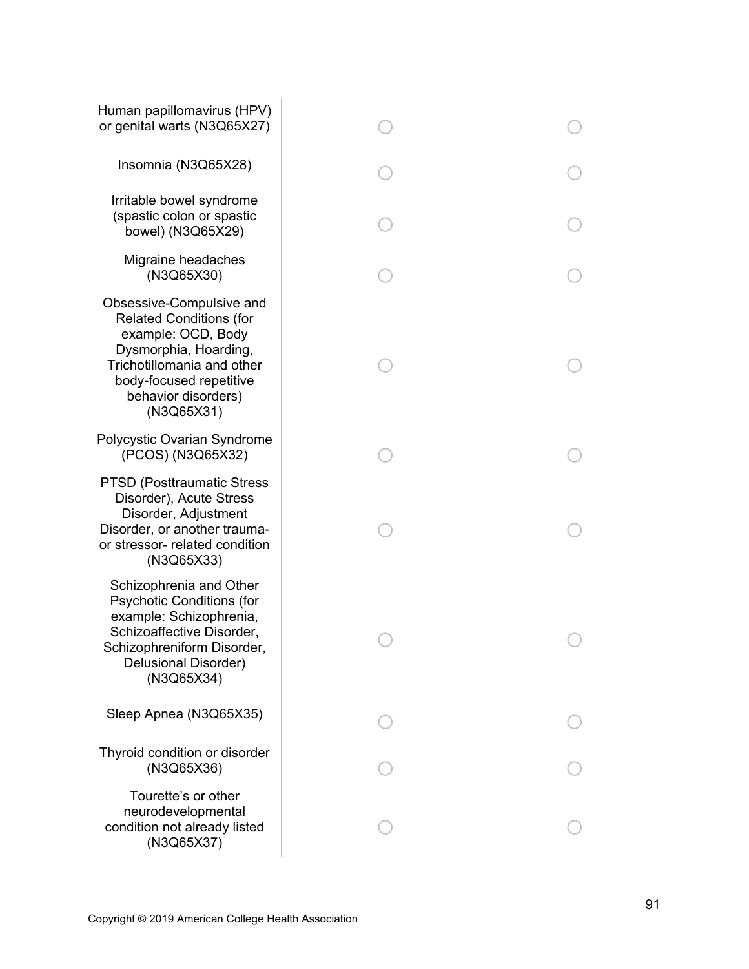| Human papillomavirus (HPV)<br>or genital warts (N3Q65X27)                                                                                                                                               |  |
|---------------------------------------------------------------------------------------------------------------------------------------------------------------------------------------------------------|--|
| Insomnia (N3Q65X28)                                                                                                                                                                                     |  |
| Irritable bowel syndrome<br>(spastic colon or spastic<br>bowel) (N3Q65X29)                                                                                                                              |  |
| Migraine headaches<br>(N3Q65X30)                                                                                                                                                                        |  |
| Obsessive-Compulsive and<br><b>Related Conditions (for</b><br>example: OCD, Body<br>Dysmorphia, Hoarding,<br>Trichotillomania and other<br>body-focused repetitive<br>behavior disorders)<br>(N3Q65X31) |  |
| Polycystic Ovarian Syndrome<br>(PCOS) (N3Q65X32)                                                                                                                                                        |  |
| <b>PTSD (Posttraumatic Stress)</b><br>Disorder), Acute Stress<br>Disorder, Adjustment<br>Disorder, or another trauma-<br>or stressor- related condition<br>(N3Q65X33)                                   |  |
| Schizophrenia and Other<br><b>Psychotic Conditions (for</b><br>example: Schizophrenia,<br>Schizoaffective Disorder,<br>Schizophreniform Disorder,<br>Delusional Disorder)<br>(N3Q65X34)                 |  |
| Sleep Apnea (N3Q65X35)                                                                                                                                                                                  |  |
| Thyroid condition or disorder<br>(N3Q65X36)                                                                                                                                                             |  |
| Tourette's or other<br>neurodevelopmental<br>condition not already listed<br>(N3Q65X37)                                                                                                                 |  |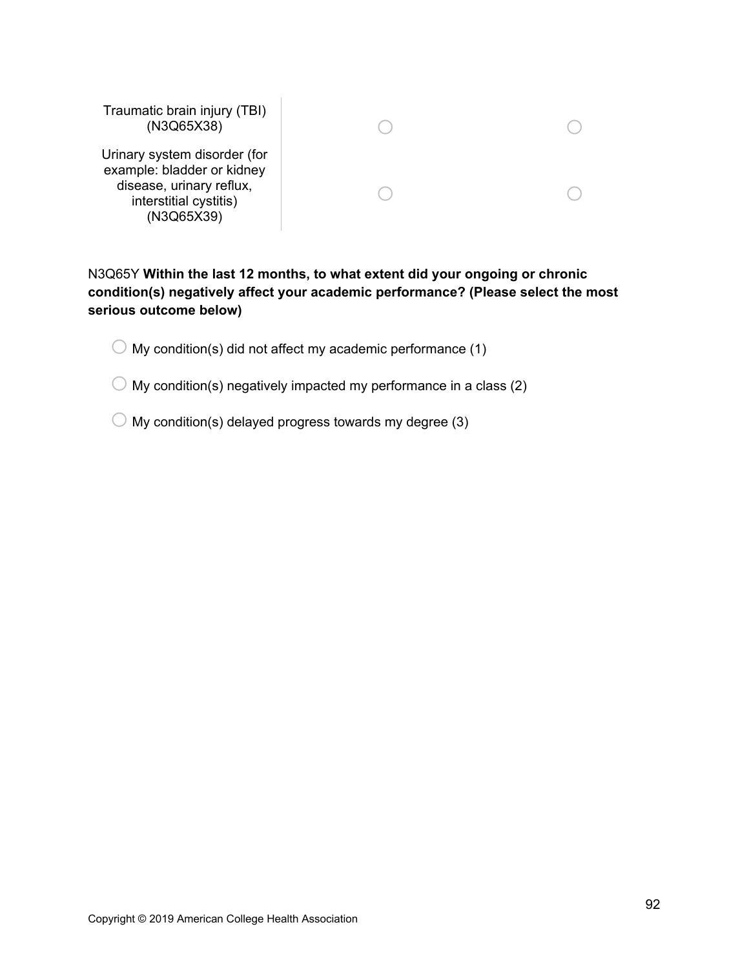| Traumatic brain injury (TBI)<br>(N3Q65X38)                                                                                     |  |
|--------------------------------------------------------------------------------------------------------------------------------|--|
| Urinary system disorder (for<br>example: bladder or kidney<br>disease, urinary reflux,<br>interstitial cystitis)<br>(N3Q65X39) |  |

# N3Q65Y **Within the last 12 months, to what extent did your ongoing or chronic condition(s) negatively affect your academic performance? (Please select the most serious outcome below)**

 $\bigcirc$  My condition(s) did not affect my academic performance (1)

 $\bigcirc$  My condition(s) negatively impacted my performance in a class (2)

 $\bigcirc$  My condition(s) delayed progress towards my degree (3)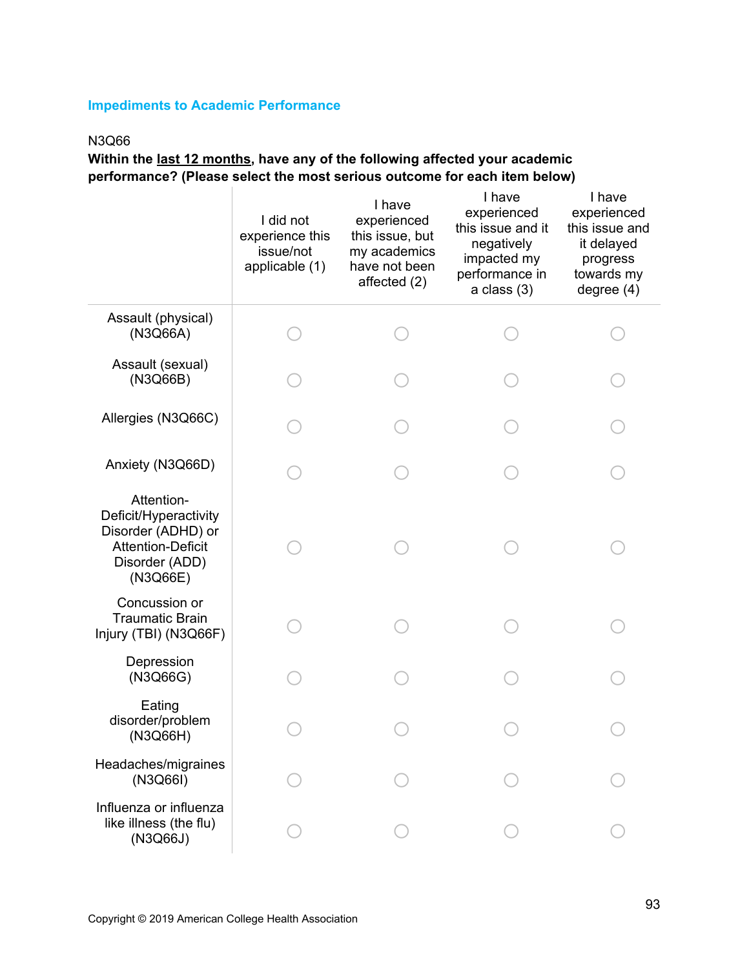## **Impediments to Academic Performance**

## N3Q66

**Within the last 12 months, have any of the following affected your academic performance? (Please select the most serious outcome for each item below)**

|                                                                                                                     | I did not<br>experience this<br>issue/not<br>applicable (1) | I have<br>experienced<br>this issue, but<br>my academics<br>have not been<br>affected (2) | I have<br>experienced<br>this issue and it<br>negatively<br>impacted my<br>performance in<br>$a$ class $(3)$ | I have<br>experienced<br>this issue and<br>it delayed<br>progress<br>towards my<br>degree $(4)$ |
|---------------------------------------------------------------------------------------------------------------------|-------------------------------------------------------------|-------------------------------------------------------------------------------------------|--------------------------------------------------------------------------------------------------------------|-------------------------------------------------------------------------------------------------|
| Assault (physical)<br>(N3Q66A)                                                                                      |                                                             |                                                                                           |                                                                                                              |                                                                                                 |
| Assault (sexual)<br>(N3Q66B)                                                                                        |                                                             |                                                                                           |                                                                                                              |                                                                                                 |
| Allergies (N3Q66C)                                                                                                  |                                                             |                                                                                           |                                                                                                              |                                                                                                 |
| Anxiety (N3Q66D)                                                                                                    |                                                             |                                                                                           |                                                                                                              |                                                                                                 |
| Attention-<br>Deficit/Hyperactivity<br>Disorder (ADHD) or<br><b>Attention-Deficit</b><br>Disorder (ADD)<br>(N3Q66E) |                                                             |                                                                                           |                                                                                                              |                                                                                                 |
| Concussion or<br><b>Traumatic Brain</b><br>Injury (TBI) (N3Q66F)                                                    |                                                             |                                                                                           |                                                                                                              |                                                                                                 |
| Depression<br>(N3Q66G)                                                                                              |                                                             |                                                                                           |                                                                                                              |                                                                                                 |
| Eating<br>disorder/problem<br>(N3Q66H)                                                                              |                                                             |                                                                                           |                                                                                                              |                                                                                                 |
| Headaches/migraines<br>(N3Q66I)                                                                                     |                                                             |                                                                                           |                                                                                                              |                                                                                                 |
| Influenza or influenza<br>like illness (the flu)<br>(N3Q66J)                                                        |                                                             |                                                                                           |                                                                                                              |                                                                                                 |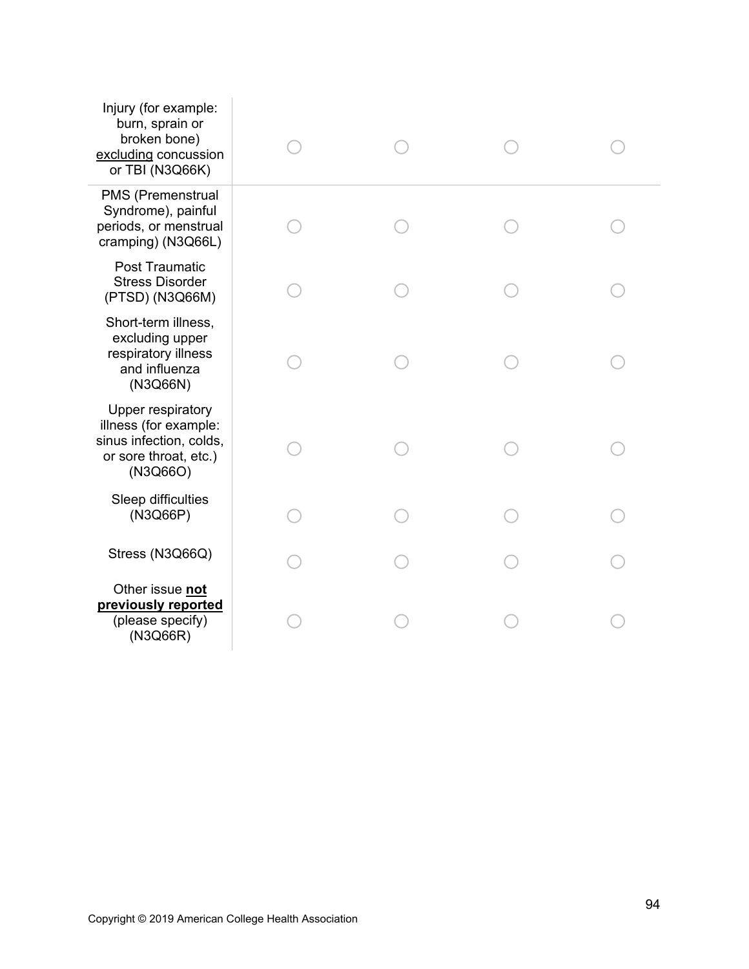| Injury (for example:<br>burn, sprain or<br>broken bone)<br>excluding concussion<br>or TBI (N3Q66K)                |  |  |
|-------------------------------------------------------------------------------------------------------------------|--|--|
| PMS (Premenstrual<br>Syndrome), painful<br>periods, or menstrual<br>cramping) (N3Q66L)                            |  |  |
| <b>Post Traumatic</b><br><b>Stress Disorder</b><br>(PTSD) (N3Q66M)                                                |  |  |
| Short-term illness,<br>excluding upper<br>respiratory illness<br>and influenza<br>(N3Q66N)                        |  |  |
| <b>Upper respiratory</b><br>illness (for example:<br>sinus infection, colds,<br>or sore throat, etc.)<br>(N3Q66O) |  |  |
| Sleep difficulties<br>(N3Q66P)                                                                                    |  |  |
| Stress (N3Q66Q)                                                                                                   |  |  |
| Other issue not<br>previously reported<br>(please specify)<br>(N3Q66R)                                            |  |  |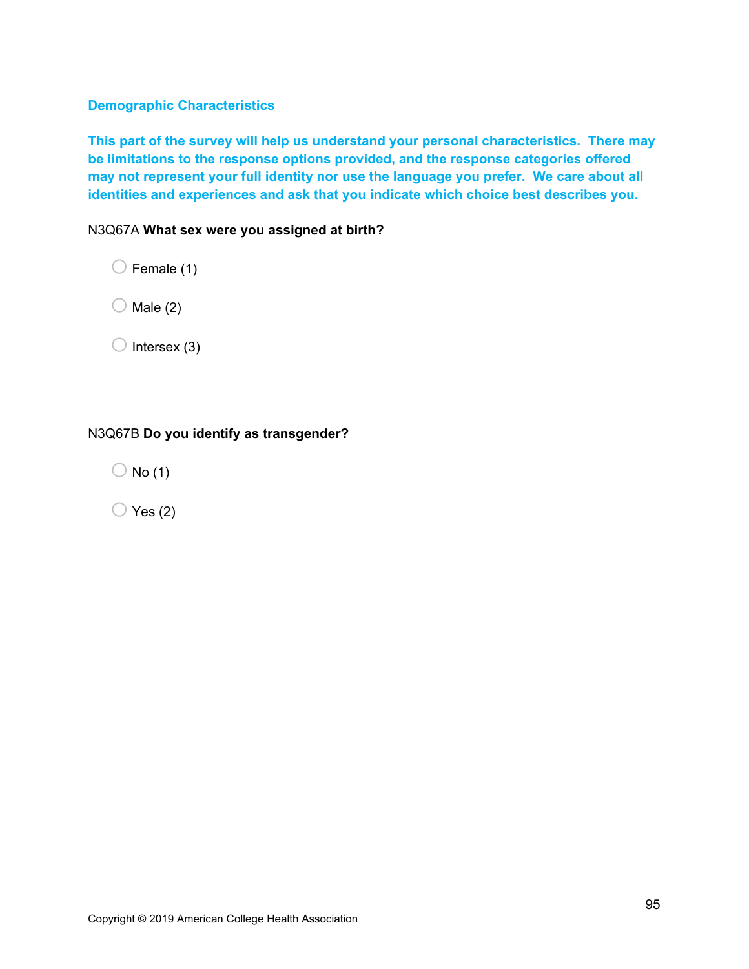## **Demographic Characteristics**

**This part of the survey will help us understand your personal characteristics. There may be limitations to the response options provided, and the response categories offered may not represent your full identity nor use the language you prefer. We care about all identities and experiences and ask that you indicate which choice best describes you.**

N3Q67A **What sex were you assigned at birth?**

 $\bigcirc$  Female (1)

 $\bigcirc$  Male (2)

 $\bigcirc$  Intersex (3)

## N3Q67B **Do you identify as transgender?**

 $\bigcirc$  No (1)

 $\bigcirc$  Yes (2)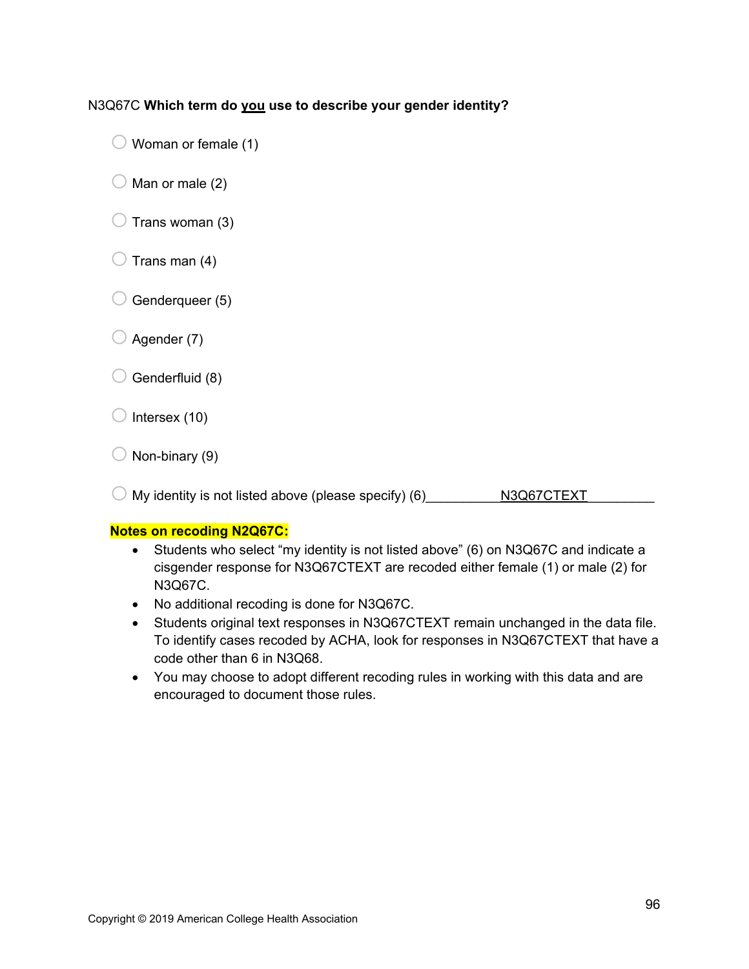## N3Q67C **Which term do you use to describe your gender identity?**

- $\bigcirc$  Woman or female (1)
- $\bigcirc$  Man or male (2)
- $\bigcirc$  Trans woman (3)
- $\bigcirc$  Trans man (4)
- $\bigcirc$  Genderqueer (5)
- $\bigcirc$  Agender (7)
- $\bigcirc$  Genderfluid (8)
- $\bigcirc$  Intersex (10)
- $\bigcirc$  Non-binary (9)

 $\bigcirc$  My identity is not listed above (please specify) (6) \_\_\_\_\_\_\_\_\_\_\_N3Q67CTEXT

#### **Notes on recoding N2Q67C:**

- Students who select "my identity is not listed above" (6) on N3Q67C and indicate a cisgender response for N3Q67CTEXT are recoded either female (1) or male (2) for N3Q67C.
- No additional recoding is done for N3Q67C.
- Students original text responses in N3Q67CTEXT remain unchanged in the data file. To identify cases recoded by ACHA, look for responses in N3Q67CTEXT that have a code other than 6 in N3Q68.
- You may choose to adopt different recoding rules in working with this data and are encouraged to document those rules.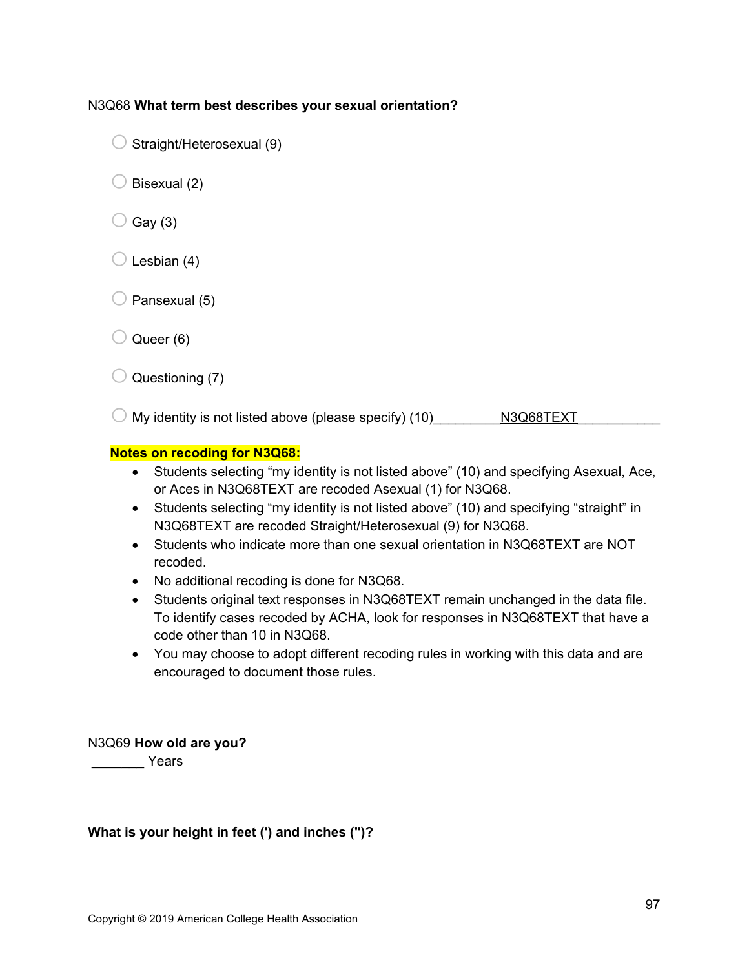#### N3Q68 **What term best describes your sexual orientation?**

- $\bigcirc$  Straight/Heterosexual (9)
- $\bigcirc$  Bisexual (2)
- $\bigcirc$  Gay (3)
- $\bigcirc$  Lesbian (4)
- $\bigcirc$  Pansexual (5)
- $\bigcirc$  Queer (6)
- $\bigcirc$  Questioning (7)

 $\bigcirc$  My identity is not listed above (please specify) (10)\_\_\_\_\_\_\_\_\_\_N3Q68TEXT

#### **Notes on recoding for N3Q68:**

- Students selecting "my identity is not listed above" (10) and specifying Asexual, Ace, or Aces in N3Q68TEXT are recoded Asexual (1) for N3Q68.
- Students selecting "my identity is not listed above" (10) and specifying "straight" in N3Q68TEXT are recoded Straight/Heterosexual (9) for N3Q68.
- Students who indicate more than one sexual orientation in N3Q68TEXT are NOT recoded.
- No additional recoding is done for N3Q68.
- Students original text responses in N3Q68TEXT remain unchanged in the data file. To identify cases recoded by ACHA, look for responses in N3Q68TEXT that have a code other than 10 in N3Q68.
- You may choose to adopt different recoding rules in working with this data and are encouraged to document those rules.

#### N3Q69 **How old are you?**

\_\_\_\_\_\_\_ Years

## **What is your height in feet (') and inches (")?**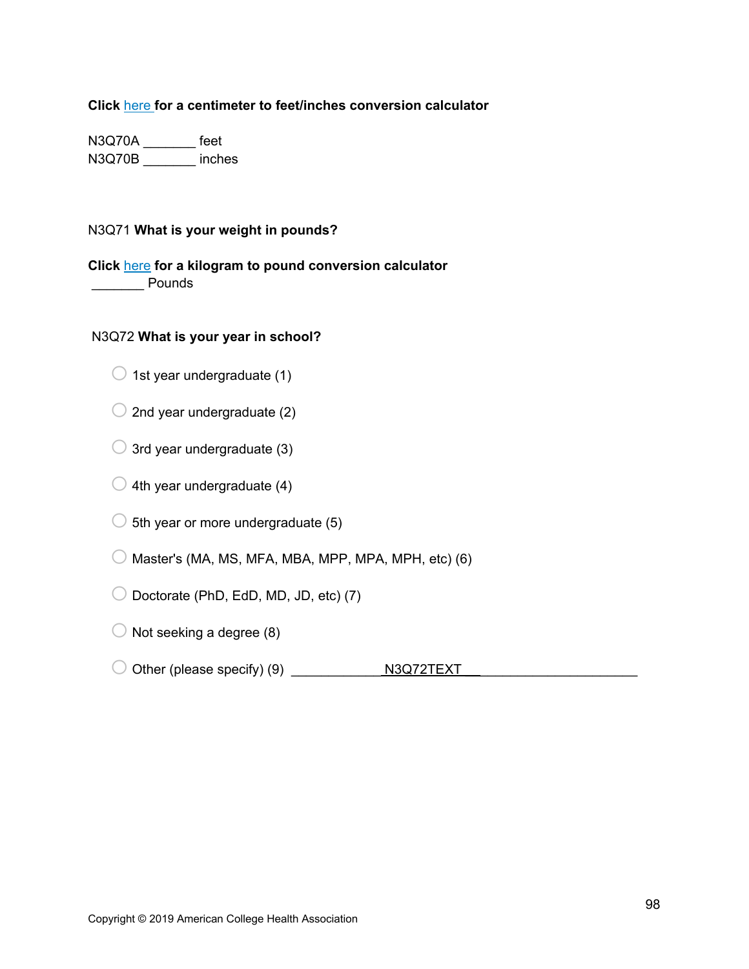**Click** here **for a centimeter to feet/inches conversion calculator**

N3Q70A \_\_\_\_\_\_\_ feet N3Q70B \_\_\_\_\_\_\_ inches

## N3Q71 **What is your weight in pounds?**

## **Click** here **for a kilogram to pound conversion calculator**

**Pounds** 

### N3Q72 **What is your year in school?**

- $\bigcirc$  1st year undergraduate (1)
- $\bigcirc$  2nd year undergraduate (2)
- $\bigcirc$  3rd year undergraduate (3)
- $\bigcirc$  4th year undergraduate (4)
- $\bigcirc$  5th year or more undergraduate (5)
- $\bigcirc$  Master's (MA, MS, MFA, MBA, MPP, MPA, MPH, etc) (6)
- $\bigcirc$  Doctorate (PhD, EdD, MD, JD, etc) (7)
- $\bigcirc$  Not seeking a degree (8)
- o Other (please specify) (9) \_\_\_\_\_\_\_\_\_\_\_\_ N3Q72TEXT \_\_\_\_\_\_\_\_\_\_\_\_\_\_\_\_\_\_\_\_\_\_\_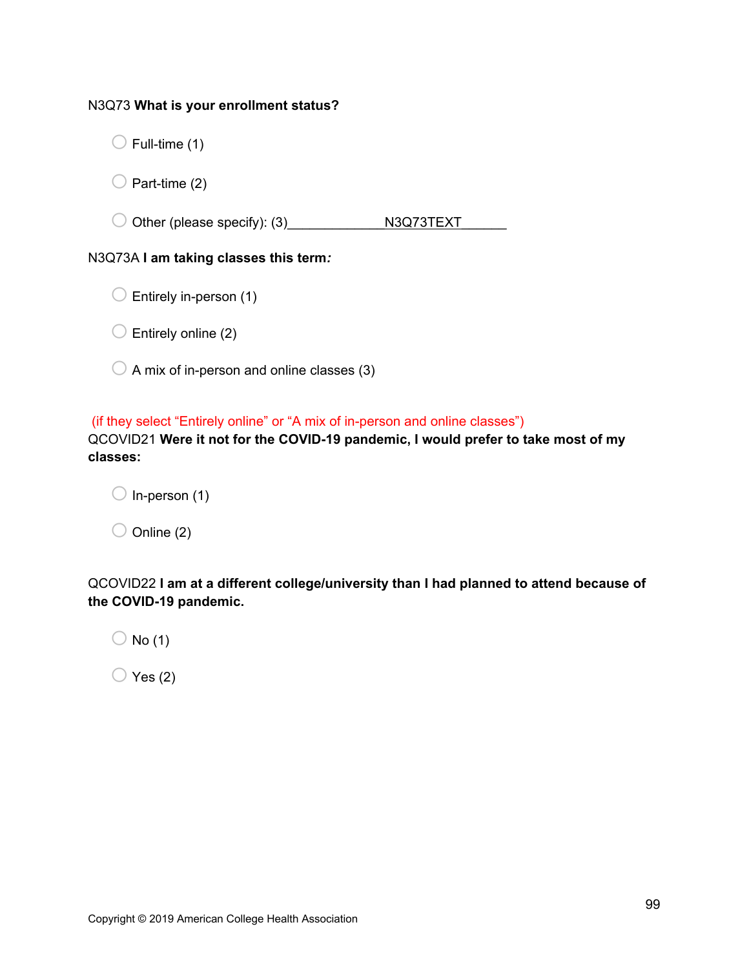#### N3Q73 **What is your enrollment status?**

 $\bigcirc$  Full-time (1)

 $\bigcirc$  Part-time (2)

o Other (please specify): (3)\_\_\_\_\_\_\_\_\_\_\_\_\_N3Q73TEXT\_\_\_\_\_\_

## N3Q73A **I am taking classes this term***:*

 $\bigcirc$  Entirely online (2)

 $\bigcirc$  A mix of in-person and online classes (3)

(if they select "Entirely online" or "A mix of in-person and online classes")

QCOVID21 **Were it not for the COVID-19 pandemic, I would prefer to take most of my classes:**

 $\bigcirc$  In-person (1)  $\bigcirc$  Online (2)

QCOVID22 **I am at a different college/university than I had planned to attend because of the COVID-19 pandemic.**

 $\bigcirc$  No (1)

 $\bigcirc$  Yes (2)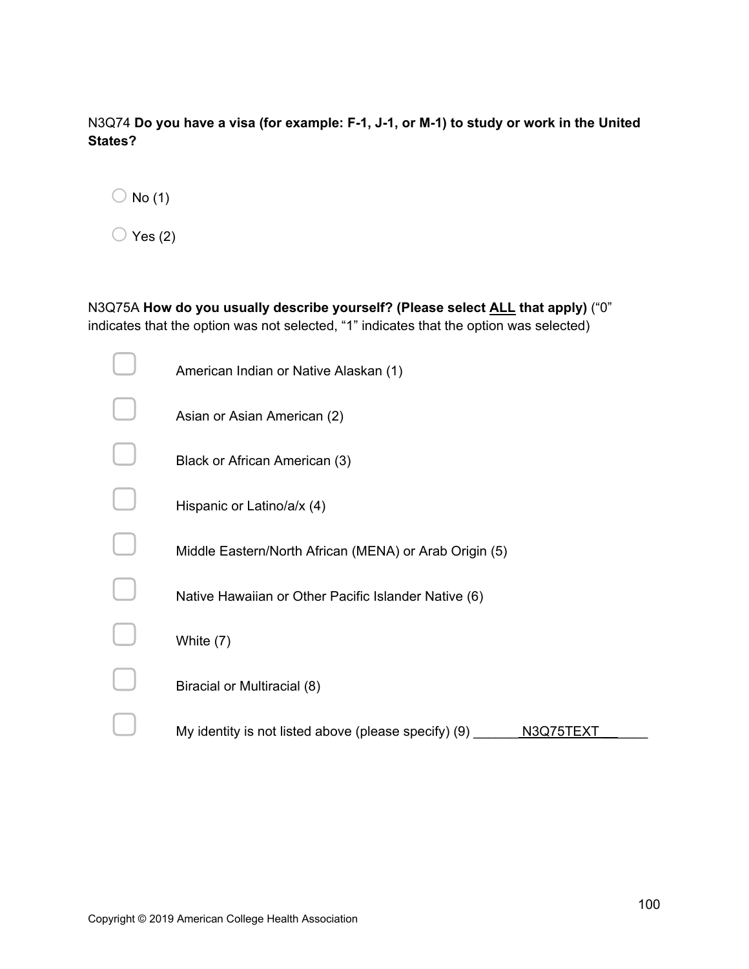N3Q74 **Do you have a visa (for example: F-1, J-1, or M-1) to study or work in the United States?** 

|  | No (1) |
|--|--------|
|--|--------|

 $\bigcirc$  Yes (2)

N3Q75A **How do you usually describe yourself? (Please select ALL that apply)** ("0" indicates that the option was not selected, "1" indicates that the option was selected)

| American Indian or Native Alaskan (1)                             |
|-------------------------------------------------------------------|
| Asian or Asian American (2)                                       |
| Black or African American (3)                                     |
| Hispanic or Latino/a/x (4)                                        |
| Middle Eastern/North African (MENA) or Arab Origin (5)            |
| Native Hawaiian or Other Pacific Islander Native (6)              |
| White (7)                                                         |
| Biracial or Multiracial (8)                                       |
| My identity is not listed above (please specify) (9)<br>N3Q75TEXT |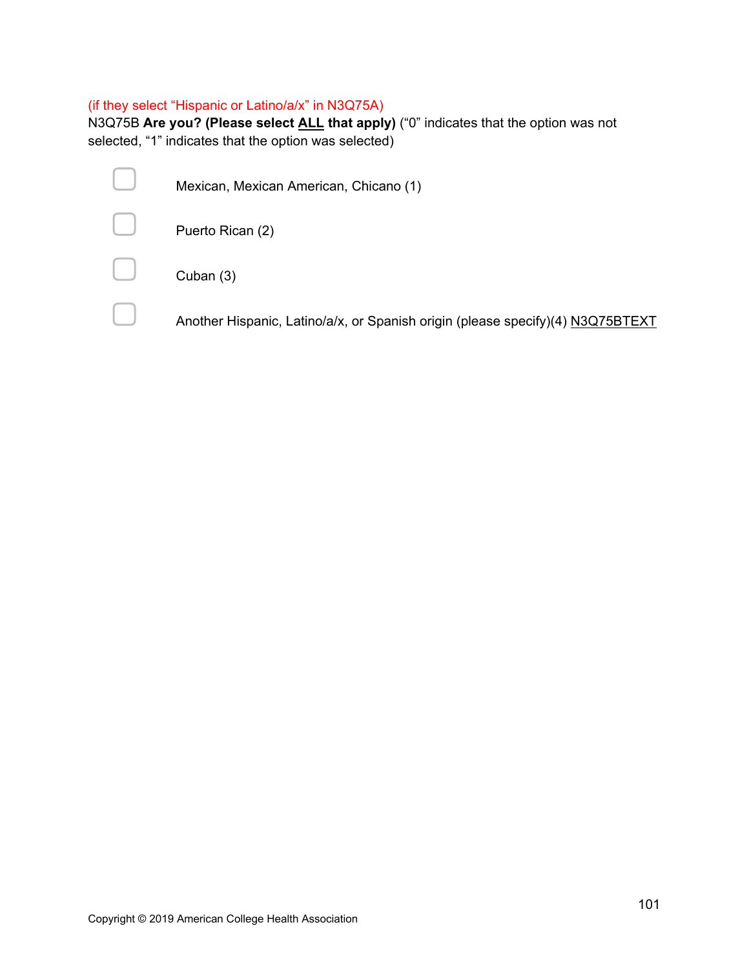# (if they select "Hispanic or Latino/a/x" in N3Q75A)

N3Q75B **Are you? (Please select ALL that apply)** ("0" indicates that the option was not selected, "1" indicates that the option was selected)

| Mexican, Mexican American, Chicano (1)                                         |
|--------------------------------------------------------------------------------|
| Puerto Rican (2)                                                               |
| Cuban (3)                                                                      |
| Another Hispanic, Latino/a/x, or Spanish origin (please specify)(4) N3Q75BTEXT |
|                                                                                |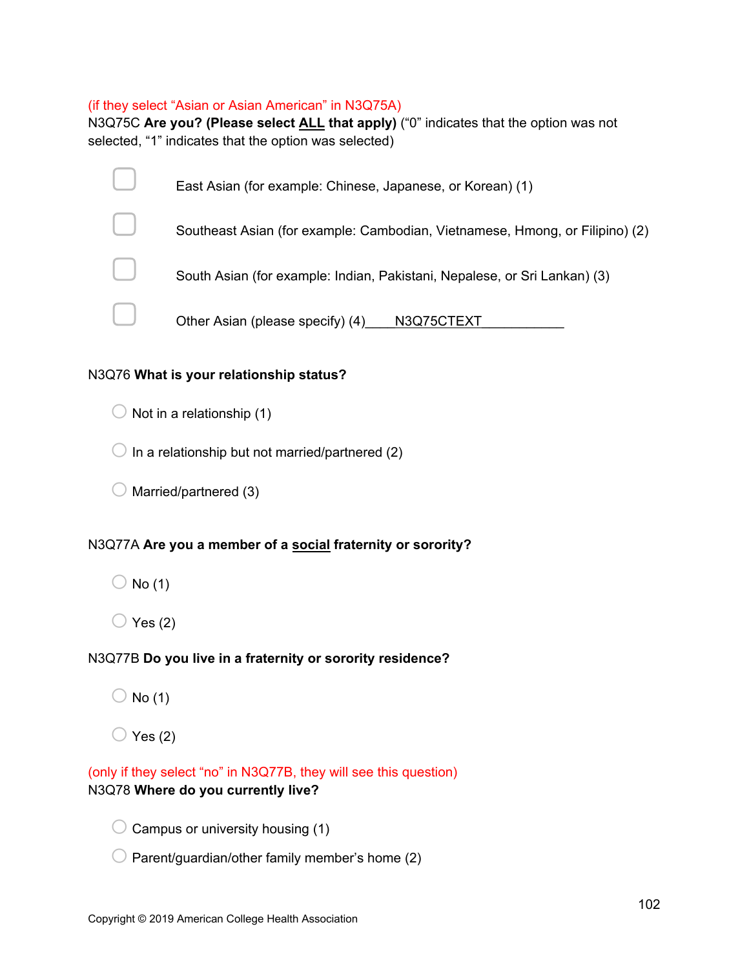#### (if they select "Asian or Asian American" in N3Q75A)

N3Q75C **Are you? (Please select ALL that apply)** ("0" indicates that the option was not selected, "1" indicates that the option was selected)

| East Asian (for example: Chinese, Japanese, or Korean) (1)                   |
|------------------------------------------------------------------------------|
| Southeast Asian (for example: Cambodian, Vietnamese, Hmong, or Filipino) (2) |
| South Asian (for example: Indian, Pakistani, Nepalese, or Sri Lankan) (3)    |
| Other Asian (please specify) (4) N3Q75CTEXT                                  |

## N3Q76 **What is your relationship status?**

 $\bigcirc$  Not in a relationship (1)

 $\bigcirc$  In a relationship but not married/partnered (2)

 $\bigcirc$  Married/partnered (3)

# N3Q77A **Are you a member of a social fraternity or sorority?**

- $\bigcirc$  No (1)
- $\bigcirc$  Yes (2)

# N3Q77B **Do you live in a fraternity or sorority residence?**

- $\bigcirc$  No (1)
- $\bigcirc$  Yes (2)

(only if they select "no" in N3Q77B, they will see this question) N3Q78 **Where do you currently live?**

- $\bigcirc$  Campus or university housing (1)
- $\bigcirc$  Parent/guardian/other family member's home (2)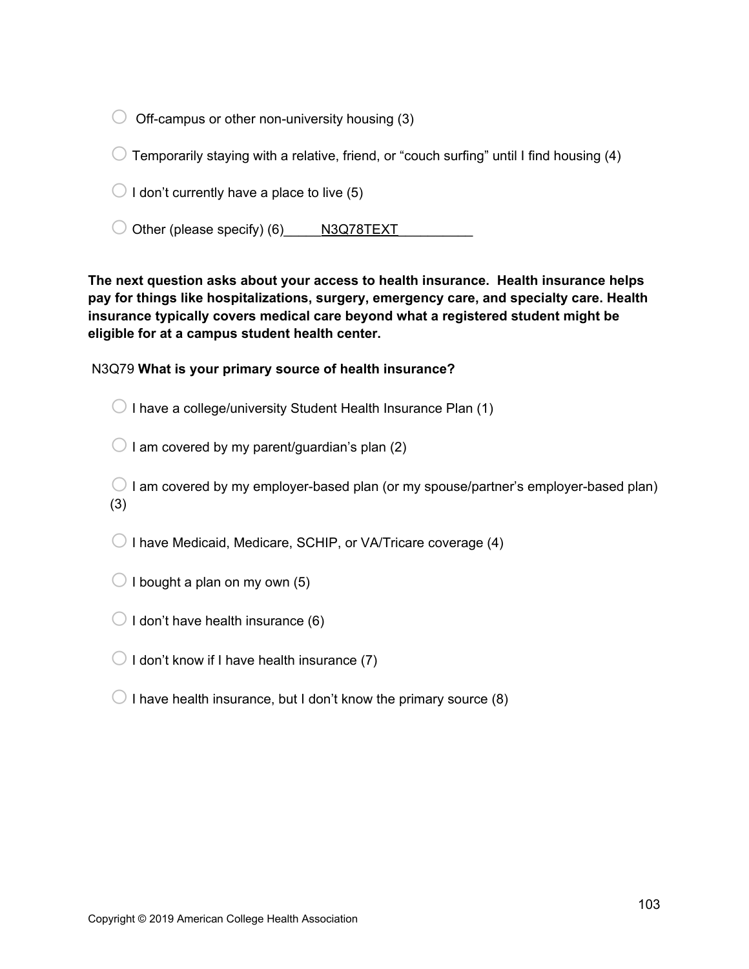$\bigcirc$  Off-campus or other non-university housing (3)

 $\bigcirc$  Temporarily staying with a relative, friend, or "couch surfing" until I find housing (4)

 $\bigcirc$  I don't currently have a place to live (5)

 $\bigcirc$  Other (please specify) (6)  $\bigcirc$  N3Q78TEXT

**The next question asks about your access to health insurance. Health insurance helps pay for things like hospitalizations, surgery, emergency care, and specialty care. Health insurance typically covers medical care beyond what a registered student might be eligible for at a campus student health center.**

N3Q79 **What is your primary source of health insurance?**

 $\bigcirc$  I have a college/university Student Health Insurance Plan (1)

 $\bigcirc$  I am covered by my parent/guardian's plan (2)

 $\bigcirc$  I am covered by my employer-based plan (or my spouse/partner's employer-based plan) (3)

 $\bigcirc$  I have Medicaid, Medicare, SCHIP, or VA/Tricare coverage (4)

 $\bigcirc$  I bought a plan on my own (5)

 $\bigcirc$  I don't have health insurance (6)

 $\bigcirc$  I don't know if I have health insurance (7)

 $\bigcirc$  I have health insurance, but I don't know the primary source (8)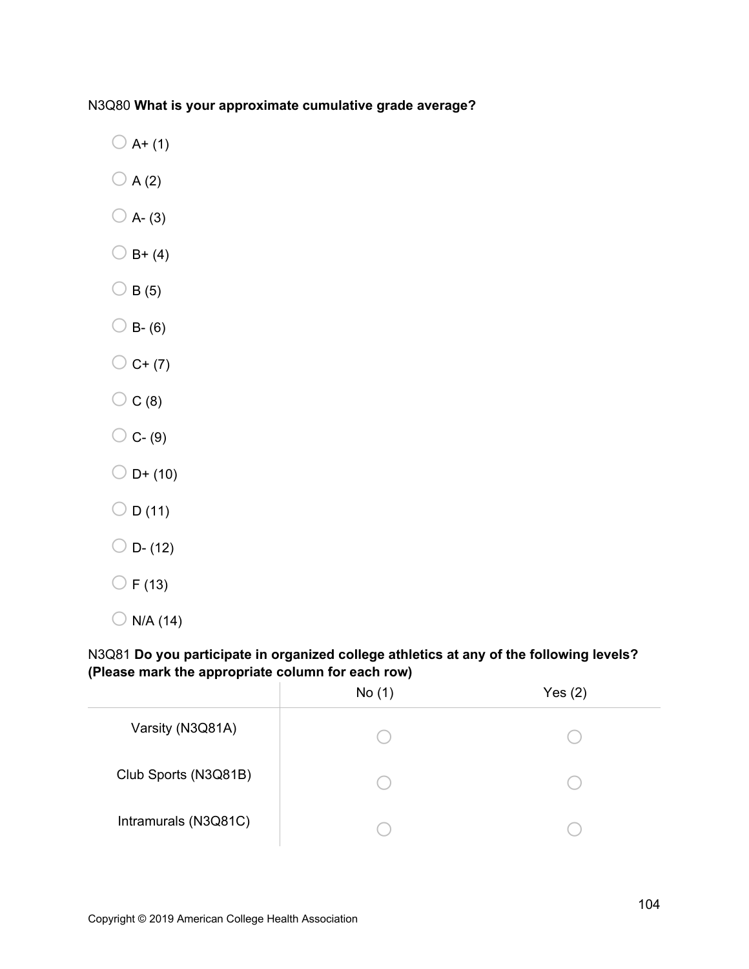# N3Q80 **What is your approximate cumulative grade average?**

- $\bigcirc$  A+ (1)
- $\bigcirc$  A (2)
- $\bigcirc$  A- (3)
- $O$  B+ (4)
- $\bigcirc$  B (5)
- $\bigcirc$  B- (6)
- $\bigcirc$  C+ (7)
- $\bigcirc$  C (8)
- $\bigcirc$  C- (9)
- $O = D + (10)$
- $\bigcirc$  D (11)
- $O$  D- (12)
- $\bigcirc$  F (13)
- $\bigcirc$  N/A (14)

# N3Q81 **Do you participate in organized college athletics at any of the following levels? (Please mark the appropriate column for each row)**

|                      | No(1) | Yes(2) |
|----------------------|-------|--------|
| Varsity (N3Q81A)     |       |        |
| Club Sports (N3Q81B) |       |        |
| Intramurals (N3Q81C) |       |        |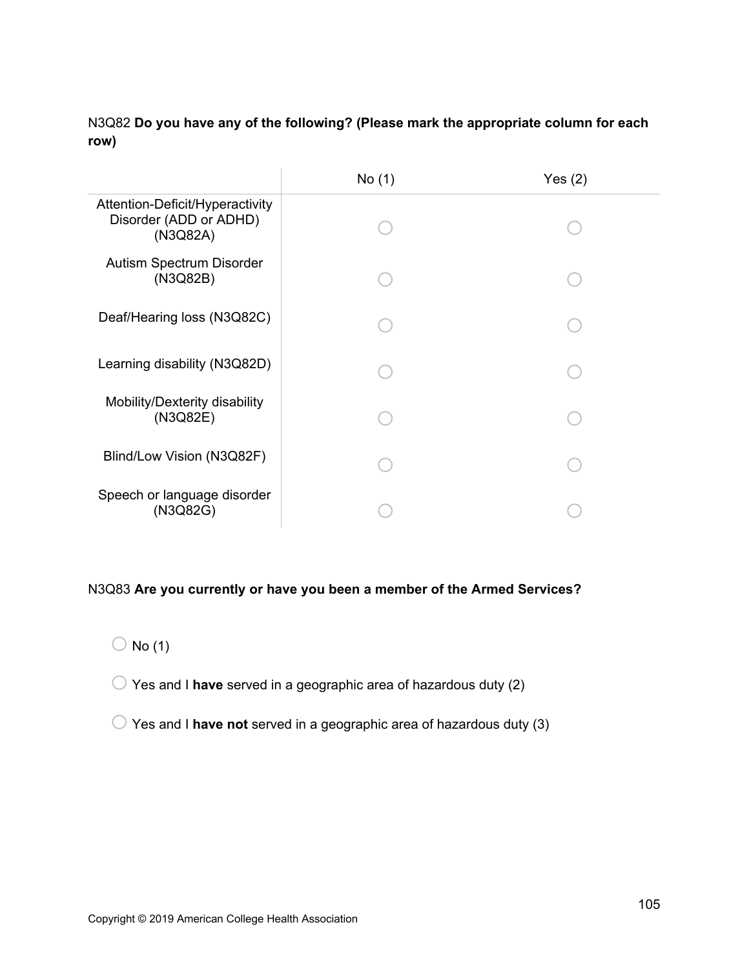# N3Q82 **Do you have any of the following? (Please mark the appropriate column for each row)**

|                                                                       | No (1) | Yes $(2)$ |
|-----------------------------------------------------------------------|--------|-----------|
| Attention-Deficit/Hyperactivity<br>Disorder (ADD or ADHD)<br>(N3Q82A) |        |           |
| Autism Spectrum Disorder<br>(N3Q82B)                                  |        |           |
| Deaf/Hearing loss (N3Q82C)                                            |        |           |
| Learning disability (N3Q82D)                                          |        |           |
| Mobility/Dexterity disability<br>(N3Q82E)                             |        |           |
| Blind/Low Vision (N3Q82F)                                             |        |           |
| Speech or language disorder<br>(N3Q82G)                               |        |           |

# N3Q83 **Are you currently or have you been a member of the Armed Services?**

- $\bigcirc$  No (1)
- o Yes and I **have** served in a geographic area of hazardous duty (2)
- o Yes and I **have not** served in a geographic area of hazardous duty (3)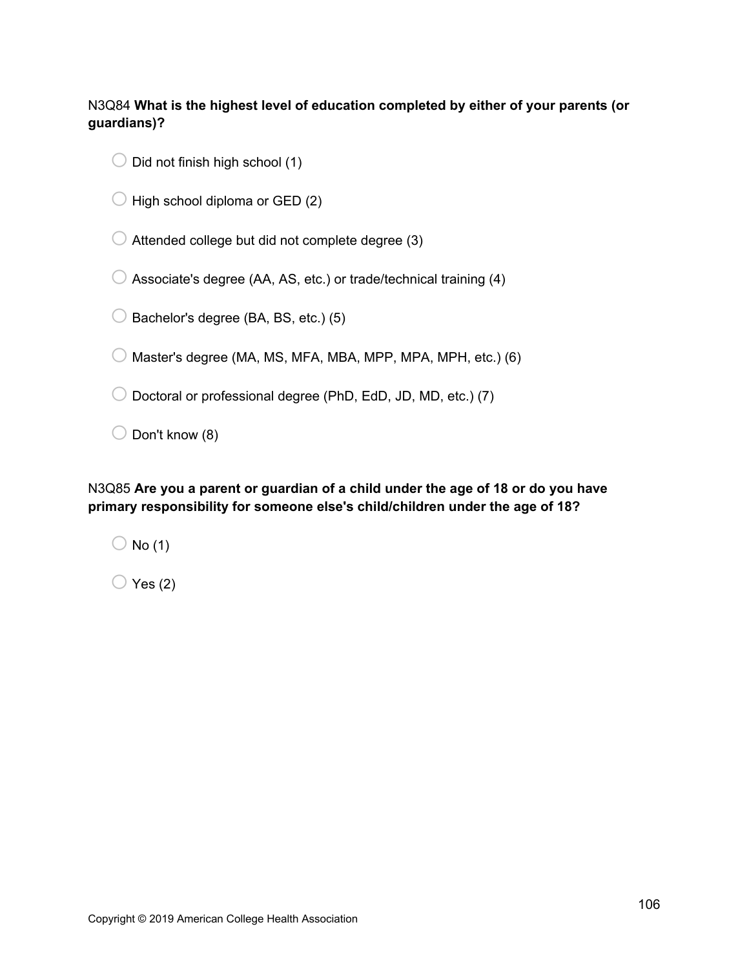N3Q84 **What is the highest level of education completed by either of your parents (or guardians)?**

- $\bigcirc$  Did not finish high school (1)
- $\bigcirc$  High school diploma or GED (2)

 $\bigcirc$  Attended college but did not complete degree (3)

 $\bigcirc$  Associate's degree (AA, AS, etc.) or trade/technical training (4)

 $\bigcirc$  Bachelor's degree (BA, BS, etc.) (5)

 $\bigcirc$  Master's degree (MA, MS, MFA, MBA, MPP, MPA, MPH, etc.) (6)

 $\bigcirc$  Doctoral or professional degree (PhD, EdD, JD, MD, etc.) (7)

 $\bigcirc$  Don't know (8)

N3Q85 **Are you a parent or guardian of a child under the age of 18 or do you have primary responsibility for someone else's child/children under the age of 18?**

 $\bigcirc$  No (1)

 $\bigcirc$  Yes (2)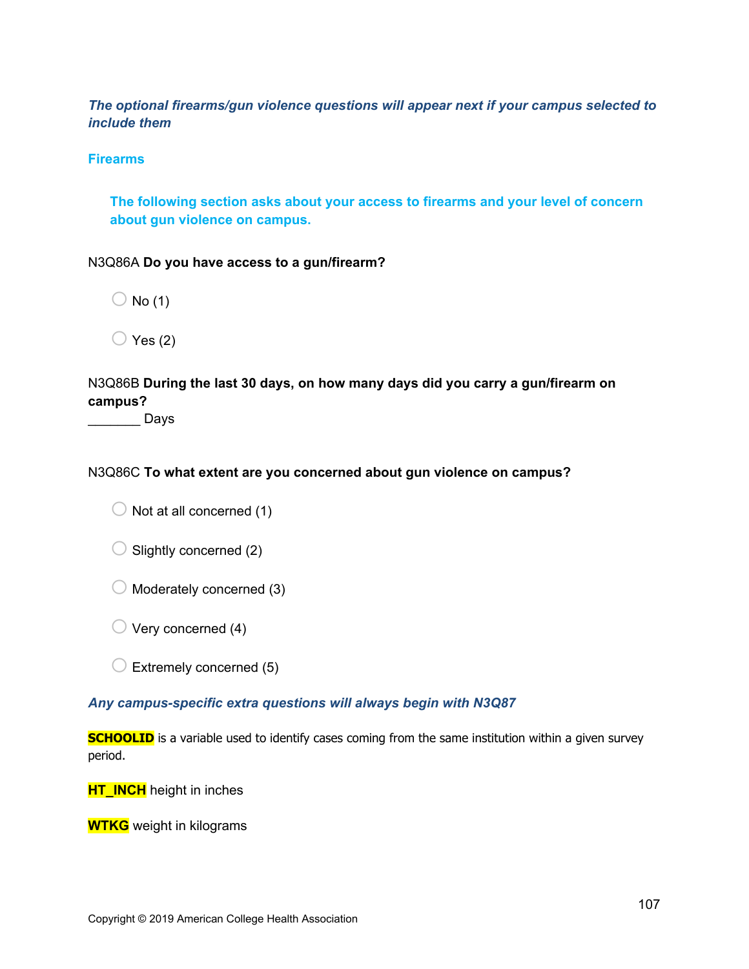*The optional firearms/gun violence questions will appear next if your campus selected to include them* 

## **Firearms**

**The following section asks about your access to firearms and your level of concern about gun violence on campus.** 

#### N3Q86A **Do you have access to a gun/firearm?**

 $\bigcirc$  No (1)

 $\bigcirc$  Yes (2)

N3Q86B **During the last 30 days, on how many days did you carry a gun/firearm on campus?** 

\_\_\_\_\_\_\_ Days

### N3Q86C **To what extent are you concerned about gun violence on campus?**

 $\bigcirc$  Not at all concerned (1)

 $\bigcirc$  Slightly concerned (2)

 $\bigcirc$  Moderately concerned (3)

 $\bigcirc$  Very concerned (4)

 $\bigcirc$  Extremely concerned (5)

#### *Any campus-specific extra questions will always begin with N3Q87*

**SCHOOLID** is a variable used to identify cases coming from the same institution within a given survey period.

**HT\_INCH** height in inches

**WTKG** weight in kilograms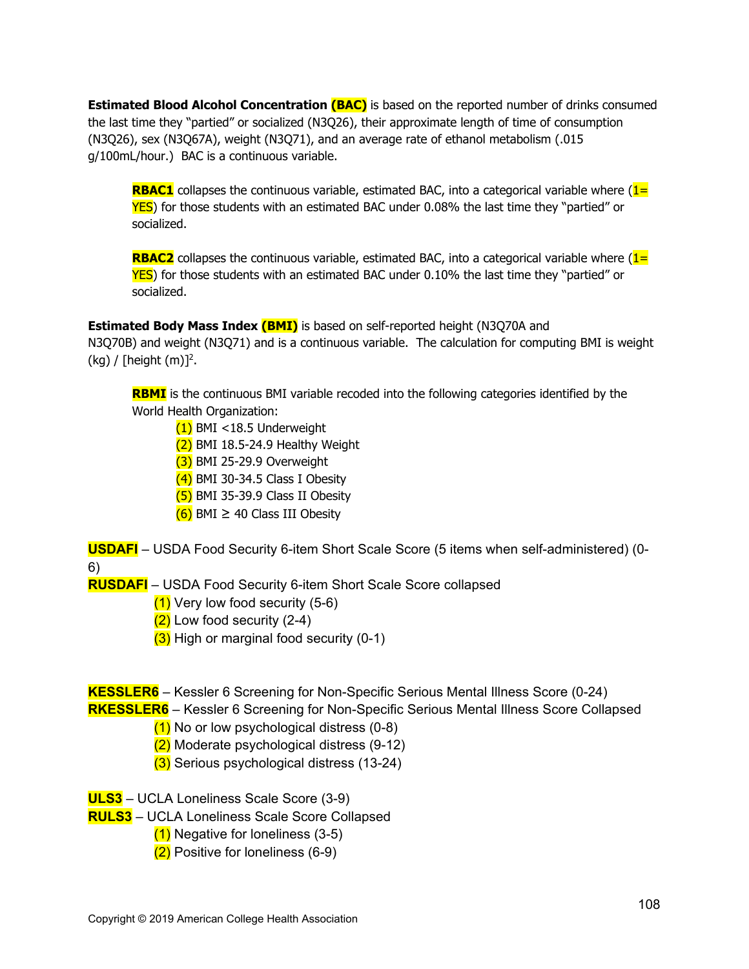**Estimated Blood Alcohol Concentration (BAC)** is based on the reported number of drinks consumed the last time they "partied" or socialized (N3Q26), their approximate length of time of consumption (N3Q26), sex (N3Q67A), weight (N3Q71), and an average rate of ethanol metabolism (.015 g/100mL/hour.) BAC is a continuous variable.

**RBAC1** collapses the continuous variable, estimated BAC, into a categorical variable where (1= YES) for those students with an estimated BAC under 0.08% the last time they "partied" or socialized.

**RBAC2** collapses the continuous variable, estimated BAC, into a categorical variable where (1= YES) for those students with an estimated BAC under 0.10% the last time they "partied" or socialized.

**Estimated Body Mass Index (BMI)** is based on self-reported height (N3Q70A and N3Q70B) and weight (N3Q71) and is a continuous variable. The calculation for computing BMI is weight  $(kg)$  / [height  $(m)$ ]<sup>2</sup>.

**RBMI** is the continuous BMI variable recoded into the following categories identified by the World Health Organization:

- $(1)$  BMI <18.5 Underweight
- $(2)$  BMI 18.5-24.9 Healthy Weight
- $(3)$  BMI 25-29.9 Overweight
- $(4)$  BMI 30-34.5 Class I Obesity
- $(5)$  BMI 35-39.9 Class II Obesity
- $(6)$  BMI  $\geq$  40 Class III Obesity

**USDAFI** – USDA Food Security 6-item Short Scale Score (5 items when self-administered) (0- 6)

**RUSDAFI** – USDA Food Security 6-item Short Scale Score collapsed

- $(1)$  Very low food security (5-6)
- $(2)$  Low food security  $(2-4)$
- $(3)$  High or marginal food security (0-1)

**KESSLER6** – Kessler 6 Screening for Non-Specific Serious Mental Illness Score (0-24)

**RKESSLER6** – Kessler 6 Screening for Non-Specific Serious Mental Illness Score Collapsed

- $(1)$  No or low psychological distress  $(0-8)$
- (2) Moderate psychological distress (9-12)
- (3) Serious psychological distress (13-24)

**ULS3** – UCLA Loneliness Scale Score (3-9)

- **RULS3** UCLA Loneliness Scale Score Collapsed
	- $(1)$  Negative for loneliness  $(3-5)$
	- (2) Positive for loneliness (6-9)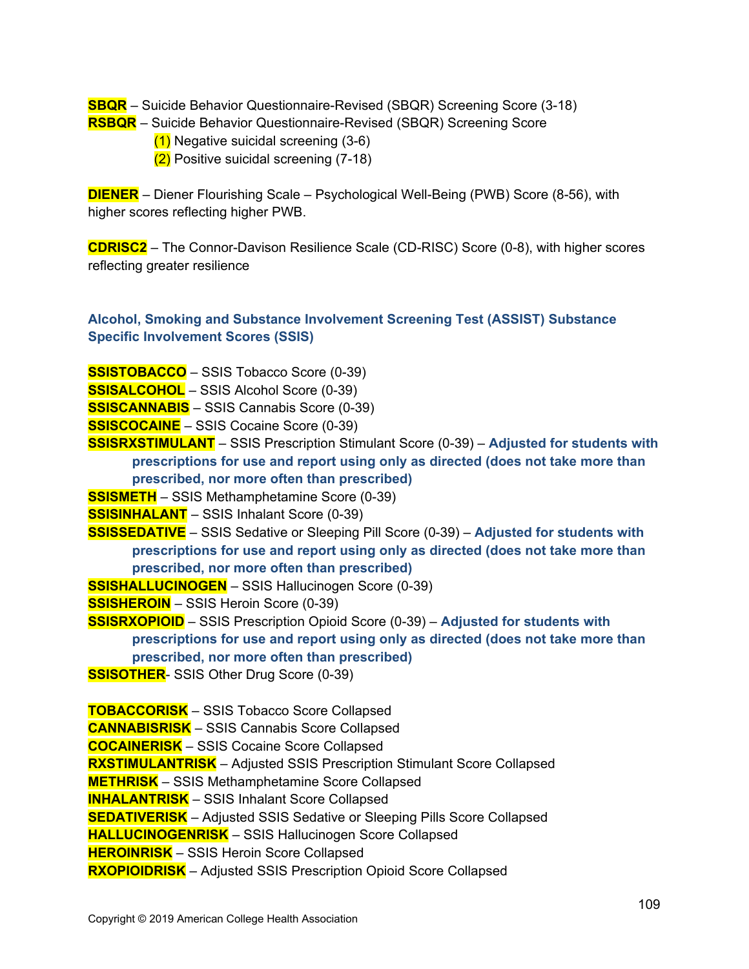**SBQR** – Suicide Behavior Questionnaire-Revised (SBQR) Screening Score (3-18)

- **RSBQR** Suicide Behavior Questionnaire-Revised (SBQR) Screening Score
	- (1) Negative suicidal screening (3-6)
	- (2) Positive suicidal screening (7-18)

**DIENER** – Diener Flourishing Scale – Psychological Well-Being (PWB) Score (8-56), with higher scores reflecting higher PWB.

**CDRISC2** – The Connor-Davison Resilience Scale (CD-RISC) Score (0-8), with higher scores reflecting greater resilience

## **Alcohol, Smoking and Substance Involvement Screening Test (ASSIST) Substance Specific Involvement Scores (SSIS)**

**SSISTOBACCO** – SSIS Tobacco Score (0-39)

**SSISALCOHOL** – SSIS Alcohol Score (0-39)

**SSISCANNABIS** – SSIS Cannabis Score (0-39)

**SSISCOCAINE** – SSIS Cocaine Score (0-39)

**SSISRXSTIMULANT** – SSIS Prescription Stimulant Score (0-39) – **Adjusted for students with prescriptions for use and report using only as directed (does not take more than prescribed, nor more often than prescribed)**

**SSISMETH** – SSIS Methamphetamine Score (0-39)

**SSISINHALANT** – SSIS Inhalant Score (0-39)

**SSISSEDATIVE** – SSIS Sedative or Sleeping Pill Score (0-39) – **Adjusted for students with prescriptions for use and report using only as directed (does not take more than prescribed, nor more often than prescribed)**

**SSISHALLUCINOGEN** – SSIS Hallucinogen Score (0-39)

**SSISHEROIN** – SSIS Heroin Score (0-39)

**SSISRXOPIOID** – SSIS Prescription Opioid Score (0-39) – **Adjusted for students with prescriptions for use and report using only as directed (does not take more than prescribed, nor more often than prescribed)**

**SSISOTHER-** SSIS Other Drug Score (0-39)

**TOBACCORISK** – SSIS Tobacco Score Collapsed **CANNABISRISK** – SSIS Cannabis Score Collapsed **COCAINERISK** – SSIS Cocaine Score Collapsed **RXSTIMULANTRISK** – Adjusted SSIS Prescription Stimulant Score Collapsed **METHRISK** – SSIS Methamphetamine Score Collapsed **INHALANTRISK** – SSIS Inhalant Score Collapsed **SEDATIVERISK** – Adjusted SSIS Sedative or Sleeping Pills Score Collapsed **HALLUCINOGENRISK** – SSIS Hallucinogen Score Collapsed **HEROINRISK** – SSIS Heroin Score Collapsed **RXOPIOIDRISK** – Adjusted SSIS Prescription Opioid Score Collapsed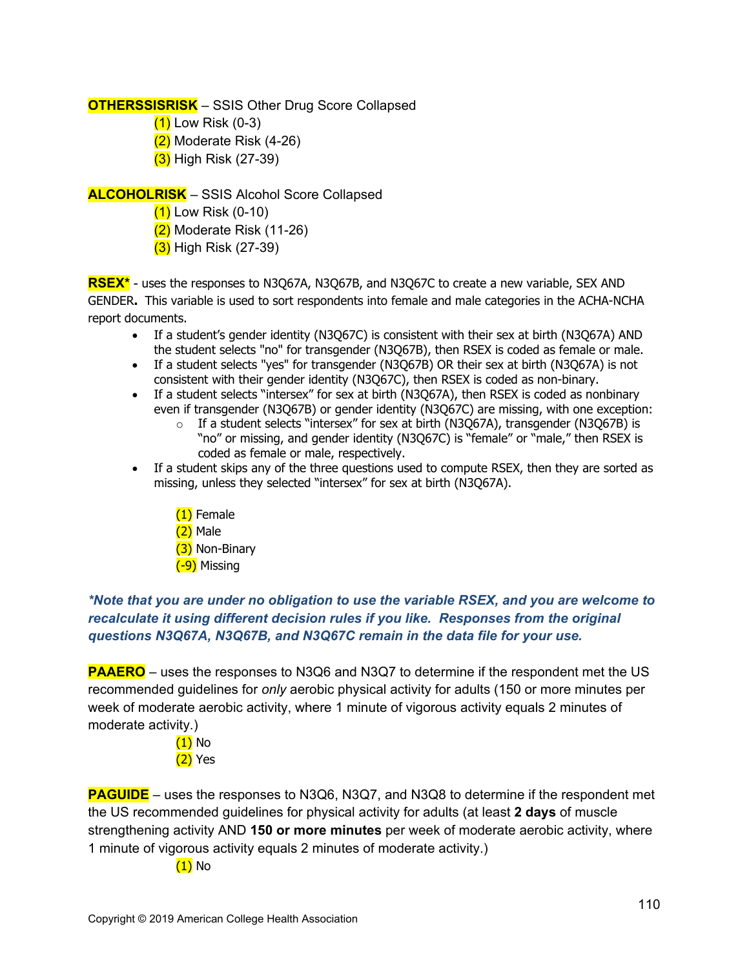**OTHERSSISRISK** – SSIS Other Drug Score Collapsed

- $(1)$  Low Risk  $(0-3)$
- $(2)$  Moderate Risk  $(4-26)$
- (3) High Risk (27-39)

**ALCOHOLRISK** – SSIS Alcohol Score Collapsed

- $(1)$  Low Risk (0-10)
- $(2)$  Moderate Risk (11-26)
- (3) High Risk (27-39)

**RSEX\*** - uses the responses to N3Q67A, N3Q67B, and N3Q67C to create a new variable, SEX AND GENDER**.** This variable is used to sort respondents into female and male categories in the ACHA-NCHA report documents.

- If a student's gender identity (N3Q67C) is consistent with their sex at birth (N3Q67A) AND the student selects "no" for transgender (N3Q67B), then RSEX is coded as female or male.
- If a student selects "yes" for transgender (N3Q67B) OR their sex at birth (N3Q67A) is not consistent with their gender identity (N3Q67C), then RSEX is coded as non-binary.
- If a student selects "intersex" for sex at birth (N3Q67A), then RSEX is coded as nonbinary even if transgender (N3Q67B) or gender identity (N3Q67C) are missing, with one exception:
	- o If a student selects "intersex" for sex at birth (N3Q67A), transgender (N3Q67B) is "no" or missing, and gender identity (N3Q67C) is "female" or "male," then RSEX is coded as female or male, respectively.
- If a student skips any of the three questions used to compute RSEX, then they are sorted as missing, unless they selected "intersex" for sex at birth (N3Q67A).
	- (1) Female  $(2)$  Male (3) Non-Binary (-9) Missing

## *\*Note that you are under no obligation to use the variable RSEX, and you are welcome to recalculate it using different decision rules if you like. Responses from the original questions N3Q67A, N3Q67B, and N3Q67C remain in the data file for your use.*

**PAAERO** – uses the responses to N3Q6 and N3Q7 to determine if the respondent met the US recommended guidelines for *only* aerobic physical activity for adults (150 or more minutes per week of moderate aerobic activity, where 1 minute of vigorous activity equals 2 minutes of moderate activity.)

> (1) No  $(2)$  Yes

**PAGUIDE** – uses the responses to N3Q6, N3Q7, and N3Q8 to determine if the respondent met the US recommended guidelines for physical activity for adults (at least **2 days** of muscle strengthening activity AND **150 or more minutes** per week of moderate aerobic activity, where 1 minute of vigorous activity equals 2 minutes of moderate activity.)

(1) No